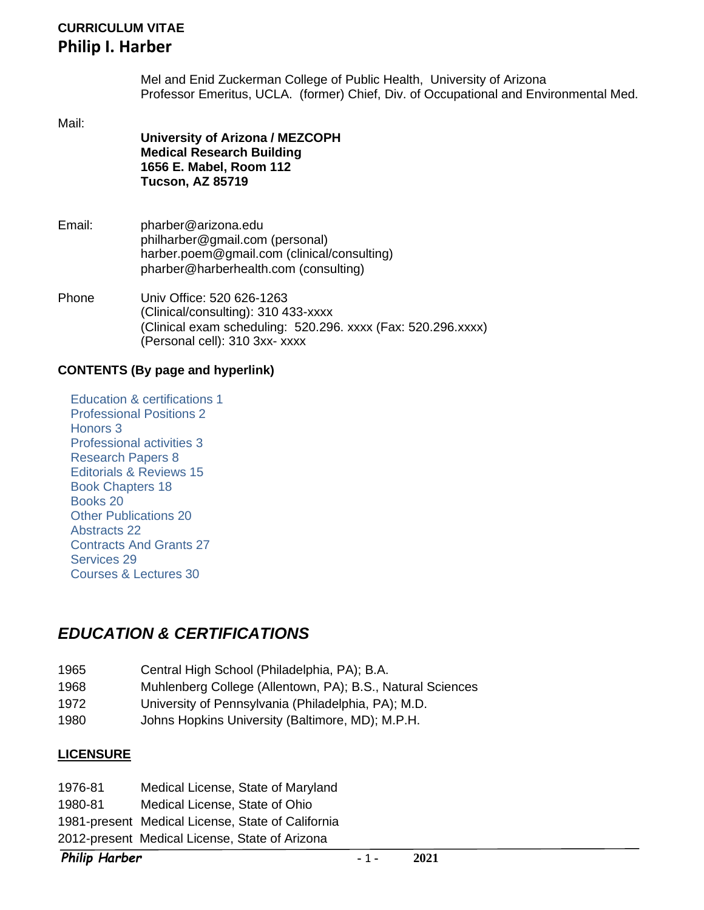## **CURRICULUM VITAE Philip I. Harber**

Mel and Enid Zuckerman College of Public Health, University of Arizona Professor Emeritus, UCLA. (former) Chief, Div. of Occupational and Environmental Med.

Mail:

- **University of Arizona / MEZCOPH Medical Research Building 1656 E. Mabel, Room 112 Tucson, AZ 85719**
- Email: pharber@arizona.edu [philharber@gmail.com](mailto:philharber@gmail.com) (personal) harber.poem@gmail.com (clinical/consulting) pharber@harberhealth.com (consulting)
- Phone Univ Office: 520 626-1263 (Clinical/consulting): 310 433-xxxx (Clinical exam scheduling: 520.296. xxxx (Fax: 520.296.xxxx) (Personal cell): 310 3xx- xxxx

#### **CONTENTS (By page and hyperlink)**

[Education & certifications](#page-0-0) 1 [Professional Positions](#page-1-0) 2 [Honors](#page-2-0) 3 [Professional activities](#page-2-1) 3 [Research](#page-7-0) Papers 8 [Editorials & Reviews](#page-14-0) 15 [Book Chapters](#page-17-0) 18 [Books](#page-19-0) 20 [Other Publications](#page-19-1) 20 [Abstracts](#page-21-0) 22 [Contracts And Grants](#page-26-0) 27 [Services](#page-28-0) 29 [Courses & Lectures](#page-29-0) 30

# <span id="page-0-0"></span>*EDUCATION & CERTIFICATIONS*

- 1965 Central High School (Philadelphia, PA); B.A.
- 1968 Muhlenberg College (Allentown, PA); B.S., Natural Sciences
- 1972 University of Pennsylvania (Philadelphia, PA); M.D.
- 1980 Johns Hopkins University (Baltimore, MD); M.P.H.

#### **LICENSURE**

1976-81 Medical License, State of Maryland 1980-81 Medical License, State of Ohio 1981-present Medical License, State of California 2012-present Medical License, State of Arizona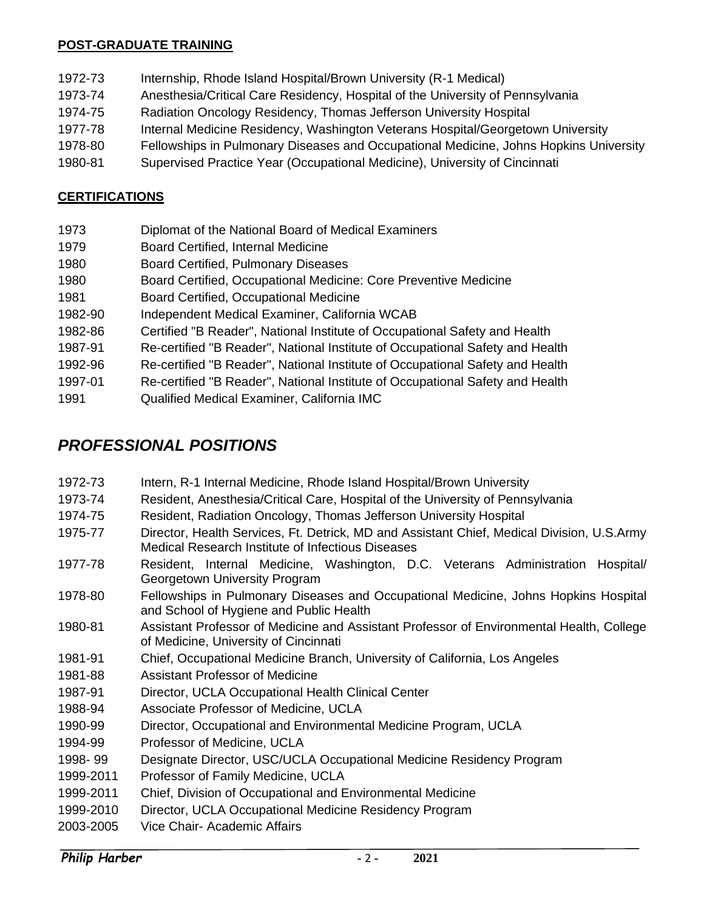#### **POST-GRADUATE TRAINING**

- 1972-73 Internship, Rhode Island Hospital/Brown University (R-1 Medical)
- 1973-74 Anesthesia/Critical Care Residency, Hospital of the University of Pennsylvania
- 1974-75 Radiation Oncology Residency, Thomas Jefferson University Hospital
- 1977-78 Internal Medicine Residency, Washington Veterans Hospital/Georgetown University
- 1978-80 Fellowships in Pulmonary Diseases and Occupational Medicine, Johns Hopkins University
- 1980-81 Supervised Practice Year (Occupational Medicine), University of Cincinnati

## **CERTIFICATIONS**

- 1973 Diplomat of the National Board of Medical Examiners
- 1979 Board Certified, Internal Medicine
- 1980 Board Certified, Pulmonary Diseases
- 1980 Board Certified, Occupational Medicine: Core Preventive Medicine
- 1981 Board Certified, Occupational Medicine
- 1982-90 Independent Medical Examiner, California WCAB
- 1982-86 Certified "B Reader", National Institute of Occupational Safety and Health
- 1987-91 Re-certified "B Reader", National Institute of Occupational Safety and Health
- 1992-96 Re-certified "B Reader", National Institute of Occupational Safety and Health
- 1997-01 Re-certified "B Reader", National Institute of Occupational Safety and Health
- 1991 Qualified Medical Examiner, California IMC

# <span id="page-1-0"></span>*PROFESSIONAL POSITIONS*

| 1972-73   | Intern, R-1 Internal Medicine, Rhode Island Hospital/Brown University                                                                           |
|-----------|-------------------------------------------------------------------------------------------------------------------------------------------------|
| 1973-74   | Resident, Anesthesia/Critical Care, Hospital of the University of Pennsylvania                                                                  |
| 1974-75   | Resident, Radiation Oncology, Thomas Jefferson University Hospital                                                                              |
| 1975-77   | Director, Health Services, Ft. Detrick, MD and Assistant Chief, Medical Division, U.S.Army<br>Medical Research Institute of Infectious Diseases |
| 1977-78   | Resident, Internal Medicine, Washington, D.C. Veterans Administration Hospital/<br>Georgetown University Program                                |
| 1978-80   | Fellowships in Pulmonary Diseases and Occupational Medicine, Johns Hopkins Hospital<br>and School of Hygiene and Public Health                  |
| 1980-81   | Assistant Professor of Medicine and Assistant Professor of Environmental Health, College<br>of Medicine, University of Cincinnati               |
| 1981-91   | Chief, Occupational Medicine Branch, University of California, Los Angeles                                                                      |
| 1981-88   | <b>Assistant Professor of Medicine</b>                                                                                                          |
| 1987-91   | Director, UCLA Occupational Health Clinical Center                                                                                              |
| 1988-94   | Associate Professor of Medicine, UCLA                                                                                                           |
| 1990-99   | Director, Occupational and Environmental Medicine Program, UCLA                                                                                 |
| 1994-99   | Professor of Medicine, UCLA                                                                                                                     |
| 1998-99   | Designate Director, USC/UCLA Occupational Medicine Residency Program                                                                            |
| 1999-2011 | Professor of Family Medicine, UCLA                                                                                                              |
| 1999-2011 | Chief, Division of Occupational and Environmental Medicine                                                                                      |
| 1999-2010 | Director, UCLA Occupational Medicine Residency Program                                                                                          |
| 2003-2005 | Vice Chair- Academic Affairs                                                                                                                    |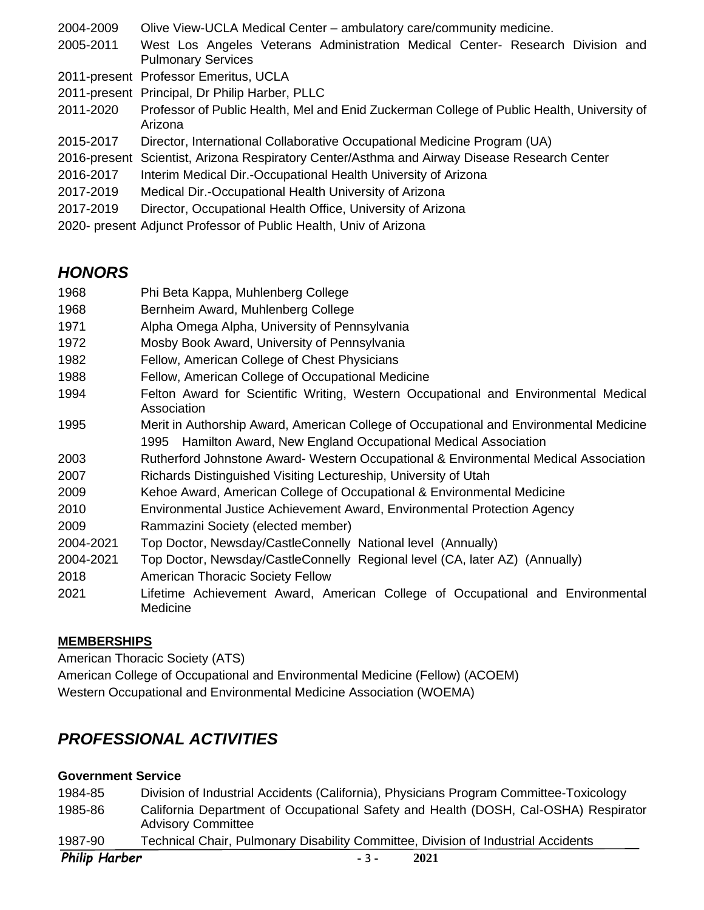| 2004-2009    | Olive View-UCLA Medical Center – ambulatory care/community medicine.                                        |
|--------------|-------------------------------------------------------------------------------------------------------------|
| 2005-2011    | West Los Angeles Veterans Administration Medical Center- Research Division and<br><b>Pulmonary Services</b> |
|              | 2011-present Professor Emeritus, UCLA                                                                       |
|              | 2011-present Principal, Dr Philip Harber, PLLC                                                              |
| 2011-2020    | Professor of Public Health, Mel and Enid Zuckerman College of Public Health, University of<br>Arizona       |
| 2015-2017    | Director, International Collaborative Occupational Medicine Program (UA)                                    |
| 2016-present | Scientist, Arizona Respiratory Center/Asthma and Airway Disease Research Center                             |
| 2016-2017    | Interim Medical Dir.-Occupational Health University of Arizona                                              |
| 2017-2019    | Medical Dir.-Occupational Health University of Arizona                                                      |
| 2017-2019    | Director, Occupational Health Office, University of Arizona                                                 |
|              | 2020- present Adjunct Professor of Public Health, Univ of Arizona                                           |

# <span id="page-2-0"></span>*HONORS*

| 1968      | Phi Beta Kappa, Muhlenberg College                                                                                                                          |
|-----------|-------------------------------------------------------------------------------------------------------------------------------------------------------------|
| 1968      | Bernheim Award, Muhlenberg College                                                                                                                          |
| 1971      | Alpha Omega Alpha, University of Pennsylvania                                                                                                               |
| 1972      | Mosby Book Award, University of Pennsylvania                                                                                                                |
| 1982      | Fellow, American College of Chest Physicians                                                                                                                |
| 1988      | Fellow, American College of Occupational Medicine                                                                                                           |
| 1994      | Felton Award for Scientific Writing, Western Occupational and Environmental Medical<br>Association                                                          |
| 1995      | Merit in Authorship Award, American College of Occupational and Environmental Medicine<br>1995 Hamilton Award, New England Occupational Medical Association |
| 2003      | Rutherford Johnstone Award- Western Occupational & Environmental Medical Association                                                                        |
| 2007      | Richards Distinguished Visiting Lectureship, University of Utah                                                                                             |
| 2009      | Kehoe Award, American College of Occupational & Environmental Medicine                                                                                      |
| 2010      | Environmental Justice Achievement Award, Environmental Protection Agency                                                                                    |
| 2009      | Rammazini Society (elected member)                                                                                                                          |
| 2004-2021 | Top Doctor, Newsday/CastleConnelly National level (Annually)                                                                                                |
| 2004-2021 | Top Doctor, Newsday/CastleConnelly Regional level (CA, later AZ) (Annually)                                                                                 |
| 2018      | <b>American Thoracic Society Fellow</b>                                                                                                                     |
| 2021      | Lifetime Achievement Award, American College of Occupational and Environmental<br>Medicine                                                                  |

### **MEMBERSHIPS**

American Thoracic Society (ATS)

American College of Occupational and Environmental Medicine (Fellow) (ACOEM) Western Occupational and Environmental Medicine Association (WOEMA)

# <span id="page-2-1"></span>*PROFESSIONAL ACTIVITIES*

### **Government Service**

| 1984-85              | Division of Industrial Accidents (California), Physicians Program Committee-Toxicology                           |
|----------------------|------------------------------------------------------------------------------------------------------------------|
| 1985-86              | California Department of Occupational Safety and Health (DOSH, Cal-OSHA) Respirator<br><b>Advisory Committee</b> |
| 1987-90              | Technical Chair, Pulmonary Disability Committee, Division of Industrial Accidents                                |
| <b>Philip Harber</b> | 2021<br>$-3-$                                                                                                    |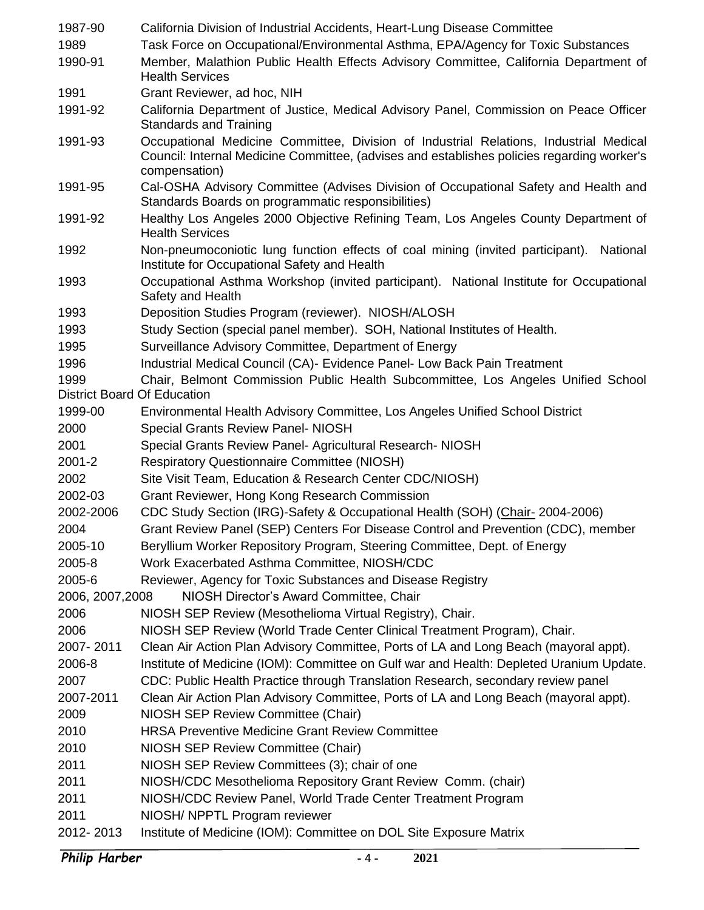| 1987-90                            | California Division of Industrial Accidents, Heart-Lung Disease Committee                                                                                                                            |
|------------------------------------|------------------------------------------------------------------------------------------------------------------------------------------------------------------------------------------------------|
| 1989                               | Task Force on Occupational/Environmental Asthma, EPA/Agency for Toxic Substances                                                                                                                     |
| 1990-91                            | Member, Malathion Public Health Effects Advisory Committee, California Department of<br><b>Health Services</b>                                                                                       |
| 1991                               | Grant Reviewer, ad hoc, NIH                                                                                                                                                                          |
| 1991-92                            | California Department of Justice, Medical Advisory Panel, Commission on Peace Officer<br><b>Standards and Training</b>                                                                               |
| 1991-93                            | Occupational Medicine Committee, Division of Industrial Relations, Industrial Medical<br>Council: Internal Medicine Committee, (advises and establishes policies regarding worker's<br>compensation) |
| 1991-95                            | Cal-OSHA Advisory Committee (Advises Division of Occupational Safety and Health and<br>Standards Boards on programmatic responsibilities)                                                            |
| 1991-92                            | Healthy Los Angeles 2000 Objective Refining Team, Los Angeles County Department of<br><b>Health Services</b>                                                                                         |
| 1992                               | Non-pneumoconiotic lung function effects of coal mining (invited participant).<br>National<br>Institute for Occupational Safety and Health                                                           |
| 1993                               | Occupational Asthma Workshop (invited participant). National Institute for Occupational<br>Safety and Health                                                                                         |
| 1993                               | Deposition Studies Program (reviewer). NIOSH/ALOSH                                                                                                                                                   |
| 1993                               | Study Section (special panel member). SOH, National Institutes of Health.                                                                                                                            |
| 1995                               | Surveillance Advisory Committee, Department of Energy                                                                                                                                                |
| 1996                               | Industrial Medical Council (CA)- Evidence Panel- Low Back Pain Treatment                                                                                                                             |
| 1999                               | Chair, Belmont Commission Public Health Subcommittee, Los Angeles Unified School                                                                                                                     |
| <b>District Board Of Education</b> |                                                                                                                                                                                                      |
| 1999-00                            | Environmental Health Advisory Committee, Los Angeles Unified School District                                                                                                                         |
| 2000                               | <b>Special Grants Review Panel- NIOSH</b>                                                                                                                                                            |
| 2001                               | Special Grants Review Panel- Agricultural Research- NIOSH                                                                                                                                            |
| 2001-2                             | <b>Respiratory Questionnaire Committee (NIOSH)</b>                                                                                                                                                   |
| 2002                               | Site Visit Team, Education & Research Center CDC/NIOSH)                                                                                                                                              |
| 2002-03                            | Grant Reviewer, Hong Kong Research Commission                                                                                                                                                        |
| 2002-2006                          | CDC Study Section (IRG)-Safety & Occupational Health (SOH) (Chair- 2004-2006)                                                                                                                        |
| 2004                               | Grant Review Panel (SEP) Centers For Disease Control and Prevention (CDC), member                                                                                                                    |
| 2005-10                            | Beryllium Worker Repository Program, Steering Committee, Dept. of Energy                                                                                                                             |
| 2005-8                             | Work Exacerbated Asthma Committee, NIOSH/CDC                                                                                                                                                         |
| 2005-6                             | Reviewer, Agency for Toxic Substances and Disease Registry                                                                                                                                           |
| 2006, 2007, 2008                   | NIOSH Director's Award Committee, Chair                                                                                                                                                              |
| 2006                               | NIOSH SEP Review (Mesothelioma Virtual Registry), Chair.                                                                                                                                             |
| 2006                               | NIOSH SEP Review (World Trade Center Clinical Treatment Program), Chair.                                                                                                                             |
| 2007-2011                          | Clean Air Action Plan Advisory Committee, Ports of LA and Long Beach (mayoral appt).                                                                                                                 |
| 2006-8                             | Institute of Medicine (IOM): Committee on Gulf war and Health: Depleted Uranium Update.                                                                                                              |
| 2007                               | CDC: Public Health Practice through Translation Research, secondary review panel                                                                                                                     |
| 2007-2011                          | Clean Air Action Plan Advisory Committee, Ports of LA and Long Beach (mayoral appt).                                                                                                                 |
| 2009                               | NIOSH SEP Review Committee (Chair)                                                                                                                                                                   |
| 2010                               | <b>HRSA Preventive Medicine Grant Review Committee</b>                                                                                                                                               |
| 2010                               | NIOSH SEP Review Committee (Chair)                                                                                                                                                                   |
| 2011                               | NIOSH SEP Review Committees (3); chair of one                                                                                                                                                        |
| 2011                               | NIOSH/CDC Mesothelioma Repository Grant Review Comm. (chair)                                                                                                                                         |
| 2011                               | NIOSH/CDC Review Panel, World Trade Center Treatment Program                                                                                                                                         |
| 2011                               | NIOSH/ NPPTL Program reviewer                                                                                                                                                                        |
| 2012-2013                          | Institute of Medicine (IOM): Committee on DOL Site Exposure Matrix                                                                                                                                   |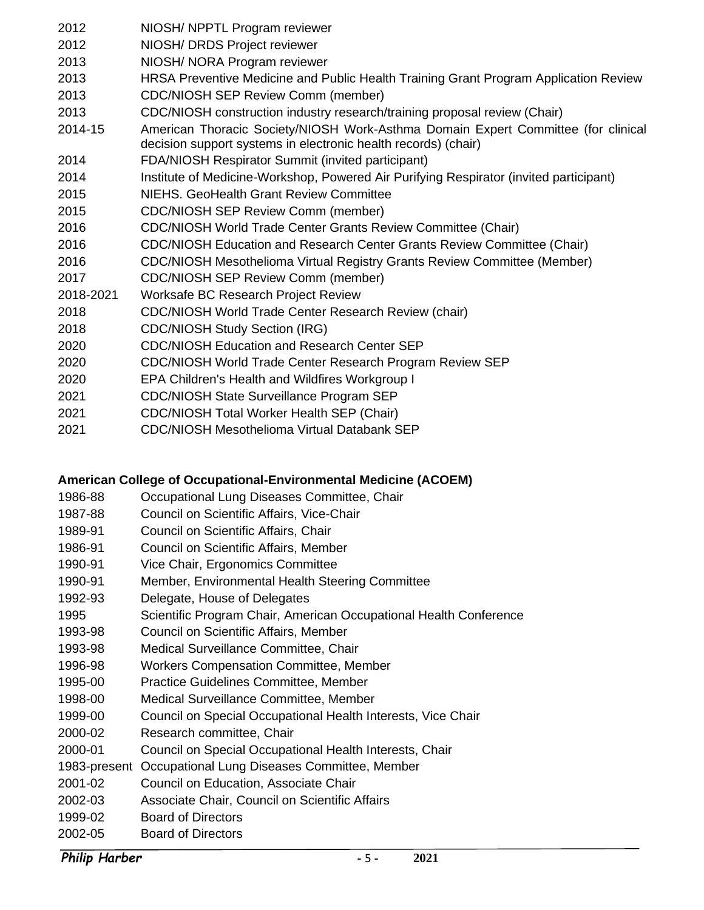| 2012      | NIOSH/ NPPTL Program reviewer                                                                                                                       |
|-----------|-----------------------------------------------------------------------------------------------------------------------------------------------------|
| 2012      | NIOSH/ DRDS Project reviewer                                                                                                                        |
| 2013      | NIOSH/ NORA Program reviewer                                                                                                                        |
| 2013      | HRSA Preventive Medicine and Public Health Training Grant Program Application Review                                                                |
| 2013      | <b>CDC/NIOSH SEP Review Comm (member)</b>                                                                                                           |
| 2013      | CDC/NIOSH construction industry research/training proposal review (Chair)                                                                           |
| 2014-15   | American Thoracic Society/NIOSH Work-Asthma Domain Expert Committee (for clinical<br>decision support systems in electronic health records) (chair) |
| 2014      | FDA/NIOSH Respirator Summit (invited participant)                                                                                                   |
| 2014      | Institute of Medicine-Workshop, Powered Air Purifying Respirator (invited participant)                                                              |
| 2015      | NIEHS, GeoHealth Grant Review Committee                                                                                                             |
| 2015      | <b>CDC/NIOSH SEP Review Comm (member)</b>                                                                                                           |
| 2016      | <b>CDC/NIOSH World Trade Center Grants Review Committee (Chair)</b>                                                                                 |
| 2016      | CDC/NIOSH Education and Research Center Grants Review Committee (Chair)                                                                             |
| 2016      | <b>CDC/NIOSH Mesothelioma Virtual Registry Grants Review Committee (Member)</b>                                                                     |
| 2017      | <b>CDC/NIOSH SEP Review Comm (member)</b>                                                                                                           |
| 2018-2021 | Worksafe BC Research Project Review                                                                                                                 |
| 2018      | <b>CDC/NIOSH World Trade Center Research Review (chair)</b>                                                                                         |
| 2018      | <b>CDC/NIOSH Study Section (IRG)</b>                                                                                                                |
| 2020      | <b>CDC/NIOSH Education and Research Center SEP</b>                                                                                                  |
| 2020      | CDC/NIOSH World Trade Center Research Program Review SEP                                                                                            |
| 2020      | EPA Children's Health and Wildfires Workgroup I                                                                                                     |
| 2021      | <b>CDC/NIOSH State Surveillance Program SEP</b>                                                                                                     |
| 2021      | <b>CDC/NIOSH Total Worker Health SEP (Chair)</b>                                                                                                    |
| 2021      | <b>CDC/NIOSH Mesothelioma Virtual Databank SEP</b>                                                                                                  |
|           |                                                                                                                                                     |

#### **American College of Occupational-Environmental Medicine (ACOEM)**

- 1986-88 Occupational Lung Diseases Committee, Chair
- 1987-88 Council on Scientific Affairs, Vice-Chair
- 1989-91 Council on Scientific Affairs, Chair
- 1986-91 Council on Scientific Affairs, Member
- 1990-91 Vice Chair, Ergonomics Committee
- 1990-91 Member, Environmental Health Steering Committee
- 1992-93 Delegate, House of Delegates
- 1995 Scientific Program Chair, American Occupational Health Conference
- 1993-98 Council on Scientific Affairs, Member
- 1993-98 Medical Surveillance Committee, Chair
- 1996-98 Workers Compensation Committee, Member
- 1995-00 Practice Guidelines Committee, Member
- 1998-00 Medical Surveillance Committee, Member
- 1999-00 Council on Special Occupational Health Interests, Vice Chair
- 2000-02 Research committee, Chair
- 2000-01 Council on Special Occupational Health Interests, Chair
- 1983-present Occupational Lung Diseases Committee, Member
- 2001-02 Council on Education, Associate Chair
- 2002-03 Associate Chair, Council on Scientific Affairs
- 1999-02 Board of Directors
- 2002-05 Board of Directors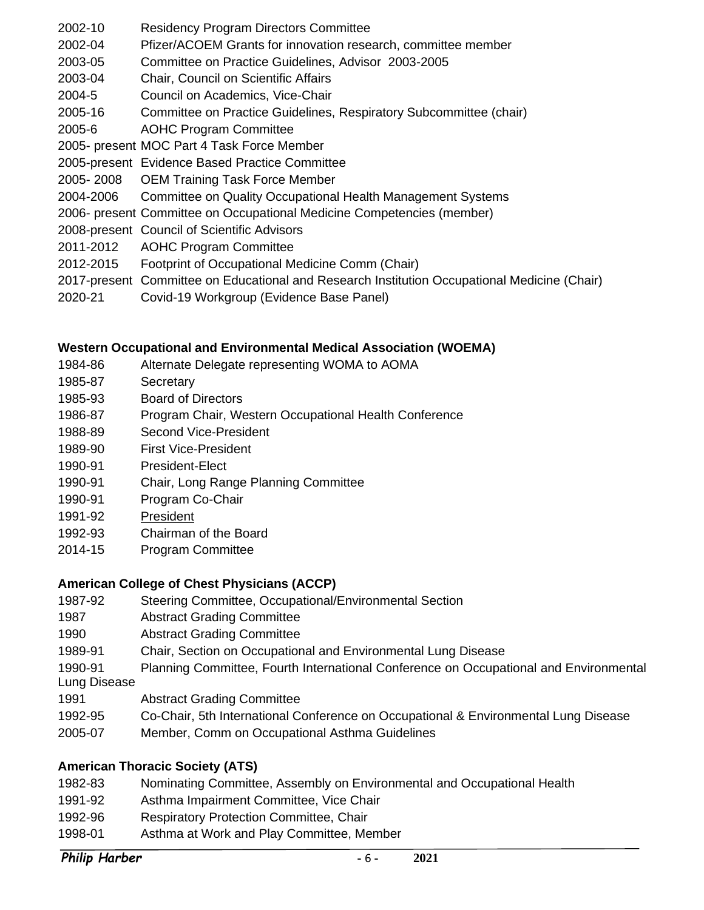- 2002-10 Residency Program Directors Committee
- 2002-04 Pfizer/ACOEM Grants for innovation research, committee member
- 2003-05 Committee on Practice Guidelines, Advisor 2003-2005
- 2003-04 Chair, Council on Scientific Affairs
- 2004-5 Council on Academics, Vice-Chair
- 2005-16 Committee on Practice Guidelines, Respiratory Subcommittee (chair)
- 2005-6 AOHC Program Committee
- 2005- present MOC Part 4 Task Force Member
- 2005-present Evidence Based Practice Committee
- 2005- 2008 OEM Training Task Force Member
- 2004-2006 Committee on Quality Occupational Health Management Systems
- 2006- present Committee on Occupational Medicine Competencies (member)
- 2008-present Council of Scientific Advisors
- 2011-2012 AOHC Program Committee
- 2012-2015 Footprint of Occupational Medicine Comm (Chair)
- 2017-present Committee on Educational and Research Institution Occupational Medicine (Chair)
- 2020-21 Covid-19 Workgroup (Evidence Base Panel)

### **Western Occupational and Environmental Medical Association (WOEMA)**

- 1984-86 Alternate Delegate representing WOMA to AOMA
- 1985-87 Secretary
- 1985-93 Board of Directors
- 1986-87 Program Chair, Western Occupational Health Conference
- 1988-89 Second Vice-President
- 1989-90 First Vice-President
- 1990-91 President-Elect
- 1990-91 Chair, Long Range Planning Committee
- 1990-91 Program Co-Chair
- 1991-92 President
- 1992-93 Chairman of the Board
- 2014-15 Program Committee

### **American College of Chest Physicians (ACCP)**

- 1987-92 Steering Committee, Occupational/Environmental Section
- 1987 Abstract Grading Committee
- 1990 Abstract Grading Committee
- 1989-91 Chair, Section on Occupational and Environmental Lung Disease
- 1990-91 Planning Committee, Fourth International Conference on Occupational and Environmental Lung Disease
- 1991 Abstract Grading Committee
- 1992-95 Co-Chair, 5th International Conference on Occupational & Environmental Lung Disease
- 2005-07 Member, Comm on Occupational Asthma Guidelines

### **American Thoracic Society (ATS)**

- 1982-83 Nominating Committee, Assembly on Environmental and Occupational Health
- 1991-92 Asthma Impairment Committee, Vice Chair
- 1992-96 Respiratory Protection Committee, Chair
- 1998-01 Asthma at Work and Play Committee, Member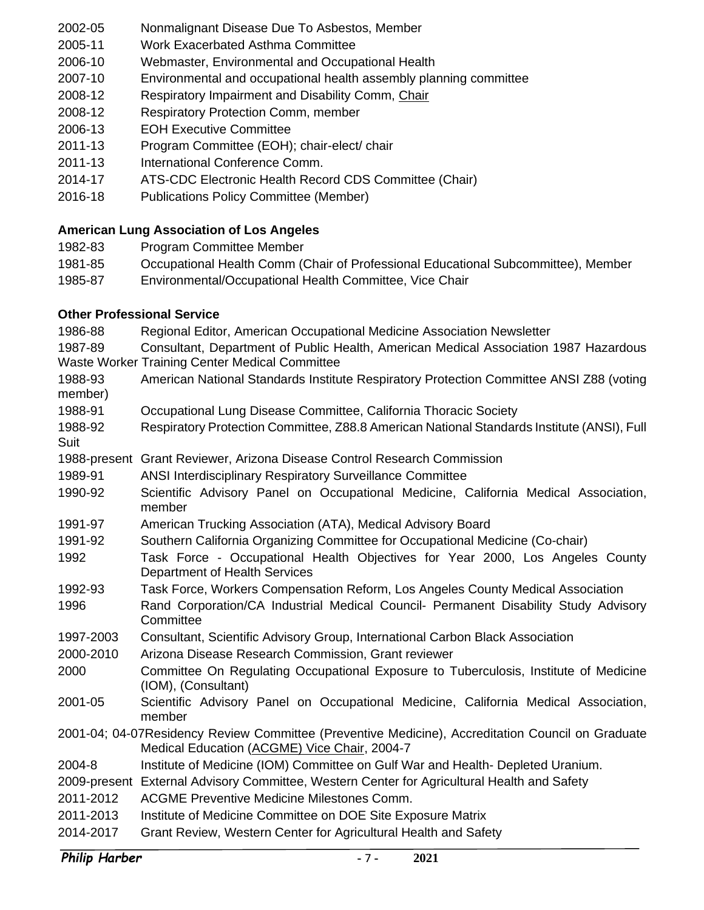- 2002-05 Nonmalignant Disease Due To Asbestos, Member
- 2005-11 Work Exacerbated Asthma Committee
- 2006-10 Webmaster, Environmental and Occupational Health
- 2007-10 Environmental and occupational health assembly planning committee
- 2008-12 Respiratory Impairment and Disability Comm, Chair
- 2008-12 Respiratory Protection Comm, member
- 2006-13 EOH Executive Committee
- 2011-13 Program Committee (EOH); chair-elect/ chair
- 2011-13 International Conference Comm.
- 2014-17 ATS-CDC Electronic Health Record CDS Committee (Chair)
- 2016-18 Publications Policy Committee (Member)

## **American Lung Association of Los Angeles**

- 1982-83 Program Committee Member
- 1981-85 Occupational Health Comm (Chair of Professional Educational Subcommittee), Member
- 1985-87 Environmental/Occupational Health Committee, Vice Chair

## **Other Professional Service**

| Regional Editor, American Occupational Medicine Association Newsletter                                                                            |
|---------------------------------------------------------------------------------------------------------------------------------------------------|
| Consultant, Department of Public Health, American Medical Association 1987 Hazardous                                                              |
| <b>Waste Worker Training Center Medical Committee</b>                                                                                             |
| American National Standards Institute Respiratory Protection Committee ANSI Z88 (voting                                                           |
| Occupational Lung Disease Committee, California Thoracic Society                                                                                  |
| Respiratory Protection Committee, Z88.8 American National Standards Institute (ANSI), Full                                                        |
| 1988-present Grant Reviewer, Arizona Disease Control Research Commission                                                                          |
| <b>ANSI Interdisciplinary Respiratory Surveillance Committee</b>                                                                                  |
| Scientific Advisory Panel on Occupational Medicine, California Medical Association,<br>member                                                     |
| American Trucking Association (ATA), Medical Advisory Board                                                                                       |
| Southern California Organizing Committee for Occupational Medicine (Co-chair)                                                                     |
| Task Force - Occupational Health Objectives for Year 2000, Los Angeles County<br>Department of Health Services                                    |
| Task Force, Workers Compensation Reform, Los Angeles County Medical Association                                                                   |
| Rand Corporation/CA Industrial Medical Council- Permanent Disability Study Advisory<br>Committee                                                  |
| Consultant, Scientific Advisory Group, International Carbon Black Association                                                                     |
| Arizona Disease Research Commission, Grant reviewer                                                                                               |
| Committee On Regulating Occupational Exposure to Tuberculosis, Institute of Medicine<br>(IOM), (Consultant)                                       |
| Scientific Advisory Panel on Occupational Medicine, California Medical Association,<br>member                                                     |
| 2001-04; 04-07Residency Review Committee (Preventive Medicine), Accreditation Council on Graduate<br>Medical Education (ACGME) Vice Chair, 2004-7 |
| Institute of Medicine (IOM) Committee on Gulf War and Health- Depleted Uranium.                                                                   |
| 2009-present External Advisory Committee, Western Center for Agricultural Health and Safety                                                       |
| <b>ACGME Preventive Medicine Milestones Comm.</b>                                                                                                 |
|                                                                                                                                                   |
| Institute of Medicine Committee on DOE Site Exposure Matrix                                                                                       |
|                                                                                                                                                   |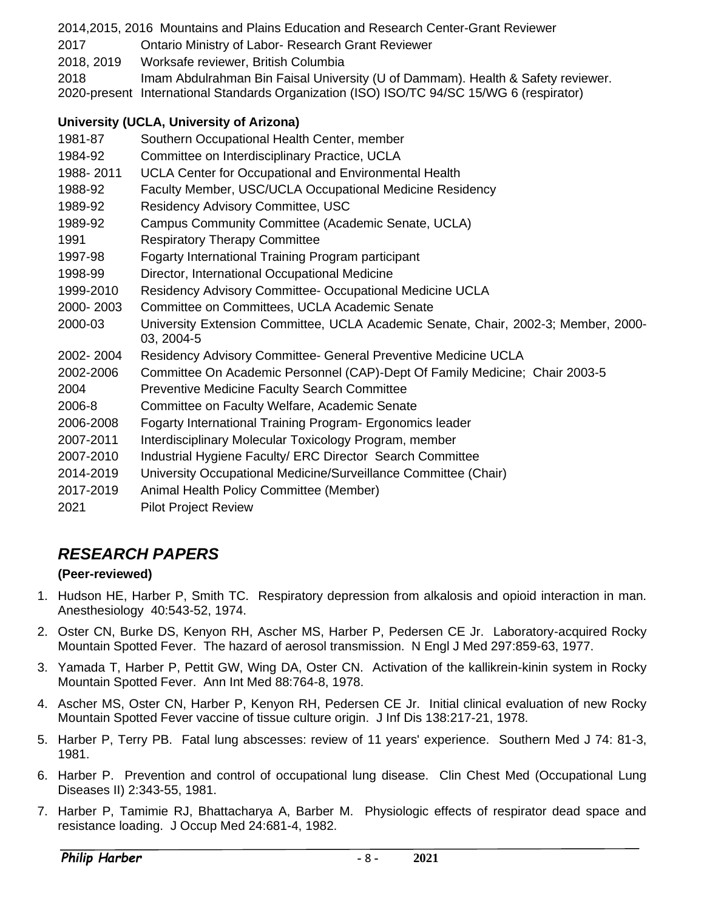2014,2015, 2016 Mountains and Plains Education and Research Center-Grant Reviewer 2017 Ontario Ministry of Labor- Research Grant Reviewer 2018, 2019 Worksafe reviewer, British Columbia 2018 Imam Abdulrahman Bin Faisal University (U of Dammam). Health & Safety reviewer. 2020-present International Standards Organization (ISO) ISO/TC 94/SC 15/WG 6 (respirator)

### **University (UCLA, University of Arizona)**

| 1981-87   | Southern Occupational Health Center, member                                                      |
|-----------|--------------------------------------------------------------------------------------------------|
| 1984-92   | Committee on Interdisciplinary Practice, UCLA                                                    |
| 1988-2011 | UCLA Center for Occupational and Environmental Health                                            |
| 1988-92   | Faculty Member, USC/UCLA Occupational Medicine Residency                                         |
| 1989-92   | <b>Residency Advisory Committee, USC</b>                                                         |
| 1989-92   | Campus Community Committee (Academic Senate, UCLA)                                               |
| 1991      | <b>Respiratory Therapy Committee</b>                                                             |
| 1997-98   | Fogarty International Training Program participant                                               |
| 1998-99   | Director, International Occupational Medicine                                                    |
| 1999-2010 | Residency Advisory Committee- Occupational Medicine UCLA                                         |
| 2000-2003 | Committee on Committees, UCLA Academic Senate                                                    |
| 2000-03   | University Extension Committee, UCLA Academic Senate, Chair, 2002-3; Member, 2000-<br>03, 2004-5 |
| 2002-2004 | <b>Residency Advisory Committee- General Preventive Medicine UCLA</b>                            |
| 2002-2006 | Committee On Academic Personnel (CAP)-Dept Of Family Medicine; Chair 2003-5                      |
| 2004      | Preventive Medicine Faculty Search Committee                                                     |
| 2006-8    | Committee on Faculty Welfare, Academic Senate                                                    |
| 2006-2008 | Fogarty International Training Program- Ergonomics leader                                        |
| 2007-2011 | Interdisciplinary Molecular Toxicology Program, member                                           |
| 2007-2010 | Industrial Hygiene Faculty/ ERC Director Search Committee                                        |
| 2014-2019 | University Occupational Medicine/Surveillance Committee (Chair)                                  |
| 2017-2019 | Animal Health Policy Committee (Member)                                                          |
| 2021      | <b>Pilot Project Review</b>                                                                      |

# <span id="page-7-0"></span>*RESEARCH PAPERS*

## **(Peer-reviewed)**

- 1. Hudson HE, Harber P, Smith TC. Respiratory depression from alkalosis and opioid interaction in man. Anesthesiology 40:543-52, 1974.
- 2. Oster CN, Burke DS, Kenyon RH, Ascher MS, Harber P, Pedersen CE Jr. Laboratory-acquired Rocky Mountain Spotted Fever. The hazard of aerosol transmission. N Engl J Med 297:859-63, 1977.
- 3. Yamada T, Harber P, Pettit GW, Wing DA, Oster CN. Activation of the kallikrein-kinin system in Rocky Mountain Spotted Fever. Ann Int Med 88:764-8, 1978.
- 4. Ascher MS, Oster CN, Harber P, Kenyon RH, Pedersen CE Jr. Initial clinical evaluation of new Rocky Mountain Spotted Fever vaccine of tissue culture origin. J Inf Dis 138:217-21, 1978.
- 5. Harber P, Terry PB. Fatal lung abscesses: review of 11 years' experience. Southern Med J 74: 81-3, 1981.
- 6. Harber P. Prevention and control of occupational lung disease. Clin Chest Med (Occupational Lung Diseases II) 2:343-55, 1981.
- 7. Harber P, Tamimie RJ, Bhattacharya A, Barber M. Physiologic effects of respirator dead space and resistance loading. J Occup Med 24:681-4, 1982.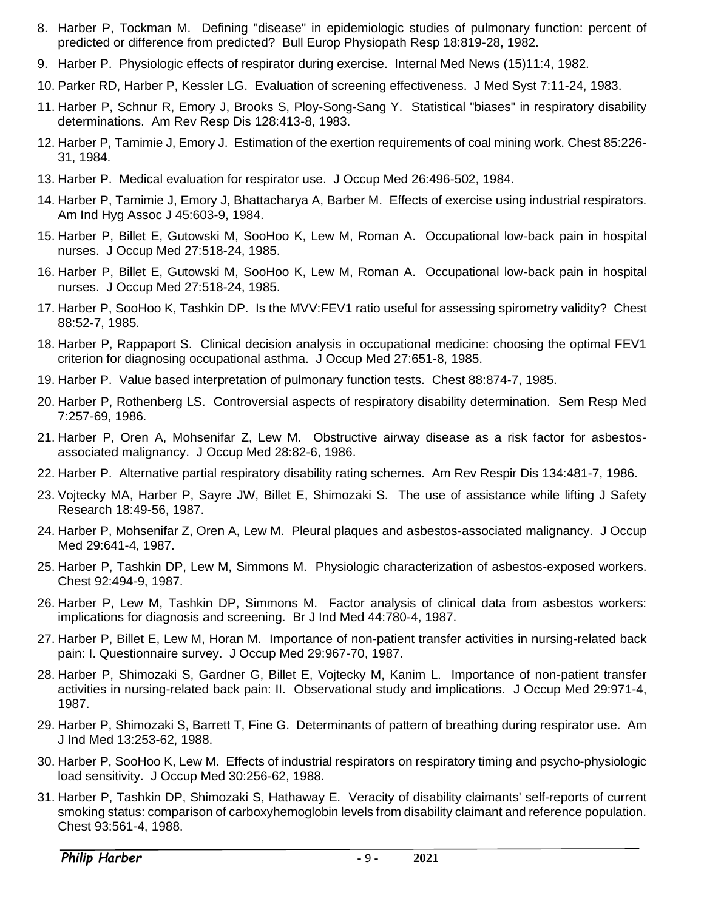- 8. Harber P, Tockman M. Defining "disease" in epidemiologic studies of pulmonary function: percent of predicted or difference from predicted? Bull Europ Physiopath Resp 18:819-28, 1982.
- 9. Harber P. Physiologic effects of respirator during exercise. Internal Med News (15)11:4, 1982.
- 10. Parker RD, Harber P, Kessler LG. Evaluation of screening effectiveness. J Med Syst 7:11-24, 1983.
- 11. Harber P, Schnur R, Emory J, Brooks S, Ploy-Song-Sang Y. Statistical "biases" in respiratory disability determinations. Am Rev Resp Dis 128:413-8, 1983.
- 12. Harber P, Tamimie J, Emory J. Estimation of the exertion requirements of coal mining work. Chest 85:226- 31, 1984.
- 13. Harber P. Medical evaluation for respirator use. J Occup Med 26:496-502, 1984.
- 14. Harber P, Tamimie J, Emory J, Bhattacharya A, Barber M. Effects of exercise using industrial respirators. Am Ind Hyg Assoc J 45:603-9, 1984.
- 15. Harber P, Billet E, Gutowski M, SooHoo K, Lew M, Roman A. Occupational low-back pain in hospital nurses. J Occup Med 27:518-24, 1985.
- 16. Harber P, Billet E, Gutowski M, SooHoo K, Lew M, Roman A. Occupational low-back pain in hospital nurses. J Occup Med 27:518-24, 1985.
- 17. Harber P, SooHoo K, Tashkin DP. Is the MVV:FEV1 ratio useful for assessing spirometry validity? Chest 88:52-7, 1985.
- 18. Harber P, Rappaport S. Clinical decision analysis in occupational medicine: choosing the optimal FEV1 criterion for diagnosing occupational asthma. J Occup Med 27:651-8, 1985.
- 19. Harber P. Value based interpretation of pulmonary function tests. Chest 88:874-7, 1985.
- 20. Harber P, Rothenberg LS. Controversial aspects of respiratory disability determination. Sem Resp Med 7:257-69, 1986.
- 21. Harber P, Oren A, Mohsenifar Z, Lew M. Obstructive airway disease as a risk factor for asbestosassociated malignancy. J Occup Med 28:82-6, 1986.
- 22. Harber P. Alternative partial respiratory disability rating schemes. Am Rev Respir Dis 134:481-7, 1986.
- 23. Vojtecky MA, Harber P, Sayre JW, Billet E, Shimozaki S. The use of assistance while lifting J Safety Research 18:49-56, 1987.
- 24. Harber P, Mohsenifar Z, Oren A, Lew M. Pleural plaques and asbestos-associated malignancy. J Occup Med 29:641-4, 1987.
- 25. Harber P, Tashkin DP, Lew M, Simmons M. Physiologic characterization of asbestos-exposed workers. Chest 92:494-9, 1987.
- 26. Harber P, Lew M, Tashkin DP, Simmons M. Factor analysis of clinical data from asbestos workers: implications for diagnosis and screening. Br J Ind Med 44:780-4, 1987.
- 27. Harber P, Billet E, Lew M, Horan M. Importance of non-patient transfer activities in nursing-related back pain: I. Questionnaire survey. J Occup Med 29:967-70, 1987.
- 28. Harber P, Shimozaki S, Gardner G, Billet E, Vojtecky M, Kanim L. Importance of non-patient transfer activities in nursing-related back pain: II. Observational study and implications. J Occup Med 29:971-4, 1987.
- 29. Harber P, Shimozaki S, Barrett T, Fine G. Determinants of pattern of breathing during respirator use. Am J Ind Med 13:253-62, 1988.
- 30. Harber P, SooHoo K, Lew M. Effects of industrial respirators on respiratory timing and psycho-physiologic load sensitivity. J Occup Med 30:256-62, 1988.
- 31. Harber P, Tashkin DP, Shimozaki S, Hathaway E. Veracity of disability claimants' self-reports of current smoking status: comparison of carboxyhemoglobin levels from disability claimant and reference population. Chest 93:561-4, 1988.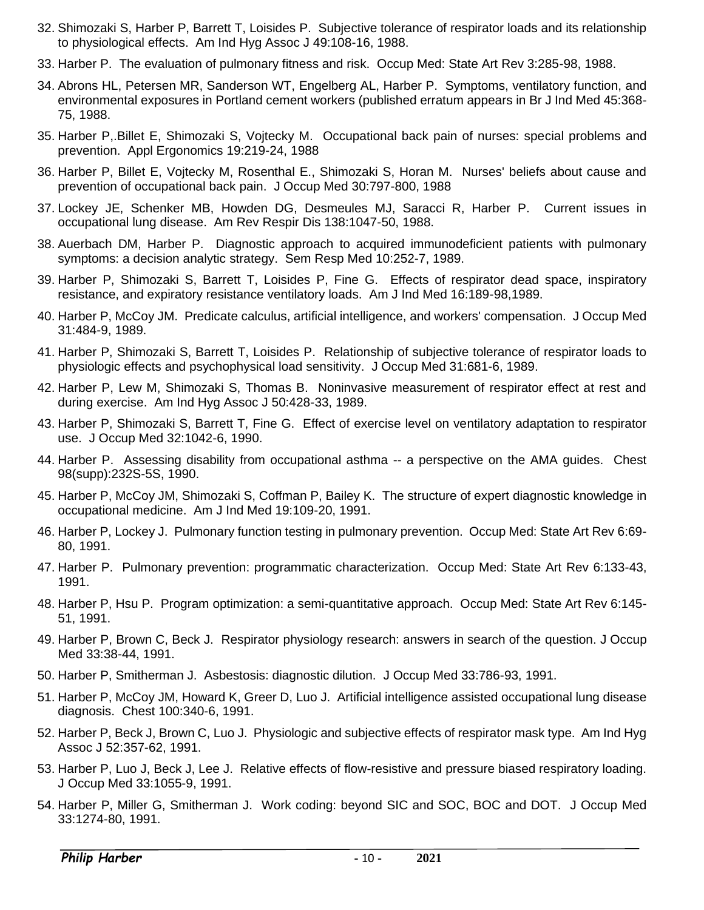- 32. Shimozaki S, Harber P, Barrett T, Loisides P. Subjective tolerance of respirator loads and its relationship to physiological effects. Am Ind Hyg Assoc J 49:108-16, 1988.
- 33. Harber P. The evaluation of pulmonary fitness and risk. Occup Med: State Art Rev 3:285-98, 1988.
- 34. Abrons HL, Petersen MR, Sanderson WT, Engelberg AL, Harber P. Symptoms, ventilatory function, and environmental exposures in Portland cement workers (published erratum appears in Br J Ind Med 45:368- 75, 1988.
- 35. Harber P,.Billet E, Shimozaki S, Vojtecky M. Occupational back pain of nurses: special problems and prevention. Appl Ergonomics 19:219-24, 1988
- 36. Harber P, Billet E, Vojtecky M, Rosenthal E., Shimozaki S, Horan M. Nurses' beliefs about cause and prevention of occupational back pain. J Occup Med 30:797-800, 1988
- 37. Lockey JE, Schenker MB, Howden DG, Desmeules MJ, Saracci R, Harber P. Current issues in occupational lung disease. Am Rev Respir Dis 138:1047-50, 1988.
- 38. Auerbach DM, Harber P. Diagnostic approach to acquired immunodeficient patients with pulmonary symptoms: a decision analytic strategy. Sem Resp Med 10:252-7, 1989.
- 39. Harber P, Shimozaki S, Barrett T, Loisides P, Fine G. Effects of respirator dead space, inspiratory resistance, and expiratory resistance ventilatory loads. Am J Ind Med 16:189-98,1989.
- 40. Harber P, McCoy JM. Predicate calculus, artificial intelligence, and workers' compensation. J Occup Med 31:484-9, 1989.
- 41. Harber P, Shimozaki S, Barrett T, Loisides P. Relationship of subjective tolerance of respirator loads to physiologic effects and psychophysical load sensitivity. J Occup Med 31:681-6, 1989.
- 42. Harber P, Lew M, Shimozaki S, Thomas B. Noninvasive measurement of respirator effect at rest and during exercise. Am Ind Hyg Assoc J 50:428-33, 1989.
- 43. Harber P, Shimozaki S, Barrett T, Fine G. Effect of exercise level on ventilatory adaptation to respirator use. J Occup Med 32:1042-6, 1990.
- 44. Harber P. Assessing disability from occupational asthma -- a perspective on the AMA guides. Chest 98(supp):232S-5S, 1990.
- 45. Harber P, McCoy JM, Shimozaki S, Coffman P, Bailey K. The structure of expert diagnostic knowledge in occupational medicine. Am J Ind Med 19:109-20, 1991.
- 46. Harber P, Lockey J. Pulmonary function testing in pulmonary prevention. Occup Med: State Art Rev 6:69- 80, 1991.
- 47. Harber P. Pulmonary prevention: programmatic characterization. Occup Med: State Art Rev 6:133-43, 1991.
- 48. Harber P, Hsu P. Program optimization: a semi-quantitative approach. Occup Med: State Art Rev 6:145- 51, 1991.
- 49. Harber P, Brown C, Beck J. Respirator physiology research: answers in search of the question. J Occup Med 33:38-44, 1991.
- 50. Harber P, Smitherman J. Asbestosis: diagnostic dilution. J Occup Med 33:786-93, 1991.
- 51. Harber P, McCoy JM, Howard K, Greer D, Luo J. Artificial intelligence assisted occupational lung disease diagnosis. Chest 100:340-6, 1991.
- 52. Harber P, Beck J, Brown C, Luo J. Physiologic and subjective effects of respirator mask type. Am Ind Hyg Assoc J 52:357-62, 1991.
- 53. Harber P, Luo J, Beck J, Lee J. Relative effects of flow-resistive and pressure biased respiratory loading. J Occup Med 33:1055-9, 1991.
- 54. Harber P, Miller G, Smitherman J. Work coding: beyond SIC and SOC, BOC and DOT. J Occup Med 33:1274-80, 1991.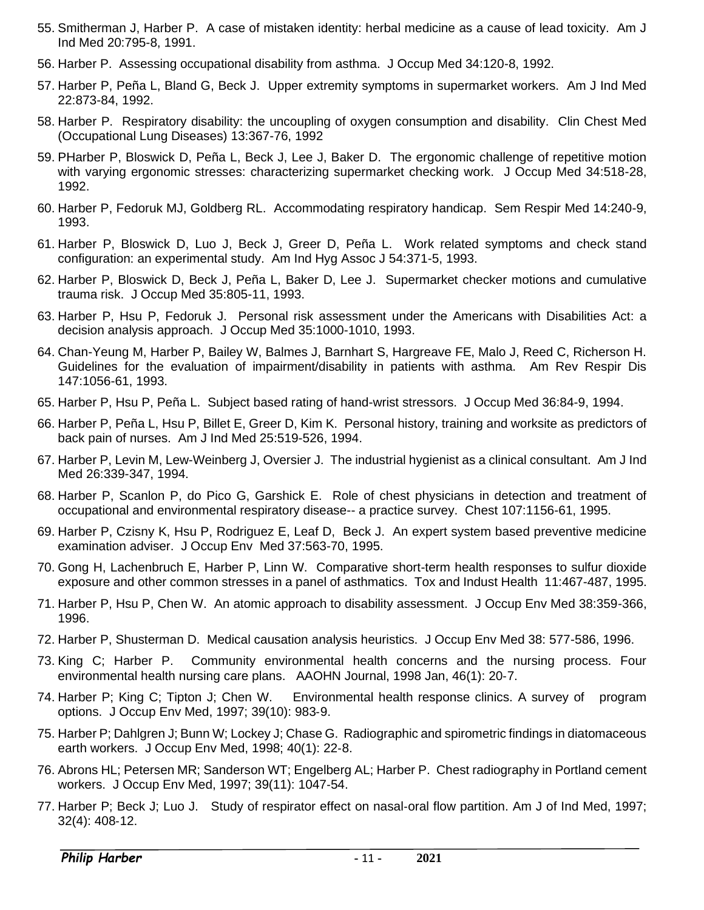- 55. Smitherman J, Harber P. A case of mistaken identity: herbal medicine as a cause of lead toxicity. Am J Ind Med 20:795-8, 1991.
- 56. Harber P. Assessing occupational disability from asthma. J Occup Med 34:120-8, 1992.
- 57. Harber P, Peña L, Bland G, Beck J. Upper extremity symptoms in supermarket workers. Am J Ind Med 22:873-84, 1992.
- 58. Harber P. Respiratory disability: the uncoupling of oxygen consumption and disability. Clin Chest Med (Occupational Lung Diseases) 13:367-76, 1992
- 59. PHarber P, Bloswick D, Peña L, Beck J, Lee J, Baker D. The ergonomic challenge of repetitive motion with varying ergonomic stresses: characterizing supermarket checking work. J Occup Med 34:518-28, 1992.
- 60. Harber P, Fedoruk MJ, Goldberg RL. Accommodating respiratory handicap. Sem Respir Med 14:240-9, 1993.
- 61. Harber P, Bloswick D, Luo J, Beck J, Greer D, Peña L. Work related symptoms and check stand configuration: an experimental study. Am Ind Hyg Assoc J 54:371-5, 1993.
- 62. Harber P, Bloswick D, Beck J, Peña L, Baker D, Lee J. Supermarket checker motions and cumulative trauma risk. J Occup Med 35:805-11, 1993.
- 63. Harber P, Hsu P, Fedoruk J. Personal risk assessment under the Americans with Disabilities Act: a decision analysis approach. J Occup Med 35:1000-1010, 1993.
- 64. Chan-Yeung M, Harber P, Bailey W, Balmes J, Barnhart S, Hargreave FE, Malo J, Reed C, Richerson H. Guidelines for the evaluation of impairment/disability in patients with asthma. Am Rev Respir Dis 147:1056-61, 1993.
- 65. Harber P, Hsu P, Peña L. Subject based rating of hand-wrist stressors. J Occup Med 36:84-9, 1994.
- 66. Harber P, Peña L, Hsu P, Billet E, Greer D, Kim K. Personal history, training and worksite as predictors of back pain of nurses. Am J Ind Med 25:519-526, 1994.
- 67. Harber P, Levin M, Lew-Weinberg J, Oversier J. The industrial hygienist as a clinical consultant. Am J Ind Med 26:339-347, 1994.
- 68. Harber P, Scanlon P, do Pico G, Garshick E. Role of chest physicians in detection and treatment of occupational and environmental respiratory disease-- a practice survey. Chest 107:1156-61, 1995.
- 69. Harber P, Czisny K, Hsu P, Rodriguez E, Leaf D, Beck J. An expert system based preventive medicine examination adviser. J Occup Env Med 37:563-70, 1995.
- 70. Gong H, Lachenbruch E, Harber P, Linn W. Comparative short-term health responses to sulfur dioxide exposure and other common stresses in a panel of asthmatics. Tox and Indust Health 11:467-487, 1995.
- 71. Harber P, Hsu P, Chen W. An atomic approach to disability assessment. J Occup Env Med 38:359-366, 1996.
- 72. Harber P, Shusterman D. Medical causation analysis heuristics. J Occup Env Med 38: 577-586, 1996.
- 73. King C; Harber P. Community environmental health concerns and the nursing process. Four environmental health nursing care plans. AAOHN Journal, 1998 Jan, 46(1): 20‑7.
- 74. Harber P; King C; Tipton J; Chen W. Environmental health response clinics. A survey of program options. J Occup Env Med, 1997; 39(10): 983‑9.
- 75. Harber P; Dahlgren J; Bunn W; Lockey J; Chase G. Radiographic and spirometric findings in diatomaceous earth workers. J Occup Env Med, 1998; 40(1): 22‑8.
- 76. Abrons HL; Petersen MR; Sanderson WT; Engelberg AL; Harber P. Chest radiography in Portland cement workers. J Occup Env Med, 1997; 39(11): 1047‑54.
- 77. Harber P; Beck J; Luo J. Study of respirator effect on nasal‑oral flow partition. Am J of Ind Med, 1997; 32(4): 408‑12.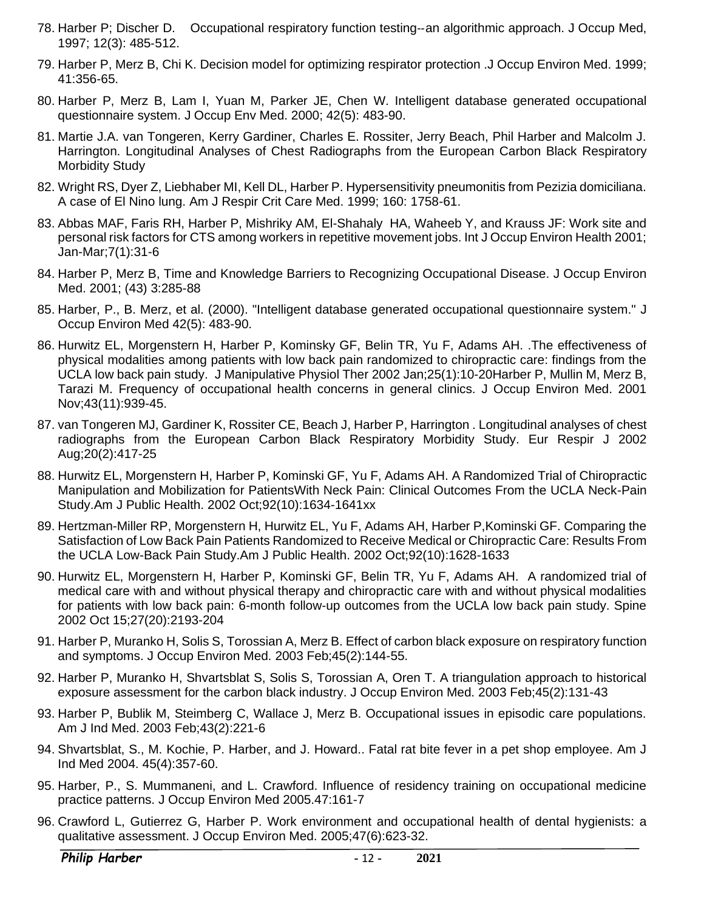- 78. Harber P; Discher D. Occupational respiratory function testing‑‑an algorithmic approach. J Occup Med, 1997; 12(3): 485‑512.
- 79. Harber P, Merz B, Chi K. Decision model for optimizing respirator protection .J Occup Environ Med. 1999; 41:356-65.
- 80. Harber P, Merz B, Lam I, Yuan M, Parker JE, Chen W. Intelligent database generated occupational questionnaire system. J Occup Env Med. 2000; 42(5): 483-90.
- 81. Martie J.A. van Tongeren, Kerry Gardiner, Charles E. Rossiter, Jerry Beach, Phil Harber and Malcolm J. Harrington. Longitudinal Analyses of Chest Radiographs from the European Carbon Black Respiratory Morbidity Study
- 82. Wright RS, Dyer Z, Liebhaber MI, Kell DL, Harber P. Hypersensitivity pneumonitis from Pezizia domiciliana. A case of El Nino lung. Am J Respir Crit Care Med. 1999; 160: 1758-61.
- 83. Abbas MAF, Faris RH, Harber P, Mishriky AM, El-Shahaly HA, Waheeb Y, and Krauss JF: Work site and personal risk factors for CTS among workers in repetitive movement jobs. Int J Occup Environ Health 2001; Jan-Mar;7(1):31-6
- 84. Harber P, Merz B, Time and Knowledge Barriers to Recognizing Occupational Disease. J Occup Environ Med. 2001; (43) 3:285-88
- 85. Harber, P., B. Merz, et al. (2000). "Intelligent database generated occupational questionnaire system." J Occup Environ Med 42(5): 483-90.
- 86. Hurwitz EL, Morgenstern H, Harber P, Kominsky GF, Belin TR, Yu F, Adams AH. .The effectiveness of physical modalities among patients with low back pain randomized to chiropractic care: findings from the UCLA low back pain study. J Manipulative Physiol Ther 2002 Jan;25(1):10-20Harber P, Mullin M, Merz B, Tarazi M. Frequency of occupational health concerns in general clinics. J Occup Environ Med. 2001 Nov;43(11):939-45.
- 87. van Tongeren MJ, Gardiner K, Rossiter CE, Beach J, Harber P, Harrington . Longitudinal analyses of chest radiographs from the European Carbon Black Respiratory Morbidity Study. Eur Respir J 2002 Aug;20(2):417-25
- 88. Hurwitz EL, Morgenstern H, Harber P, Kominski GF, Yu F, Adams AH. A Randomized Trial of Chiropractic Manipulation and Mobilization for PatientsWith Neck Pain: Clinical Outcomes From the UCLA Neck-Pain Study.Am J Public Health. 2002 Oct;92(10):1634-1641xx
- 89. Hertzman-Miller RP, Morgenstern H, Hurwitz EL, Yu F, Adams AH, Harber P,Kominski GF. Comparing the Satisfaction of Low Back Pain Patients Randomized to Receive Medical or Chiropractic Care: Results From the UCLA Low-Back Pain Study.Am J Public Health. 2002 Oct;92(10):1628-1633
- 90. Hurwitz EL, Morgenstern H, Harber P, Kominski GF, Belin TR, Yu F, Adams AH. A randomized trial of medical care with and without physical therapy and chiropractic care with and without physical modalities for patients with low back pain: 6-month follow-up outcomes from the UCLA low back pain study. Spine 2002 Oct 15;27(20):2193-204
- 91. Harber P, Muranko H, Solis S, Torossian A, Merz B. Effect of carbon black exposure on respiratory function and symptoms. J Occup Environ Med. 2003 Feb;45(2):144-55.
- 92. Harber P, Muranko H, Shvartsblat S, Solis S, Torossian A, Oren T. A triangulation approach to historical exposure assessment for the carbon black industry. J Occup Environ Med. 2003 Feb;45(2):131-43
- 93. Harber P, Bublik M, Steimberg C, Wallace J, Merz B. Occupational issues in episodic care populations. Am J Ind Med. 2003 Feb;43(2):221-6
- 94. Shvartsblat, S., M. Kochie, P. Harber, and J. Howard.. Fatal rat bite fever in a pet shop employee. Am J Ind Med 2004. 45(4):357-60.
- 95. Harber, P., S. Mummaneni, and L. Crawford. Influence of residency training on occupational medicine practice patterns. J Occup Environ Med 2005.47:161-7
- 96. Crawford L, Gutierrez G, Harber P. Work environment and occupational health of dental hygienists: a qualitative assessment. J Occup Environ Med. 2005;47(6):623-32.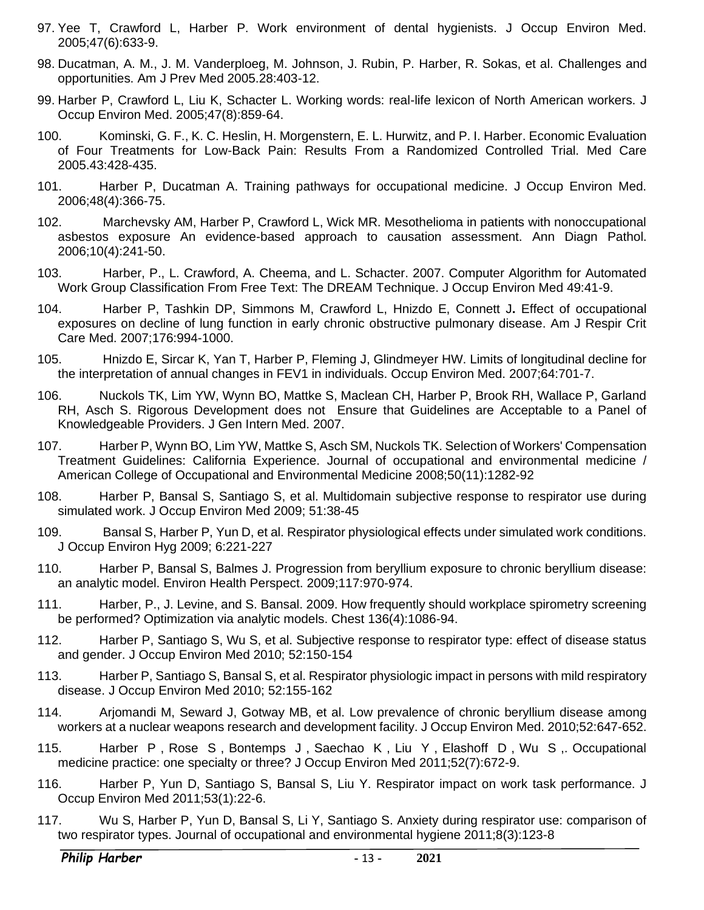- 97. Yee T, Crawford L, Harber P. Work environment of dental hygienists. J Occup Environ Med. 2005;47(6):633-9.
- 98. Ducatman, A. M., J. M. Vanderploeg, M. Johnson, J. Rubin, P. Harber, R. Sokas, et al. Challenges and opportunities. Am J Prev Med 2005.28:403-12.
- 99. Harber P, Crawford L, Liu K, Schacter L. Working words: real-life lexicon of North American workers. J Occup Environ Med. 2005;47(8):859-64.
- 100. Kominski, G. F., K. C. Heslin, H. Morgenstern, E. L. Hurwitz, and P. I. Harber. Economic Evaluation of Four Treatments for Low-Back Pain: Results From a Randomized Controlled Trial. Med Care 2005.43:428-435.
- 101. Harber P, Ducatman A. Training pathways for occupational medicine. J Occup Environ Med. 2006;48(4):366-75.
- 102. Marchevsky AM, Harber P, Crawford L, Wick MR. Mesothelioma in patients with nonoccupational asbestos exposure An evidence-based approach to causation assessment. Ann Diagn Pathol. 2006;10(4):241-50.
- 103. Harber, P., L. Crawford, A. Cheema, and L. Schacter. 2007. Computer Algorithm for Automated Work Group Classification From Free Text: The DREAM Technique. J Occup Environ Med 49:41-9.
- 104. Harber P, Tashkin DP, Simmons M, Crawford L, Hnizdo E, Connett J**.** Effect of occupational exposures on decline of lung function in early chronic obstructive pulmonary disease. Am J Respir Crit Care Med. 2007;176:994-1000.
- 105. Hnizdo E, Sircar K, Yan T, Harber P, Fleming J, Glindmeyer HW. Limits of longitudinal decline for the interpretation of annual changes in FEV1 in individuals. Occup Environ Med. 2007;64:701-7.
- 106. Nuckols TK, Lim YW, Wynn BO, Mattke S, Maclean CH, Harber P, Brook RH, Wallace P, Garland RH, Asch S. Rigorous Development does not Ensure that Guidelines are Acceptable to a Panel of Knowledgeable Providers. J Gen Intern Med. 2007.
- 107. Harber P, Wynn BO, Lim YW, Mattke S, Asch SM, Nuckols TK. Selection of Workers' Compensation Treatment Guidelines: California Experience. Journal of occupational and environmental medicine / American College of Occupational and Environmental Medicine 2008;50(11):1282-92
- 108. Harber P, Bansal S, Santiago S, et al. Multidomain subjective response to respirator use during simulated work. J Occup Environ Med 2009; 51:38-45
- 109. Bansal S, Harber P, Yun D, et al. Respirator physiological effects under simulated work conditions. J Occup Environ Hyg 2009; 6:221-227
- 110. Harber P, Bansal S, Balmes J. Progression from beryllium exposure to chronic beryllium disease: an analytic model. Environ Health Perspect. 2009;117:970-974.
- 111. Harber, P., J. Levine, and S. Bansal. 2009. How frequently should workplace spirometry screening be performed? Optimization via analytic models. Chest 136(4):1086-94.
- 112. Harber P, Santiago S, Wu S, et al. Subjective response to respirator type: effect of disease status and gender. J Occup Environ Med 2010; 52:150-154
- 113. Harber P, Santiago S, Bansal S, et al. Respirator physiologic impact in persons with mild respiratory disease. J Occup Environ Med 2010; 52:155-162
- 114. Arjomandi M, Seward J, Gotway MB, et al. Low prevalence of chronic beryllium disease among workers at a nuclear weapons research and development facility. J Occup Environ Med. 2010;52:647-652.
- 115. Harber P , Rose S , Bontemps J , Saechao K , Liu Y , Elashoff D , Wu S ,. Occupational medicine practice: one specialty or three? J Occup Environ Med 2011;52(7):672-9.
- 116. Harber P, Yun D, Santiago S, Bansal S, Liu Y. Respirator impact on work task performance. J Occup Environ Med 2011;53(1):22-6.
- 117. Wu S, Harber P, Yun D, Bansal S, Li Y, Santiago S. Anxiety during respirator use: comparison of two respirator types. Journal of occupational and environmental hygiene 2011;8(3):123-8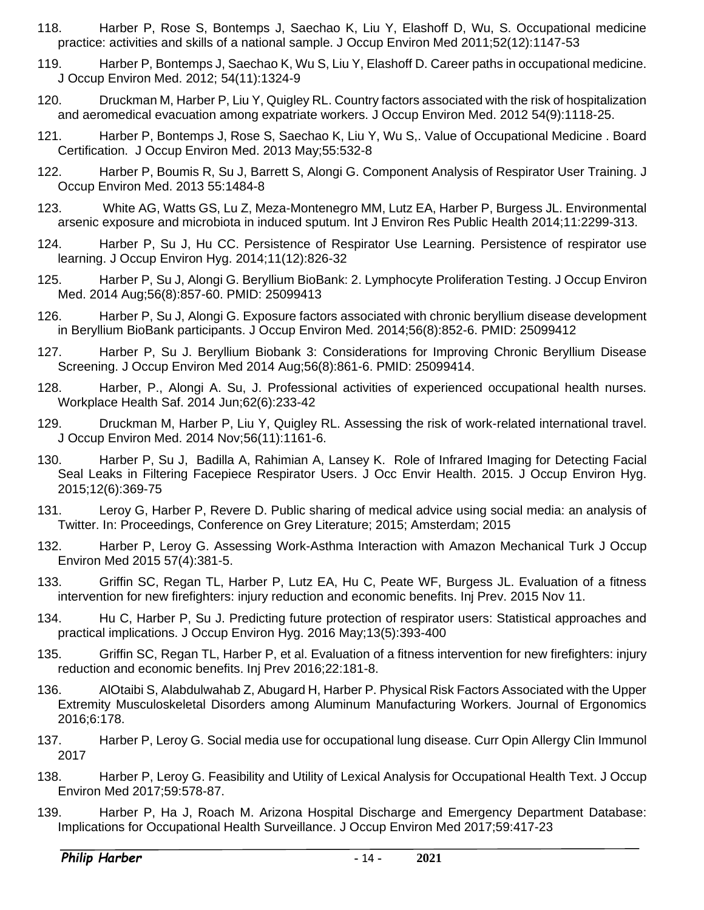- 118. Harber P, Rose S, Bontemps J, Saechao K, Liu Y, Elashoff D, Wu, S. Occupational medicine practice: activities and skills of a national sample. J Occup Environ Med 2011;52(12):1147-53
- 119. Harber P, Bontemps J, Saechao K, Wu S, Liu Y, Elashoff D. Career paths in occupational medicine. J Occup Environ Med. 2012; 54(11):1324-9
- 120. Druckman M, Harber P, Liu Y, Quigley RL. Country factors associated with the risk of hospitalization and aeromedical evacuation among expatriate workers. J Occup Environ Med. 2012 54(9):1118-25.
- 121. Harber P, Bontemps J, Rose S, Saechao K, Liu Y, Wu S,. Value of Occupational Medicine . Board Certification. J Occup Environ Med. 2013 May;55:532-8
- 122. Harber P, Boumis R, Su J, Barrett S, Alongi G. Component Analysis of Respirator User Training. J Occup Environ Med. 2013 55:1484-8
- 123. White AG, Watts GS, Lu Z, Meza-Montenegro MM, Lutz EA, Harber P, Burgess JL. Environmental arsenic exposure and microbiota in induced sputum. Int J Environ Res Public Health 2014;11:2299-313.
- 124. Harber P, Su J, Hu CC. Persistence of Respirator Use Learning. Persistence of respirator use learning. J Occup Environ Hyg. 2014;11(12):826-32
- 125. Harber P, Su J, Alongi G. Beryllium BioBank: 2. Lymphocyte Proliferation Testing. J Occup Environ Med. 2014 Aug;56(8):857-60. PMID: 25099413
- 126. Harber P, Su J, Alongi G. Exposure factors associated with chronic beryllium disease development in Beryllium BioBank participants. J Occup Environ Med. 2014;56(8):852-6. PMID: 25099412
- 127. Harber P, Su J. Beryllium Biobank 3: Considerations for Improving Chronic Beryllium Disease Screening. J Occup Environ Med 2014 Aug;56(8):861-6. PMID: 25099414.
- 128. Harber, P., Alongi A. Su, J. Professional activities of experienced occupational health nurses. Workplace Health Saf. 2014 Jun;62(6):233-42
- 129. Druckman M, Harber P, Liu Y, Quigley RL. Assessing the risk of work-related international travel. J Occup Environ Med. 2014 Nov;56(11):1161-6.
- 130. Harber P, Su J, Badilla A, Rahimian A, Lansey K. Role of Infrared Imaging for Detecting Facial Seal Leaks in Filtering Facepiece Respirator Users. J Occ Envir Health. 2015. J Occup Environ Hyg. 2015;12(6):369-75
- 131. Leroy G, Harber P, Revere D. Public sharing of medical advice using social media: an analysis of Twitter. In: Proceedings, Conference on Grey Literature; 2015; Amsterdam; 2015
- 132. Harber P, Leroy G. Assessing Work-Asthma Interaction with Amazon Mechanical Turk J Occup Environ Med 2015 57(4):381-5.
- 133. Griffin SC, Regan TL, Harber P, Lutz EA, Hu C, Peate WF, Burgess JL. Evaluation of a fitness intervention for new firefighters: injury reduction and economic benefits. Inj Prev. 2015 Nov 11.
- 134. Hu C, Harber P, Su J. Predicting future protection of respirator users: Statistical approaches and practical implications. J Occup Environ Hyg. 2016 May;13(5):393-400
- 135. Griffin SC, Regan TL, Harber P, et al. Evaluation of a fitness intervention for new firefighters: injury reduction and economic benefits. Inj Prev 2016;22:181-8.
- 136. AlOtaibi S, Alabdulwahab Z, Abugard H, Harber P. Physical Risk Factors Associated with the Upper Extremity Musculoskeletal Disorders among Aluminum Manufacturing Workers. Journal of Ergonomics 2016;6:178.
- 137. Harber P, Leroy G. Social media use for occupational lung disease. Curr Opin Allergy Clin Immunol 2017
- 138. Harber P, Leroy G. Feasibility and Utility of Lexical Analysis for Occupational Health Text. J Occup Environ Med 2017;59:578-87.
- 139. Harber P, Ha J, Roach M. Arizona Hospital Discharge and Emergency Department Database: Implications for Occupational Health Surveillance. J Occup Environ Med 2017;59:417-23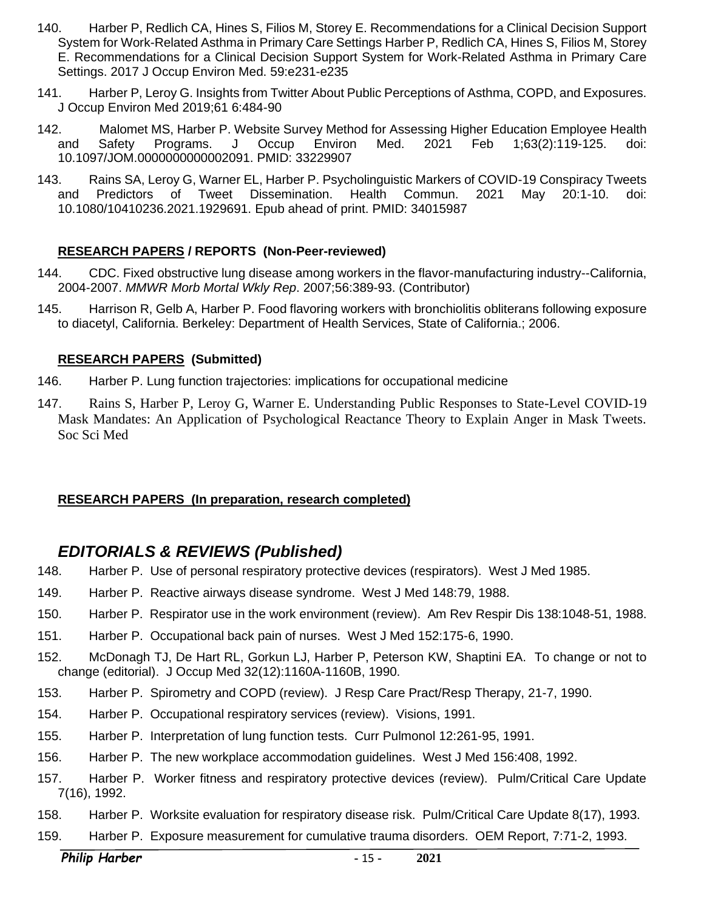- 140. Harber P, Redlich CA, Hines S, Filios M, Storey E. Recommendations for a Clinical Decision Support System for Work-Related Asthma in Primary Care Settings Harber P, Redlich CA, Hines S, Filios M, Storey E. Recommendations for a Clinical Decision Support System for Work-Related Asthma in Primary Care Settings. 2017 J Occup Environ Med. 59:e231-e235
- 141. Harber P, Leroy G. Insights from Twitter About Public Perceptions of Asthma, COPD, and Exposures. J Occup Environ Med 2019;61 6:484-90
- 142. Malomet MS, Harber P. Website Survey Method for Assessing Higher Education Employee Health and Safety Programs. J Occup Environ Med. 2021 Feb 1;63(2):119-125. doi: 10.1097/JOM.0000000000002091. PMID: 33229907
- 143. Rains SA, Leroy G, Warner EL, Harber P. Psycholinguistic Markers of COVID-19 Conspiracy Tweets and Predictors of Tweet Dissemination. Health Commun. 2021 May 20:1-10. doi: 10.1080/10410236.2021.1929691. Epub ahead of print. PMID: 34015987

#### **RESEARCH PAPERS / REPORTS (Non-Peer-reviewed)**

- 144. CDC. Fixed obstructive lung disease among workers in the flavor-manufacturing industry--California, 2004-2007. *MMWR Morb Mortal Wkly Rep*. 2007;56:389-93. (Contributor)
- 145. Harrison R, Gelb A, Harber P. Food flavoring workers with bronchiolitis obliterans following exposure to diacetyl, California. Berkeley: Department of Health Services, State of California.; 2006.

#### **RESEARCH PAPERS (Submitted)**

- 146. Harber P. Lung function trajectories: implications for occupational medicine
- 147. Rains S, Harber P, Leroy G, Warner E. Understanding Public Responses to State-Level COVID-19 Mask Mandates: An Application of Psychological Reactance Theory to Explain Anger in Mask Tweets. Soc Sci Med

#### **RESEARCH PAPERS (In preparation, research completed)**

## <span id="page-14-0"></span>*EDITORIALS & REVIEWS (Published)*

- 148. Harber P. Use of personal respiratory protective devices (respirators). West J Med 1985.
- 149. Harber P. Reactive airways disease syndrome. West J Med 148:79, 1988.
- 150. Harber P. Respirator use in the work environment (review). Am Rev Respir Dis 138:1048-51, 1988.
- 151. Harber P. Occupational back pain of nurses. West J Med 152:175-6, 1990.
- 152. McDonagh TJ, De Hart RL, Gorkun LJ, Harber P, Peterson KW, Shaptini EA. To change or not to change (editorial). J Occup Med 32(12):1160A-1160B, 1990.
- 153. Harber P. Spirometry and COPD (review). J Resp Care Pract/Resp Therapy, 21-7, 1990.
- 154. Harber P. Occupational respiratory services (review). Visions, 1991.
- 155. Harber P. Interpretation of lung function tests. Curr Pulmonol 12:261-95, 1991.
- 156. Harber P. The new workplace accommodation guidelines. West J Med 156:408, 1992.
- 157. Harber P. Worker fitness and respiratory protective devices (review). Pulm/Critical Care Update 7(16), 1992.
- 158. Harber P. Worksite evaluation for respiratory disease risk. Pulm/Critical Care Update 8(17), 1993.
- 159. Harber P. Exposure measurement for cumulative trauma disorders. OEM Report, 7:71-2, 1993.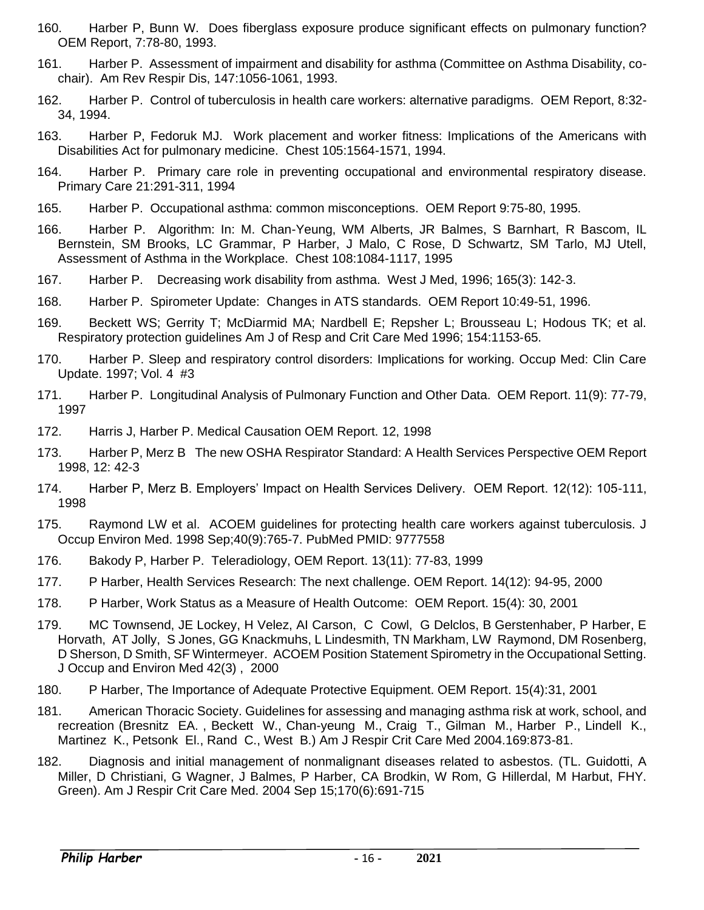- 160. Harber P, Bunn W. Does fiberglass exposure produce significant effects on pulmonary function? OEM Report, 7:78-80, 1993.
- 161. Harber P. Assessment of impairment and disability for asthma (Committee on Asthma Disability, cochair). Am Rev Respir Dis, 147:1056-1061, 1993.
- 162. Harber P. Control of tuberculosis in health care workers: alternative paradigms. OEM Report, 8:32- 34, 1994.
- 163. Harber P, Fedoruk MJ. Work placement and worker fitness: Implications of the Americans with Disabilities Act for pulmonary medicine. Chest 105:1564-1571, 1994.
- 164. Harber P. Primary care role in preventing occupational and environmental respiratory disease. Primary Care 21:291-311, 1994
- 165. Harber P. Occupational asthma: common misconceptions. OEM Report 9:75-80, 1995.
- 166. Harber P. Algorithm: In: M. Chan-Yeung, WM Alberts, JR Balmes, S Barnhart, R Bascom, IL Bernstein, SM Brooks, LC Grammar, P Harber, J Malo, C Rose, D Schwartz, SM Tarlo, MJ Utell, Assessment of Asthma in the Workplace. Chest 108:1084-1117, 1995
- 167. Harber P. Decreasing work disability from asthma. West J Med, 1996; 165(3): 142‑3.
- 168. Harber P. Spirometer Update: Changes in ATS standards. OEM Report 10:49-51, 1996.
- 169. Beckett WS; Gerrity T; McDiarmid MA; Nardbell E; Repsher L; Brousseau L; Hodous TK; et al. Respiratory protection guidelines Am J of Resp and Crit Care Med 1996; 154:1153‑65.
- 170. Harber P. Sleep and respiratory control disorders: Implications for working. Occup Med: Clin Care Update. 1997; Vol. 4 #3
- 171. Harber P. Longitudinal Analysis of Pulmonary Function and Other Data. OEM Report. 11(9): 77-79, 1997
- 172. Harris J, Harber P. Medical Causation OEM Report. 12, 1998
- 173. Harber P, Merz B The new OSHA Respirator Standard: A Health Services Perspective OEM Report 1998, 12: 42-3
- 174. Harber P, Merz B. Employers' Impact on Health Services Delivery. OEM Report. 12(12): 105-111, 1998
- 175. Raymond LW et al. ACOEM guidelines for protecting health care workers against tuberculosis. J Occup Environ Med. 1998 Sep;40(9):765-7. PubMed PMID: 9777558
- 176. Bakody P, Harber P. Teleradiology, OEM Report. 13(11): 77-83, 1999
- 177. P Harber, Health Services Research: The next challenge. OEM Report. 14(12): 94-95, 2000
- 178. P Harber, Work Status as a Measure of Health Outcome: OEM Report. 15(4): 30, 2001
- 179. MC Townsend, JE Lockey, H Velez, AI Carson, C Cowl, G Delclos, B Gerstenhaber, P Harber, E Horvath, AT Jolly, S Jones, GG Knackmuhs, L Lindesmith, TN Markham, LW Raymond, DM Rosenberg, D Sherson, D Smith, SF Wintermeyer. ACOEM Position Statement Spirometry in the Occupational Setting. J Occup and Environ Med 42(3) , 2000
- 180. P Harber, The Importance of Adequate Protective Equipment. OEM Report. 15(4):31, 2001
- 181. American Thoracic Society. Guidelines for assessing and managing asthma risk at work, school, and recreation (Bresnitz EA. , Beckett W., Chan-yeung M., Craig T., Gilman M., Harber P., Lindell K., Martinez K., Petsonk El., Rand C., West B.) Am J Respir Crit Care Med 2004.169:873-81.
- 182. Diagnosis and initial management of nonmalignant diseases related to asbestos. (TL. Guidotti, A Miller, D Christiani, G Wagner, J Balmes, P Harber, CA Brodkin, W Rom, G Hillerdal, M Harbut, FHY. Green). Am J Respir Crit Care Med. 2004 Sep 15;170(6):691-715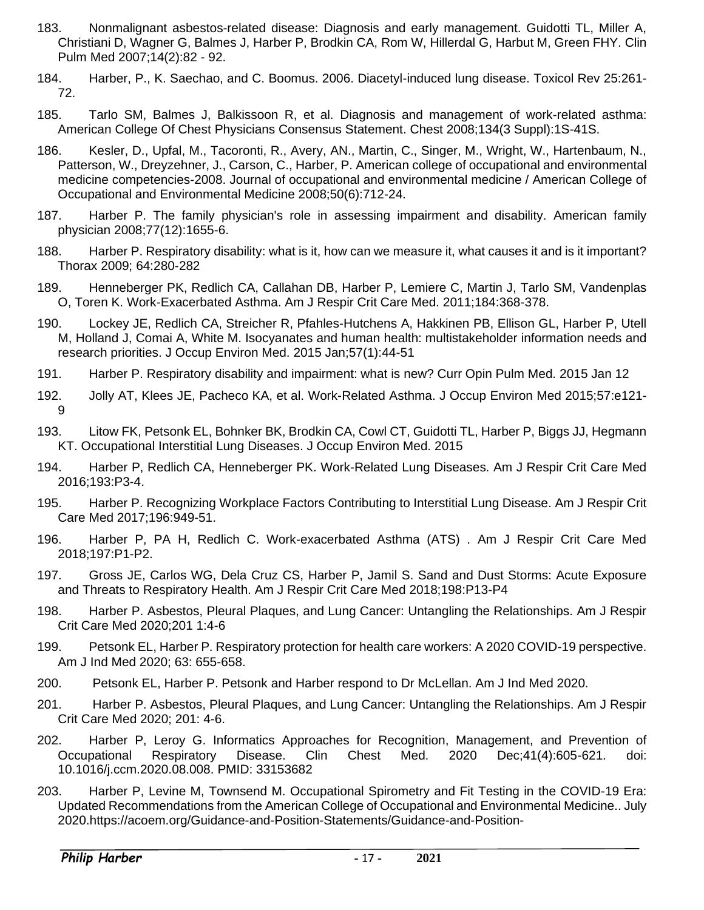- 183. Nonmalignant asbestos-related disease: Diagnosis and early management. Guidotti TL, Miller A, Christiani D, Wagner G, Balmes J, Harber P, Brodkin CA, Rom W, Hillerdal G, Harbut M, Green FHY. Clin Pulm Med 2007;14(2):82 - 92.
- 184. Harber, P., K. Saechao, and C. Boomus. 2006. Diacetyl-induced lung disease. Toxicol Rev 25:261- 72.
- 185. Tarlo SM, Balmes J, Balkissoon R, et al. Diagnosis and management of work-related asthma: American College Of Chest Physicians Consensus Statement. Chest 2008;134(3 Suppl):1S-41S.
- 186. Kesler, D., Upfal, M., Tacoronti, R., Avery, AN., Martin, C., Singer, M., Wright, W., Hartenbaum, N., Patterson, W., Dreyzehner, J., Carson, C., Harber, P. American college of occupational and environmental medicine competencies-2008. Journal of occupational and environmental medicine / American College of Occupational and Environmental Medicine 2008;50(6):712-24.
- 187. Harber P. The family physician's role in assessing impairment and disability. American family physician 2008;77(12):1655-6.
- 188. Harber P. Respiratory disability: what is it, how can we measure it, what causes it and is it important? Thorax 2009; 64:280-282
- 189. Henneberger PK, Redlich CA, Callahan DB, Harber P, Lemiere C, Martin J, Tarlo SM, Vandenplas O, Toren K. Work-Exacerbated Asthma. Am J Respir Crit Care Med. 2011;184:368-378.
- 190. Lockey JE, Redlich CA, Streicher R, Pfahles-Hutchens A, Hakkinen PB, Ellison GL, Harber P, Utell M, Holland J, Comai A, White M. Isocyanates and human health: multistakeholder information needs and research priorities. J Occup Environ Med. 2015 Jan;57(1):44-51
- 191. Harber P. Respiratory disability and impairment: what is new? Curr Opin Pulm Med. 2015 Jan 12
- 192. Jolly AT, Klees JE, Pacheco KA, et al. Work-Related Asthma. J Occup Environ Med 2015;57:e121- 9
- 193. Litow FK, Petsonk EL, Bohnker BK, Brodkin CA, Cowl CT, Guidotti TL, Harber P, Biggs JJ, Hegmann KT. Occupational Interstitial Lung Diseases. J Occup Environ Med. 2015
- 194. Harber P, Redlich CA, Henneberger PK. Work-Related Lung Diseases. Am J Respir Crit Care Med 2016;193:P3-4.
- 195. Harber P. Recognizing Workplace Factors Contributing to Interstitial Lung Disease. Am J Respir Crit Care Med 2017;196:949-51.
- 196. Harber P, PA H, Redlich C. Work-exacerbated Asthma (ATS) . Am J Respir Crit Care Med 2018;197:P1-P2.
- 197. Gross JE, Carlos WG, Dela Cruz CS, Harber P, Jamil S. Sand and Dust Storms: Acute Exposure and Threats to Respiratory Health. Am J Respir Crit Care Med 2018;198:P13-P4
- 198. Harber P. Asbestos, Pleural Plaques, and Lung Cancer: Untangling the Relationships. Am J Respir Crit Care Med 2020;201 1:4-6
- 199. Petsonk EL, Harber P. Respiratory protection for health care workers: A 2020 COVID-19 perspective. Am J Ind Med 2020; 63: 655-658.
- 200. Petsonk EL, Harber P. Petsonk and Harber respond to Dr McLellan. Am J Ind Med 2020.
- 201. Harber P. Asbestos, Pleural Plaques, and Lung Cancer: Untangling the Relationships. Am J Respir Crit Care Med 2020; 201: 4-6.
- 202. Harber P, Leroy G. Informatics Approaches for Recognition, Management, and Prevention of Occupational Respiratory Disease. Clin Chest Med. 2020 Dec;41(4):605-621. doi: 10.1016/j.ccm.2020.08.008. PMID: 33153682
- 203. Harber P, Levine M, Townsend M. Occupational Spirometry and Fit Testing in the COVID-19 Era: Updated Recommendations from the American College of Occupational and Environmental Medicine.. July 2020.https://acoem.org/Guidance-and-Position-Statements/Guidance-and-Position-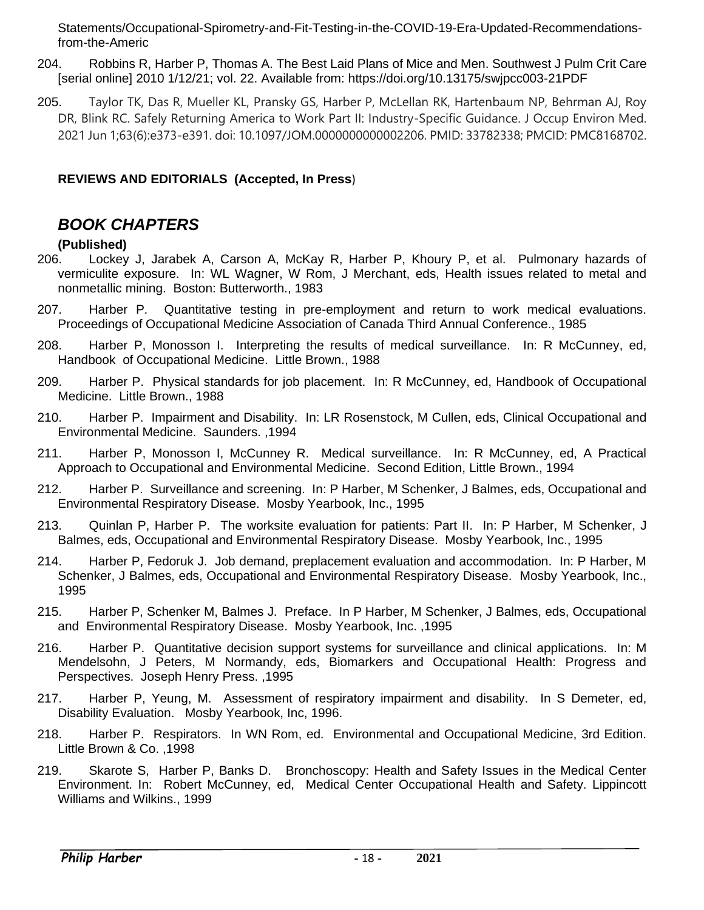Statements/Occupational-Spirometry-and-Fit-Testing-in-the-COVID-19-Era-Updated-Recommendationsfrom-the-Americ

- 204. Robbins R, Harber P, Thomas A. The Best Laid Plans of Mice and Men. Southwest J Pulm Crit Care [serial online] 2010 1/12/21; vol. 22. Available from: https://doi.org/10.13175/swjpcc003-21PDF
- 205. Taylor TK, Das R, Mueller KL, Pransky GS, Harber P, McLellan RK, Hartenbaum NP, Behrman AJ, Roy DR, Blink RC. Safely Returning America to Work Part II: Industry-Specific Guidance. J Occup Environ Med. 2021 Jun 1;63(6):e373-e391. doi: 10.1097/JOM.0000000000002206. PMID: 33782338; PMCID: PMC8168702.

#### **REVIEWS AND EDITORIALS (Accepted, In Press**)

## <span id="page-17-0"></span>*BOOK CHAPTERS*

#### **(Published)**

- 206. Lockey J, Jarabek A, Carson A, McKay R, Harber P, Khoury P, et al. Pulmonary hazards of vermiculite exposure. In: WL Wagner, W Rom, J Merchant, eds, Health issues related to metal and nonmetallic mining. Boston: Butterworth., 1983
- 207. Harber P. Quantitative testing in pre-employment and return to work medical evaluations. Proceedings of Occupational Medicine Association of Canada Third Annual Conference., 1985
- 208. Harber P, Monosson I. Interpreting the results of medical surveillance. In: R McCunney, ed, Handbook of Occupational Medicine. Little Brown., 1988
- 209. Harber P. Physical standards for job placement. In: R McCunney, ed, Handbook of Occupational Medicine. Little Brown., 1988
- 210. Harber P. Impairment and Disability. In: LR Rosenstock, M Cullen, eds, Clinical Occupational and Environmental Medicine. Saunders. ,1994
- 211. Harber P, Monosson I, McCunney R. Medical surveillance. In: R McCunney, ed, A Practical Approach to Occupational and Environmental Medicine. Second Edition, Little Brown., 1994
- 212. Harber P. Surveillance and screening. In: P Harber, M Schenker, J Balmes, eds, Occupational and Environmental Respiratory Disease. Mosby Yearbook, Inc., 1995
- 213. Quinlan P, Harber P. The worksite evaluation for patients: Part II. In: P Harber, M Schenker, J Balmes, eds, Occupational and Environmental Respiratory Disease. Mosby Yearbook, Inc., 1995
- 214. Harber P, Fedoruk J. Job demand, preplacement evaluation and accommodation. In: P Harber, M Schenker, J Balmes, eds, Occupational and Environmental Respiratory Disease. Mosby Yearbook, Inc., 1995
- 215. Harber P, Schenker M, Balmes J. Preface. In P Harber, M Schenker, J Balmes, eds, Occupational and Environmental Respiratory Disease. Mosby Yearbook, Inc. ,1995
- 216. Harber P. Quantitative decision support systems for surveillance and clinical applications. In: M Mendelsohn, J Peters, M Normandy, eds, Biomarkers and Occupational Health: Progress and Perspectives. Joseph Henry Press. ,1995
- 217. Harber P, Yeung, M. Assessment of respiratory impairment and disability. In S Demeter, ed, Disability Evaluation. Mosby Yearbook, Inc, 1996.
- 218. Harber P. Respirators. In WN Rom, ed. Environmental and Occupational Medicine, 3rd Edition. Little Brown & Co. ,1998
- 219. Skarote S, Harber P, Banks D. Bronchoscopy: Health and Safety Issues in the Medical Center Environment. In: Robert McCunney, ed, Medical Center Occupational Health and Safety. Lippincott Williams and Wilkins., 1999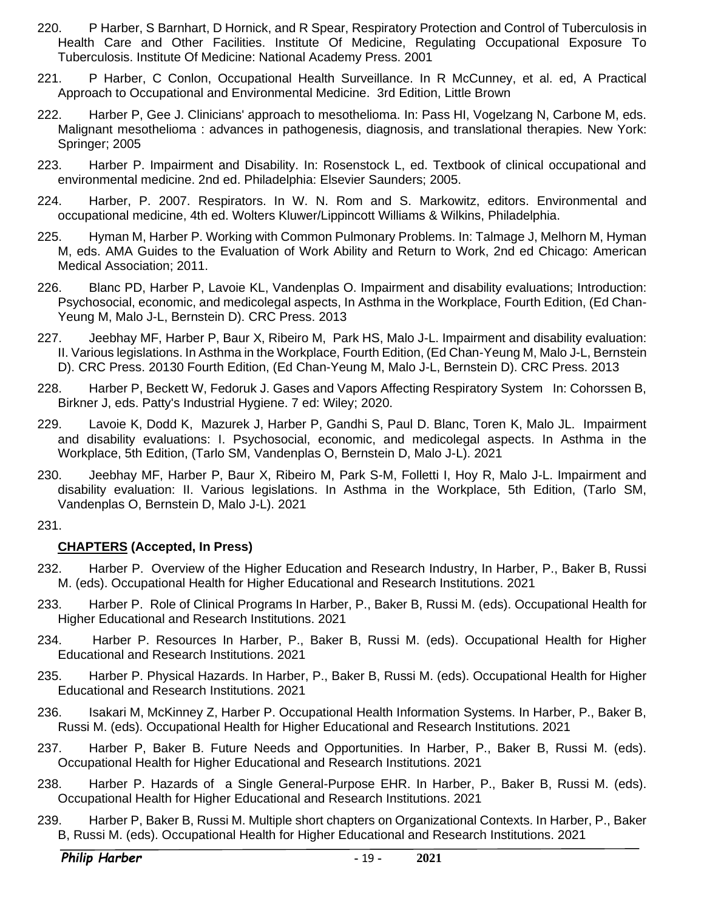- 220. P Harber, S Barnhart, D Hornick, and R Spear, Respiratory Protection and Control of Tuberculosis in Health Care and Other Facilities. Institute Of Medicine, Regulating Occupational Exposure To Tuberculosis. Institute Of Medicine: National Academy Press. 2001
- 221. P Harber, C Conlon, Occupational Health Surveillance. In R McCunney, et al. ed, A Practical Approach to Occupational and Environmental Medicine. 3rd Edition, Little Brown
- 222. Harber P, Gee J. Clinicians' approach to mesothelioma. In: Pass HI, Vogelzang N, Carbone M, eds. Malignant mesothelioma : advances in pathogenesis, diagnosis, and translational therapies. New York: Springer; 2005
- 223. Harber P. Impairment and Disability. In: Rosenstock L, ed. Textbook of clinical occupational and environmental medicine. 2nd ed. Philadelphia: Elsevier Saunders; 2005.
- 224. Harber, P. 2007. Respirators. In W. N. Rom and S. Markowitz, editors. Environmental and occupational medicine, 4th ed. Wolters Kluwer/Lippincott Williams & Wilkins, Philadelphia.
- 225. Hyman M, Harber P. Working with Common Pulmonary Problems. In: Talmage J, Melhorn M, Hyman M, eds. AMA Guides to the Evaluation of Work Ability and Return to Work, 2nd ed Chicago: American Medical Association; 2011.
- 226. Blanc PD, Harber P, Lavoie KL, Vandenplas O. Impairment and disability evaluations; Introduction: Psychosocial, economic, and medicolegal aspects, In Asthma in the Workplace, Fourth Edition, (Ed Chan-Yeung M, Malo J-L, Bernstein D). CRC Press. 2013
- 227. Jeebhay MF, Harber P, Baur X, Ribeiro M, Park HS, Malo J-L. Impairment and disability evaluation: II. Various legislations. In Asthma in the Workplace, Fourth Edition, (Ed Chan-Yeung M, Malo J-L, Bernstein D). CRC Press. 20130 Fourth Edition, (Ed Chan-Yeung M, Malo J-L, Bernstein D). CRC Press. 2013
- 228. Harber P, Beckett W, Fedoruk J. Gases and Vapors Affecting Respiratory System In: Cohorssen B, Birkner J, eds. Patty's Industrial Hygiene. 7 ed: Wiley; 2020.
- 229. Lavoie K, Dodd K, Mazurek J, Harber P, Gandhi S, Paul D. Blanc, Toren K, Malo JL. Impairment and disability evaluations: I. Psychosocial, economic, and medicolegal aspects. In Asthma in the Workplace, 5th Edition, (Tarlo SM, Vandenplas O, Bernstein D, Malo J-L). 2021
- 230. Jeebhay MF, Harber P, Baur X, Ribeiro M, Park S-M, Folletti I, Hoy R, Malo J-L. Impairment and disability evaluation: II. Various legislations. In Asthma in the Workplace, 5th Edition, (Tarlo SM, Vandenplas O, Bernstein D, Malo J-L). 2021

#### 231.

#### **CHAPTERS (Accepted, In Press)**

- 232. Harber P. Overview of the Higher Education and Research Industry, In Harber, P., Baker B, Russi M. (eds). Occupational Health for Higher Educational and Research Institutions. 2021
- 233. Harber P. Role of Clinical Programs In Harber, P., Baker B, Russi M. (eds). Occupational Health for Higher Educational and Research Institutions. 2021
- 234. Harber P. Resources In Harber, P., Baker B, Russi M. (eds). Occupational Health for Higher Educational and Research Institutions. 2021
- 235. Harber P. Physical Hazards. In Harber, P., Baker B, Russi M. (eds). Occupational Health for Higher Educational and Research Institutions. 2021
- 236. Isakari M, McKinney Z, Harber P. Occupational Health Information Systems. In Harber, P., Baker B, Russi M. (eds). Occupational Health for Higher Educational and Research Institutions. 2021
- 237. Harber P, Baker B. Future Needs and Opportunities. In Harber, P., Baker B, Russi M. (eds). Occupational Health for Higher Educational and Research Institutions. 2021
- 238. Harber P. Hazards of a Single General-Purpose EHR. In Harber, P., Baker B, Russi M. (eds). Occupational Health for Higher Educational and Research Institutions. 2021
- 239. Harber P, Baker B, Russi M. Multiple short chapters on Organizational Contexts. In Harber, P., Baker B, Russi M. (eds). Occupational Health for Higher Educational and Research Institutions. 2021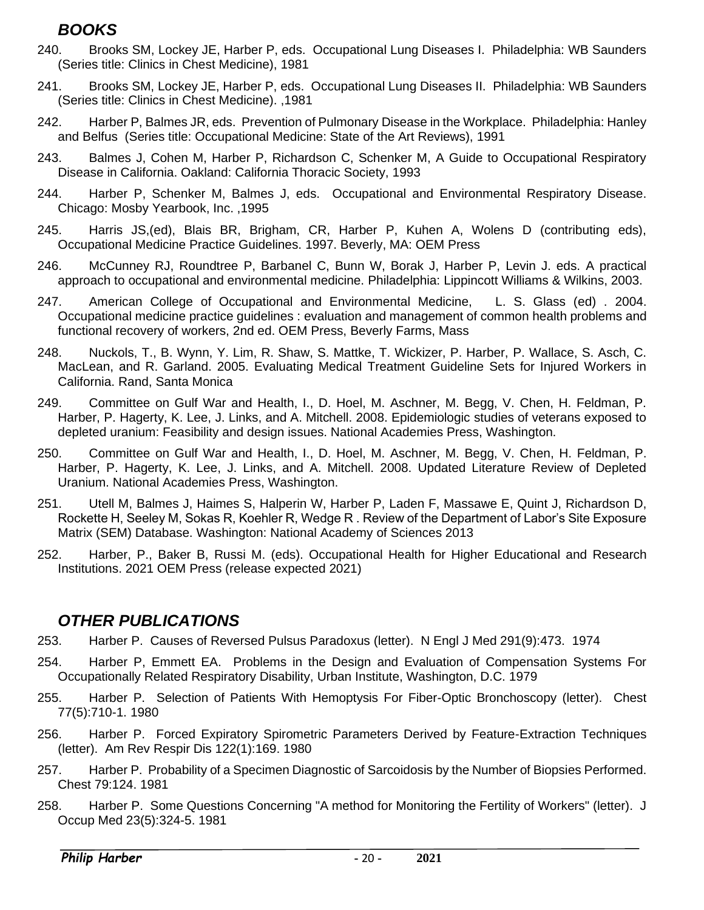# <span id="page-19-0"></span>*BOOKS*

- 240. Brooks SM, Lockey JE, Harber P, eds. Occupational Lung Diseases I. Philadelphia: WB Saunders (Series title: Clinics in Chest Medicine), 1981
- 241. Brooks SM, Lockey JE, Harber P, eds. Occupational Lung Diseases II. Philadelphia: WB Saunders (Series title: Clinics in Chest Medicine). ,1981
- 242. Harber P, Balmes JR, eds. Prevention of Pulmonary Disease in the Workplace. Philadelphia: Hanley and Belfus (Series title: Occupational Medicine: State of the Art Reviews), 1991
- 243. Balmes J, Cohen M, Harber P, Richardson C, Schenker M, A Guide to Occupational Respiratory Disease in California. Oakland: California Thoracic Society, 1993
- 244. Harber P, Schenker M, Balmes J, eds. Occupational and Environmental Respiratory Disease. Chicago: Mosby Yearbook, Inc. ,1995
- 245. Harris JS,(ed), Blais BR, Brigham, CR, Harber P, Kuhen A, Wolens D (contributing eds), Occupational Medicine Practice Guidelines. 1997. Beverly, MA: OEM Press
- 246. McCunney RJ, Roundtree P, Barbanel C, Bunn W, Borak J, Harber P, Levin J. eds. A practical approach to occupational and environmental medicine. Philadelphia: Lippincott Williams & Wilkins, 2003.
- 247. American College of Occupational and Environmental Medicine, L. S. Glass (ed) . 2004. Occupational medicine practice guidelines : evaluation and management of common health problems and functional recovery of workers, 2nd ed. OEM Press, Beverly Farms, Mass
- 248. Nuckols, T., B. Wynn, Y. Lim, R. Shaw, S. Mattke, T. Wickizer, P. Harber, P. Wallace, S. Asch, C. MacLean, and R. Garland. 2005. Evaluating Medical Treatment Guideline Sets for Injured Workers in California. Rand, Santa Monica
- 249. Committee on Gulf War and Health, I., D. Hoel, M. Aschner, M. Begg, V. Chen, H. Feldman, P. Harber, P. Hagerty, K. Lee, J. Links, and A. Mitchell. 2008. Epidemiologic studies of veterans exposed to depleted uranium: Feasibility and design issues. National Academies Press, Washington.
- 250. Committee on Gulf War and Health, I., D. Hoel, M. Aschner, M. Begg, V. Chen, H. Feldman, P. Harber, P. Hagerty, K. Lee, J. Links, and A. Mitchell. 2008. Updated Literature Review of Depleted Uranium. National Academies Press, Washington.
- 251. Utell M, Balmes J, Haimes S, Halperin W, Harber P, Laden F, Massawe E, Quint J, Richardson D, Rockette H, Seeley M, Sokas R, Koehler R, Wedge R . Review of the Department of Labor's Site Exposure Matrix (SEM) Database. Washington: National Academy of Sciences 2013
- 252. Harber, P., Baker B, Russi M. (eds). Occupational Health for Higher Educational and Research Institutions. 2021 OEM Press (release expected 2021)

# <span id="page-19-1"></span>*OTHER PUBLICATIONS*

- 253. Harber P. Causes of Reversed Pulsus Paradoxus (letter). N Engl J Med 291(9):473. 1974
- 254. Harber P, Emmett EA. Problems in the Design and Evaluation of Compensation Systems For Occupationally Related Respiratory Disability, Urban Institute, Washington, D.C. 1979
- 255. Harber P. Selection of Patients With Hemoptysis For Fiber-Optic Bronchoscopy (letter). Chest 77(5):710-1. 1980
- 256. Harber P. Forced Expiratory Spirometric Parameters Derived by Feature-Extraction Techniques (letter). Am Rev Respir Dis 122(1):169. 1980
- 257. Harber P. Probability of a Specimen Diagnostic of Sarcoidosis by the Number of Biopsies Performed. Chest 79:124. 1981
- 258. Harber P. Some Questions Concerning "A method for Monitoring the Fertility of Workers" (letter). J Occup Med 23(5):324-5. 1981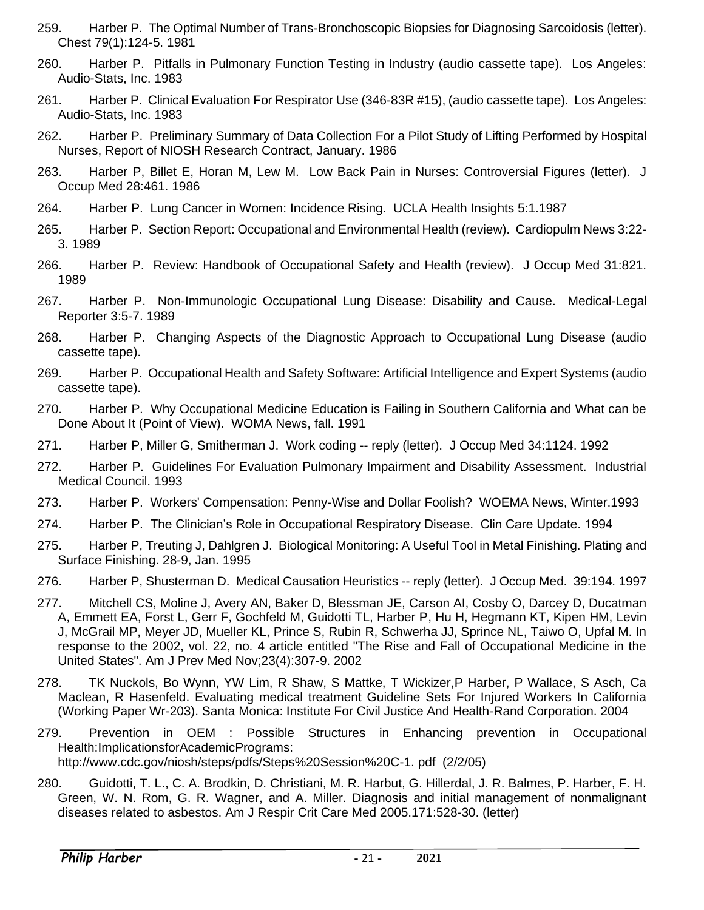- 259. Harber P. The Optimal Number of Trans-Bronchoscopic Biopsies for Diagnosing Sarcoidosis (letter). Chest 79(1):124-5. 1981
- 260. Harber P. Pitfalls in Pulmonary Function Testing in Industry (audio cassette tape). Los Angeles: Audio-Stats, Inc. 1983
- 261. Harber P. Clinical Evaluation For Respirator Use (346-83R #15), (audio cassette tape). Los Angeles: Audio-Stats, Inc. 1983
- 262. Harber P. Preliminary Summary of Data Collection For a Pilot Study of Lifting Performed by Hospital Nurses, Report of NIOSH Research Contract, January. 1986
- 263. Harber P, Billet E, Horan M, Lew M. Low Back Pain in Nurses: Controversial Figures (letter). J Occup Med 28:461. 1986
- 264. Harber P. Lung Cancer in Women: Incidence Rising. UCLA Health Insights 5:1.1987
- 265. Harber P. Section Report: Occupational and Environmental Health (review). Cardiopulm News 3:22- 3. 1989
- 266. Harber P. Review: Handbook of Occupational Safety and Health (review). J Occup Med 31:821. 1989
- 267. Harber P. Non-Immunologic Occupational Lung Disease: Disability and Cause. Medical-Legal Reporter 3:5-7. 1989
- 268. Harber P. Changing Aspects of the Diagnostic Approach to Occupational Lung Disease (audio cassette tape).
- 269. Harber P. Occupational Health and Safety Software: Artificial Intelligence and Expert Systems (audio cassette tape).
- 270. Harber P. Why Occupational Medicine Education is Failing in Southern California and What can be Done About It (Point of View). WOMA News, fall. 1991
- 271. Harber P, Miller G, Smitherman J. Work coding -- reply (letter). J Occup Med 34:1124. 1992
- 272. Harber P. Guidelines For Evaluation Pulmonary Impairment and Disability Assessment. Industrial Medical Council. 1993
- 273. Harber P. Workers' Compensation: Penny-Wise and Dollar Foolish? WOEMA News, Winter.1993
- 274. Harber P. The Clinician's Role in Occupational Respiratory Disease. Clin Care Update. 1994
- 275. Harber P, Treuting J, Dahlgren J. Biological Monitoring: A Useful Tool in Metal Finishing. Plating and Surface Finishing. 28-9, Jan. 1995
- 276. Harber P, Shusterman D. Medical Causation Heuristics -- reply (letter). J Occup Med. 39:194. 1997
- 277. Mitchell CS, Moline J, Avery AN, Baker D, Blessman JE, Carson AI, Cosby O, Darcey D, Ducatman A, Emmett EA, Forst L, Gerr F, Gochfeld M, Guidotti TL, Harber P, Hu H, Hegmann KT, Kipen HM, Levin J, McGrail MP, Meyer JD, Mueller KL, Prince S, Rubin R, Schwerha JJ, Sprince NL, Taiwo O, Upfal M. In response to the 2002, vol. 22, no. 4 article entitled "The Rise and Fall of Occupational Medicine in the United States". Am J Prev Med Nov;23(4):307-9. 2002
- 278. TK Nuckols, Bo Wynn, YW Lim, R Shaw, S Mattke, T Wickizer,P Harber, P Wallace, S Asch, Ca Maclean, R Hasenfeld. Evaluating medical treatment Guideline Sets For Injured Workers In California (Working Paper Wr-203). Santa Monica: Institute For Civil Justice And Health-Rand Corporation. 2004
- 279. Prevention in OEM : Possible Structures in Enhancing prevention in Occupational Health:ImplicationsforAcademicPrograms: http://www.cdc.gov/niosh/steps/pdfs/Steps%20Session%20C-1. pdf (2/2/05)
- 280. Guidotti, T. L., C. A. Brodkin, D. Christiani, M. R. Harbut, G. Hillerdal, J. R. Balmes, P. Harber, F. H. Green, W. N. Rom, G. R. Wagner, and A. Miller. Diagnosis and initial management of nonmalignant diseases related to asbestos. Am J Respir Crit Care Med 2005.171:528-30. (letter)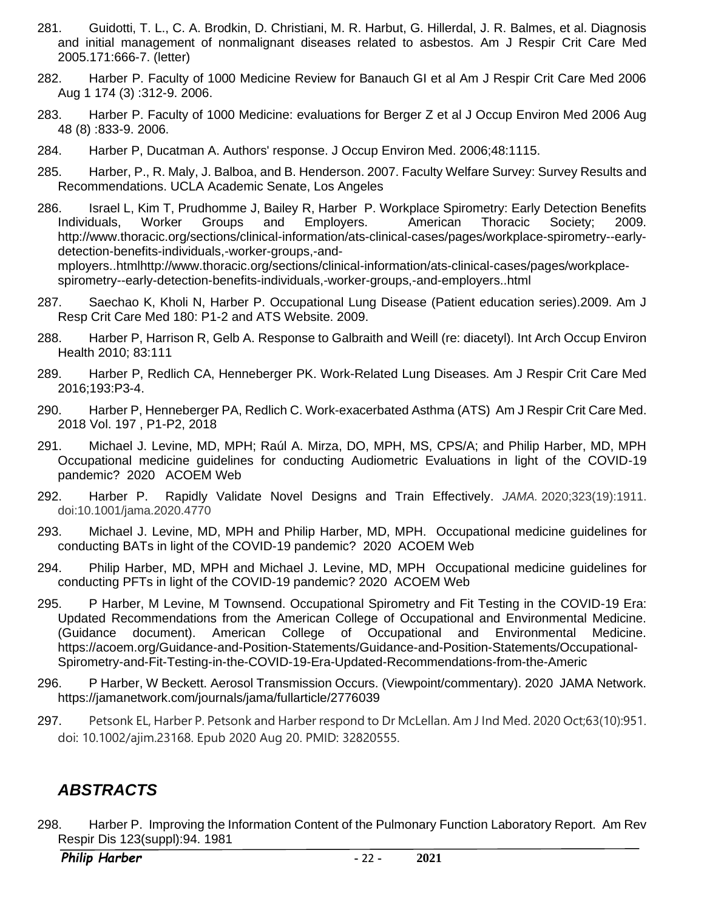- 281. Guidotti, T. L., C. A. Brodkin, D. Christiani, M. R. Harbut, G. Hillerdal, J. R. Balmes, et al. Diagnosis and initial management of nonmalignant diseases related to asbestos. Am J Respir Crit Care Med 2005.171:666-7. (letter)
- 282. Harber P. Faculty of 1000 Medicine Review for Banauch GI et al Am J Respir Crit Care Med 2006 Aug 1 174 (3) :312-9. 2006.
- 283. Harber P. Faculty of 1000 Medicine: evaluations for Berger Z et al J Occup Environ Med 2006 Aug 48 (8) :833-9. 2006.
- 284. Harber P, Ducatman A. Authors' response. J Occup Environ Med. 2006;48:1115.
- 285. Harber, P., R. Maly, J. Balboa, and B. Henderson. 2007. Faculty Welfare Survey: Survey Results and Recommendations. UCLA Academic Senate, Los Angeles
- 286. Israel L, Kim T, Prudhomme J, Bailey R, Harber P. Workplace Spirometry: Early Detection Benefits Individuals, Worker Groups and Employers. American Thoracic Society; 2009. http://www.thoracic.org/sections/clinical-information/ats-clinical-cases/pages/workplace-spirometry--earlydetection-benefits-individuals,-worker-groups,-and-

mployers..htmlhttp://www.thoracic.org/sections/clinical-information/ats-clinical-cases/pages/workplacespirometry--early-detection-benefits-individuals,-worker-groups,-and-employers..html

- 287. Saechao K, Kholi N, Harber P. Occupational Lung Disease (Patient education series).2009. Am J Resp Crit Care Med 180: P1-2 and ATS Website. 2009.
- 288. Harber P, Harrison R, Gelb A. Response to Galbraith and Weill (re: diacetyl). Int Arch Occup Environ Health 2010; 83:111
- 289. Harber P, Redlich CA, Henneberger PK. Work-Related Lung Diseases. Am J Respir Crit Care Med 2016;193:P3-4.
- 290. Harber P, Henneberger PA, Redlich C. Work-exacerbated Asthma (ATS) Am J Respir Crit Care Med. 2018 Vol. 197 , P1-P2, 2018
- 291. Michael J. Levine, MD, MPH; Raúl A. Mirza, DO, MPH, MS, CPS/A; and Philip Harber, MD, MPH [Occupational medicine guidelines for conducting Audiometric Evaluations in light of the COVID-19](https://acoem.org/COVID-19-Resource-Center/COVID-19-Q-A-Forum/What-are-the-occupational-medicine-guidelines-for-conducting-Audiometric-Evaluations-in-light-of-the)  [pandemic?](https://acoem.org/COVID-19-Resource-Center/COVID-19-Q-A-Forum/What-are-the-occupational-medicine-guidelines-for-conducting-Audiometric-Evaluations-in-light-of-the) 2020 ACOEM Web
- 292. Harber P. Rapidly Validate Novel Designs and Train Effectively. *JAMA.* 2020;323(19):1911. doi:10.1001/jama.2020.4770
- 293. Michael J. Levine, MD, MPH and Philip Harber, MD, MPH. [Occupational medicine](https://acoem.org/COVID-19-Resource-Center/COVID-19-Q-A-Forum/What-are-the-occupational-medicine-guidelines-for-conducting-BATs-in-light-of-the-COVID-19-pandemic) guidelines for [conducting BATs in light of the COVID-19 pandemic?](https://acoem.org/COVID-19-Resource-Center/COVID-19-Q-A-Forum/What-are-the-occupational-medicine-guidelines-for-conducting-BATs-in-light-of-the-COVID-19-pandemic) 2020 ACOEM Web
- 294. Philip Harber, MD, MPH and Michael J. Levine, MD, MPH [Occupational medicine guidelines for](https://acoem.org/COVID-19-Resource-Center/COVID-19-Q-A-Forum/What-are-the-occupational-medicine-guidelines-for-conducting-PFTs-in-light-of-the-COVID-19-pandemic)  [conducting PFTs in light of the COVID-19 pandemic?](https://acoem.org/COVID-19-Resource-Center/COVID-19-Q-A-Forum/What-are-the-occupational-medicine-guidelines-for-conducting-PFTs-in-light-of-the-COVID-19-pandemic) 2020 ACOEM Web
- 295. P Harber, M Levine, M Townsend. Occupational Spirometry and Fit Testing in the COVID-19 Era: Updated Recommendations from the American College of Occupational and Environmental Medicine. (Guidance document). American College of Occupational and Environmental Medicine. https://acoem.org/Guidance-and-Position-Statements/Guidance-and-Position-Statements/Occupational-Spirometry-and-Fit-Testing-in-the-COVID-19-Era-Updated-Recommendations-from-the-Americ
- 296. P Harber, W Beckett. Aerosol Transmission Occurs. (Viewpoint/commentary). 2020 JAMA Network. https://jamanetwork.com/journals/jama/fullarticle/2776039
- 297. Petsonk EL, Harber P. Petsonk and Harber respond to Dr McLellan. Am J Ind Med. 2020 Oct;63(10):951. doi: 10.1002/ajim.23168. Epub 2020 Aug 20. PMID: 32820555.

# <span id="page-21-0"></span>*ABSTRACTS*

298. Harber P. Improving the Information Content of the Pulmonary Function Laboratory Report. Am Rev Respir Dis 123(suppl):94. 1981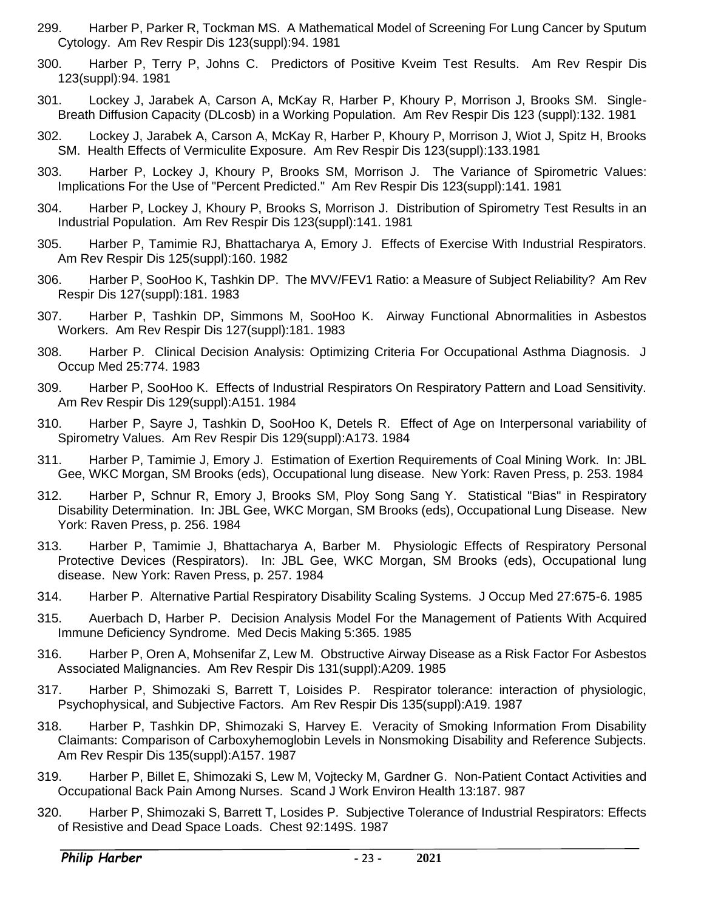- 299. Harber P, Parker R, Tockman MS. A Mathematical Model of Screening For Lung Cancer by Sputum Cytology. Am Rev Respir Dis 123(suppl):94. 1981
- 300. Harber P, Terry P, Johns C. Predictors of Positive Kveim Test Results. Am Rev Respir Dis 123(suppl):94. 1981
- 301. Lockey J, Jarabek A, Carson A, McKay R, Harber P, Khoury P, Morrison J, Brooks SM. Single-Breath Diffusion Capacity (DLcosb) in a Working Population. Am Rev Respir Dis 123 (suppl):132. 1981
- 302. Lockey J, Jarabek A, Carson A, McKay R, Harber P, Khoury P, Morrison J, Wiot J, Spitz H, Brooks SM. Health Effects of Vermiculite Exposure. Am Rev Respir Dis 123(suppl):133.1981
- 303. Harber P, Lockey J, Khoury P, Brooks SM, Morrison J. The Variance of Spirometric Values: Implications For the Use of "Percent Predicted." Am Rev Respir Dis 123(suppl):141. 1981
- 304. Harber P, Lockey J, Khoury P, Brooks S, Morrison J. Distribution of Spirometry Test Results in an Industrial Population. Am Rev Respir Dis 123(suppl):141. 1981
- 305. Harber P, Tamimie RJ, Bhattacharya A, Emory J. Effects of Exercise With Industrial Respirators. Am Rev Respir Dis 125(suppl):160. 1982
- 306. Harber P, SooHoo K, Tashkin DP. The MVV/FEV1 Ratio: a Measure of Subject Reliability? Am Rev Respir Dis 127(suppl):181. 1983
- 307. Harber P, Tashkin DP, Simmons M, SooHoo K. Airway Functional Abnormalities in Asbestos Workers. Am Rev Respir Dis 127(suppl):181. 1983
- 308. Harber P. Clinical Decision Analysis: Optimizing Criteria For Occupational Asthma Diagnosis. J Occup Med 25:774. 1983
- 309. Harber P, SooHoo K. Effects of Industrial Respirators On Respiratory Pattern and Load Sensitivity. Am Rev Respir Dis 129(suppl):A151. 1984
- 310. Harber P, Sayre J, Tashkin D, SooHoo K, Detels R. Effect of Age on Interpersonal variability of Spirometry Values. Am Rev Respir Dis 129(suppl):A173. 1984
- 311. Harber P, Tamimie J, Emory J. Estimation of Exertion Requirements of Coal Mining Work. In: JBL Gee, WKC Morgan, SM Brooks (eds), Occupational lung disease. New York: Raven Press, p. 253. 1984
- 312. Harber P, Schnur R, Emory J, Brooks SM, Ploy Song Sang Y. Statistical "Bias" in Respiratory Disability Determination. In: JBL Gee, WKC Morgan, SM Brooks (eds), Occupational Lung Disease. New York: Raven Press, p. 256. 1984
- 313. Harber P, Tamimie J, Bhattacharya A, Barber M. Physiologic Effects of Respiratory Personal Protective Devices (Respirators). In: JBL Gee, WKC Morgan, SM Brooks (eds), Occupational lung disease. New York: Raven Press, p. 257. 1984
- 314. Harber P. Alternative Partial Respiratory Disability Scaling Systems. J Occup Med 27:675-6. 1985
- 315. Auerbach D, Harber P. Decision Analysis Model For the Management of Patients With Acquired Immune Deficiency Syndrome. Med Decis Making 5:365. 1985
- 316. Harber P, Oren A, Mohsenifar Z, Lew M. Obstructive Airway Disease as a Risk Factor For Asbestos Associated Malignancies. Am Rev Respir Dis 131(suppl):A209. 1985
- 317. Harber P, Shimozaki S, Barrett T, Loisides P. Respirator tolerance: interaction of physiologic, Psychophysical, and Subjective Factors. Am Rev Respir Dis 135(suppl):A19. 1987
- 318. Harber P, Tashkin DP, Shimozaki S, Harvey E. Veracity of Smoking Information From Disability Claimants: Comparison of Carboxyhemoglobin Levels in Nonsmoking Disability and Reference Subjects. Am Rev Respir Dis 135(suppl):A157. 1987
- 319. Harber P, Billet E, Shimozaki S, Lew M, Vojtecky M, Gardner G. Non-Patient Contact Activities and Occupational Back Pain Among Nurses. Scand J Work Environ Health 13:187. 987
- 320. Harber P, Shimozaki S, Barrett T, Losides P. Subjective Tolerance of Industrial Respirators: Effects of Resistive and Dead Space Loads. Chest 92:149S. 1987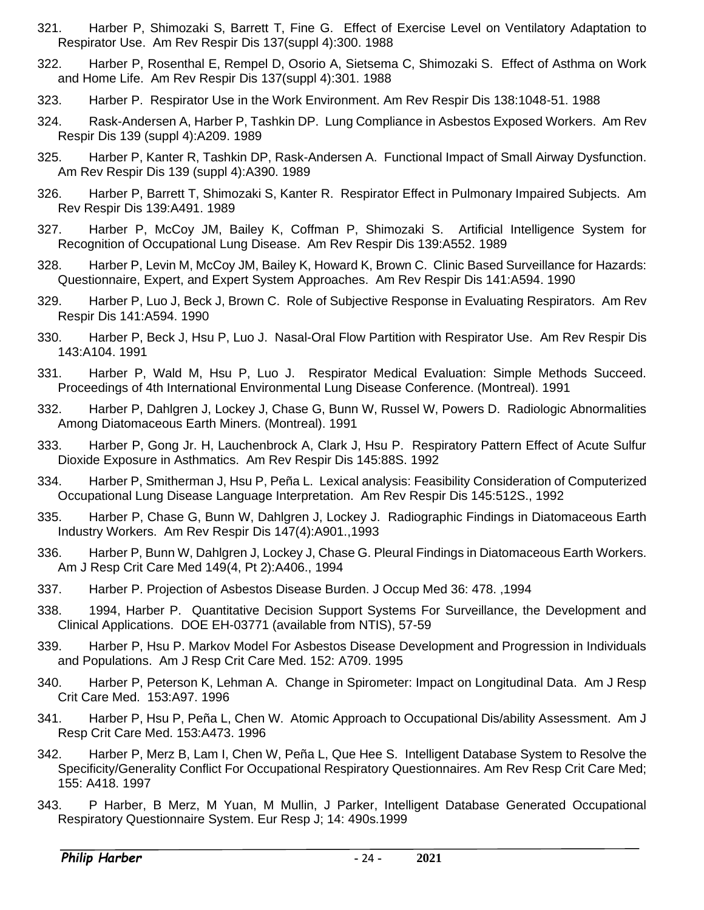- 321. Harber P, Shimozaki S, Barrett T, Fine G. Effect of Exercise Level on Ventilatory Adaptation to Respirator Use. Am Rev Respir Dis 137(suppl 4):300. 1988
- 322. Harber P, Rosenthal E, Rempel D, Osorio A, Sietsema C, Shimozaki S. Effect of Asthma on Work and Home Life. Am Rev Respir Dis 137(suppl 4):301. 1988
- 323. Harber P. Respirator Use in the Work Environment. Am Rev Respir Dis 138:1048-51. 1988
- 324. Rask-Andersen A, Harber P, Tashkin DP. Lung Compliance in Asbestos Exposed Workers. Am Rev Respir Dis 139 (suppl 4):A209. 1989
- 325. Harber P, Kanter R, Tashkin DP, Rask-Andersen A. Functional Impact of Small Airway Dysfunction. Am Rev Respir Dis 139 (suppl 4):A390. 1989
- 326. Harber P, Barrett T, Shimozaki S, Kanter R. Respirator Effect in Pulmonary Impaired Subjects. Am Rev Respir Dis 139:A491. 1989
- 327. Harber P, McCoy JM, Bailey K, Coffman P, Shimozaki S. Artificial Intelligence System for Recognition of Occupational Lung Disease. Am Rev Respir Dis 139:A552. 1989
- 328. Harber P, Levin M, McCoy JM, Bailey K, Howard K, Brown C. Clinic Based Surveillance for Hazards: Questionnaire, Expert, and Expert System Approaches. Am Rev Respir Dis 141:A594. 1990
- 329. Harber P, Luo J, Beck J, Brown C. Role of Subjective Response in Evaluating Respirators. Am Rev Respir Dis 141:A594. 1990
- 330. Harber P, Beck J, Hsu P, Luo J. Nasal-Oral Flow Partition with Respirator Use. Am Rev Respir Dis 143:A104. 1991
- 331. Harber P, Wald M, Hsu P, Luo J. Respirator Medical Evaluation: Simple Methods Succeed. Proceedings of 4th International Environmental Lung Disease Conference. (Montreal). 1991
- 332. Harber P, Dahlgren J, Lockey J, Chase G, Bunn W, Russel W, Powers D. Radiologic Abnormalities Among Diatomaceous Earth Miners. (Montreal). 1991
- 333. Harber P, Gong Jr. H, Lauchenbrock A, Clark J, Hsu P. Respiratory Pattern Effect of Acute Sulfur Dioxide Exposure in Asthmatics. Am Rev Respir Dis 145:88S. 1992
- 334. Harber P, Smitherman J, Hsu P, Peña L. Lexical analysis: Feasibility Consideration of Computerized Occupational Lung Disease Language Interpretation. Am Rev Respir Dis 145:512S., 1992
- 335. Harber P, Chase G, Bunn W, Dahlgren J, Lockey J. Radiographic Findings in Diatomaceous Earth Industry Workers. Am Rev Respir Dis 147(4):A901.,1993
- 336. Harber P, Bunn W, Dahlgren J, Lockey J, Chase G. Pleural Findings in Diatomaceous Earth Workers. Am J Resp Crit Care Med 149(4, Pt 2):A406., 1994
- 337. Harber P. Projection of Asbestos Disease Burden. J Occup Med 36: 478. ,1994
- 338. 1994, Harber P. Quantitative Decision Support Systems For Surveillance, the Development and Clinical Applications. DOE EH-03771 (available from NTIS), 57-59
- 339. Harber P, Hsu P. Markov Model For Asbestos Disease Development and Progression in Individuals and Populations. Am J Resp Crit Care Med. 152: A709. 1995
- 340. Harber P, Peterson K, Lehman A. Change in Spirometer: Impact on Longitudinal Data. Am J Resp Crit Care Med. 153:A97. 1996
- 341. Harber P, Hsu P, Peña L, Chen W. Atomic Approach to Occupational Dis/ability Assessment. Am J Resp Crit Care Med. 153:A473. 1996
- 342. Harber P, Merz B, Lam I, Chen W, Peña L, Que Hee S. Intelligent Database System to Resolve the Specificity/Generality Conflict For Occupational Respiratory Questionnaires. Am Rev Resp Crit Care Med; 155: A418. 1997
- 343. P Harber, B Merz, M Yuan, M Mullin, J Parker, Intelligent Database Generated Occupational Respiratory Questionnaire System. Eur Resp J; 14: 490s.1999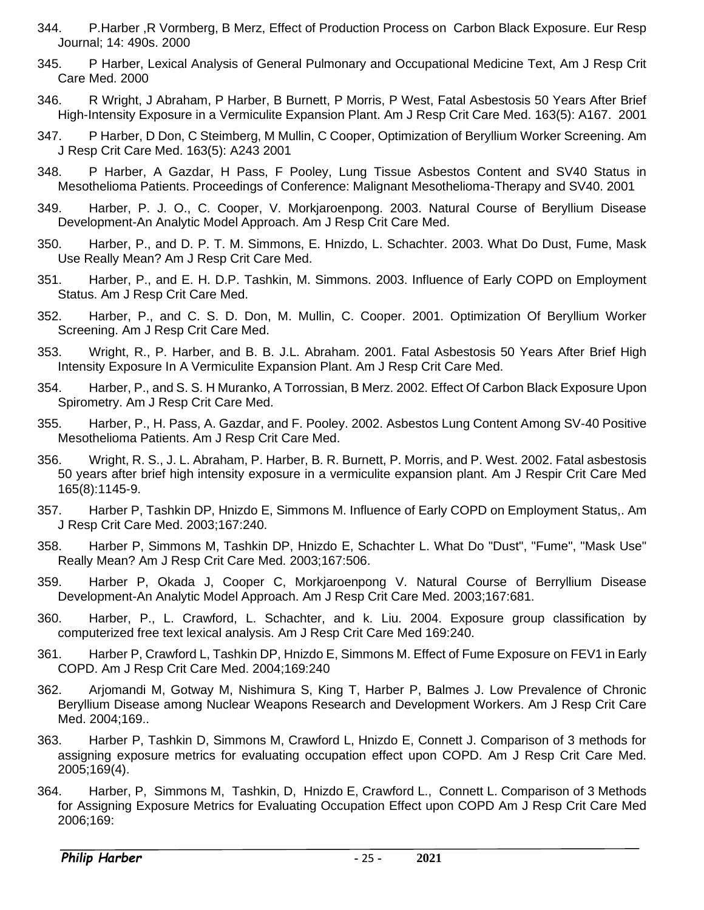- 344. P.Harber ,R Vormberg, B Merz, Effect of Production Process on Carbon Black Exposure. Eur Resp Journal; 14: 490s. 2000
- 345. P Harber, Lexical Analysis of General Pulmonary and Occupational Medicine Text, Am J Resp Crit Care Med. 2000
- 346. R Wright, J Abraham, P Harber, B Burnett, P Morris, P West, Fatal Asbestosis 50 Years After Brief High-Intensity Exposure in a Vermiculite Expansion Plant. Am J Resp Crit Care Med. 163(5): A167. 2001
- 347. P Harber, D Don, C Steimberg, M Mullin, C Cooper, Optimization of Beryllium Worker Screening. Am J Resp Crit Care Med. 163(5): A243 2001
- 348. P Harber, A Gazdar, H Pass, F Pooley, Lung Tissue Asbestos Content and SV40 Status in Mesothelioma Patients. Proceedings of Conference: Malignant Mesothelioma-Therapy and SV40. 2001
- 349. Harber, P. J. O., C. Cooper, V. Morkjaroenpong. 2003. Natural Course of Beryllium Disease Development-An Analytic Model Approach. Am J Resp Crit Care Med.
- 350. Harber, P., and D. P. T. M. Simmons, E. Hnizdo, L. Schachter. 2003. What Do Dust, Fume, Mask Use Really Mean? Am J Resp Crit Care Med.
- 351. Harber, P., and E. H. D.P. Tashkin, M. Simmons. 2003. Influence of Early COPD on Employment Status. Am J Resp Crit Care Med.
- 352. Harber, P., and C. S. D. Don, M. Mullin, C. Cooper. 2001. Optimization Of Beryllium Worker Screening. Am J Resp Crit Care Med.
- 353. Wright, R., P. Harber, and B. B. J.L. Abraham. 2001. Fatal Asbestosis 50 Years After Brief High Intensity Exposure In A Vermiculite Expansion Plant. Am J Resp Crit Care Med.
- 354. Harber, P., and S. S. H Muranko, A Torrossian, B Merz. 2002. Effect Of Carbon Black Exposure Upon Spirometry. Am J Resp Crit Care Med.
- 355. Harber, P., H. Pass, A. Gazdar, and F. Pooley. 2002. Asbestos Lung Content Among SV-40 Positive Mesothelioma Patients. Am J Resp Crit Care Med.
- 356. Wright, R. S., J. L. Abraham, P. Harber, B. R. Burnett, P. Morris, and P. West. 2002. Fatal asbestosis 50 years after brief high intensity exposure in a vermiculite expansion plant. Am J Respir Crit Care Med 165(8):1145-9.
- 357. Harber P, Tashkin DP, Hnizdo E, Simmons M. Influence of Early COPD on Employment Status,. Am J Resp Crit Care Med. 2003;167:240.
- 358. Harber P, Simmons M, Tashkin DP, Hnizdo E, Schachter L. What Do "Dust", "Fume", "Mask Use" Really Mean? Am J Resp Crit Care Med. 2003;167:506.
- 359. Harber P, Okada J, Cooper C, Morkjaroenpong V. Natural Course of Berryllium Disease Development-An Analytic Model Approach. Am J Resp Crit Care Med. 2003;167:681.
- 360. Harber, P., L. Crawford, L. Schachter, and k. Liu. 2004. Exposure group classification by computerized free text lexical analysis. Am J Resp Crit Care Med 169:240.
- 361. Harber P, Crawford L, Tashkin DP, Hnizdo E, Simmons M. Effect of Fume Exposure on FEV1 in Early COPD. Am J Resp Crit Care Med. 2004;169:240
- 362. Arjomandi M, Gotway M, Nishimura S, King T, Harber P, Balmes J. Low Prevalence of Chronic Beryllium Disease among Nuclear Weapons Research and Development Workers. Am J Resp Crit Care Med. 2004;169..
- 363. Harber P, Tashkin D, Simmons M, Crawford L, Hnizdo E, Connett J. Comparison of 3 methods for assigning exposure metrics for evaluating occupation effect upon COPD. Am J Resp Crit Care Med. 2005;169(4).
- 364. Harber, P, Simmons M, Tashkin, D, Hnizdo E, Crawford L., Connett L. Comparison of 3 Methods for Assigning Exposure Metrics for Evaluating Occupation Effect upon COPD Am J Resp Crit Care Med 2006;169: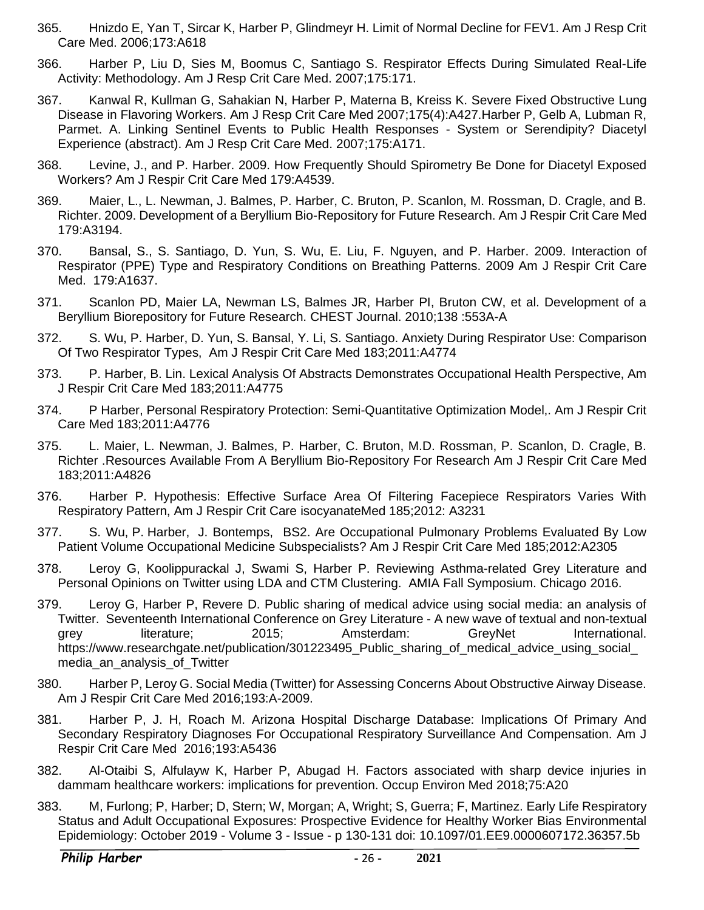- 365. Hnizdo E, Yan T, Sircar K, Harber P, Glindmeyr H. Limit of Normal Decline for FEV1. Am J Resp Crit Care Med. 2006;173:A618
- 366. Harber P, Liu D, Sies M, Boomus C, Santiago S. Respirator Effects During Simulated Real-Life Activity: Methodology. Am J Resp Crit Care Med. 2007;175:171.
- 367. Kanwal R, Kullman G, Sahakian N, Harber P, Materna B, Kreiss K. Severe Fixed Obstructive Lung Disease in Flavoring Workers. Am J Resp Crit Care Med 2007;175(4):A427.Harber P, Gelb A, Lubman R, Parmet. A. Linking Sentinel Events to Public Health Responses - System or Serendipity? Diacetyl Experience (abstract). Am J Resp Crit Care Med. 2007;175:A171.
- 368. Levine, J., and P. Harber. 2009. How Frequently Should Spirometry Be Done for Diacetyl Exposed Workers? Am J Respir Crit Care Med 179:A4539.
- 369. Maier, L., L. Newman, J. Balmes, P. Harber, C. Bruton, P. Scanlon, M. Rossman, D. Cragle, and B. Richter. 2009. Development of a Beryllium Bio-Repository for Future Research. Am J Respir Crit Care Med 179:A3194.
- 370. Bansal, S., S. Santiago, D. Yun, S. Wu, E. Liu, F. Nguyen, and P. Harber. 2009. Interaction of Respirator (PPE) Type and Respiratory Conditions on Breathing Patterns. 2009 Am J Respir Crit Care Med. 179:A1637.
- 371. Scanlon PD, Maier LA, Newman LS, Balmes JR, Harber PI, Bruton CW, et al. Development of a Beryllium Biorepository for Future Research. CHEST Journal. 2010;138 :553A-A
- 372. S. Wu, P. Harber, D. Yun, S. Bansal, Y. Li, S. Santiago. Anxiety During Respirator Use: Comparison Of Two Respirator Types, Am J Respir Crit Care Med 183;2011:A4774
- 373. P. Harber, B. Lin. Lexical Analysis Of Abstracts Demonstrates Occupational Health Perspective, Am J Respir Crit Care Med 183;2011:A4775
- 374. P Harber, Personal Respiratory Protection: Semi-Quantitative Optimization Model,. Am J Respir Crit Care Med 183;2011:A4776
- 375. L. Maier, L. Newman, J. Balmes, P. Harber, C. Bruton, M.D. Rossman, P. Scanlon, D. Cragle, B. Richter .Resources Available From A Beryllium Bio-Repository For Research Am J Respir Crit Care Med 183;2011:A4826
- 376. Harber P. Hypothesis: Effective Surface Area Of Filtering Facepiece Respirators Varies With Respiratory Pattern, Am J Respir Crit Care isocyanateMed 185;2012: A3231
- 377. S. Wu, P. Harber, J. Bontemps, BS2. Are Occupational Pulmonary Problems Evaluated By Low Patient Volume Occupational Medicine Subspecialists? Am J Respir Crit Care Med 185;2012:A2305
- 378. Leroy G, Koolippurackal J, Swami S, Harber P. Reviewing Asthma-related Grey Literature and Personal Opinions on Twitter using LDA and CTM Clustering. AMIA Fall Symposium. Chicago 2016.
- 379. Leroy G, Harber P, Revere D. Public sharing of medical advice using social media: an analysis of Twitter. Seventeenth International Conference on Grey Literature - A new wave of textual and non-textual grey literature; 2015; Amsterdam: GreyNet International. https://www.researchgate.net/publication/301223495\_Public\_sharing\_of\_medical\_advice\_using\_social\_ media\_an\_analysis\_of\_Twitter
- 380. Harber P, Leroy G. Social Media (Twitter) for Assessing Concerns About Obstructive Airway Disease. Am J Respir Crit Care Med 2016;193:A-2009.
- 381. Harber P, J. H, Roach M. Arizona Hospital Discharge Database: Implications Of Primary And Secondary Respiratory Diagnoses For Occupational Respiratory Surveillance And Compensation. Am J Respir Crit Care Med 2016;193:A5436
- 382. Al-Otaibi S, Alfulayw K, Harber P, Abugad H. Factors associated with sharp device injuries in dammam healthcare workers: implications for prevention. Occup Environ Med 2018;75:A20
- 383. M, Furlong; P, Harber; D, Stern; W, Morgan; A, Wright; S, Guerra; F, Martinez. Early Life Respiratory Status and Adult Occupational Exposures: Prospective Evidence for Healthy Worker Bias Environmental Epidemiology: October 2019 - Volume 3 - Issue - p 130-131 doi: 10.1097/01.EE9.0000607172.36357.5b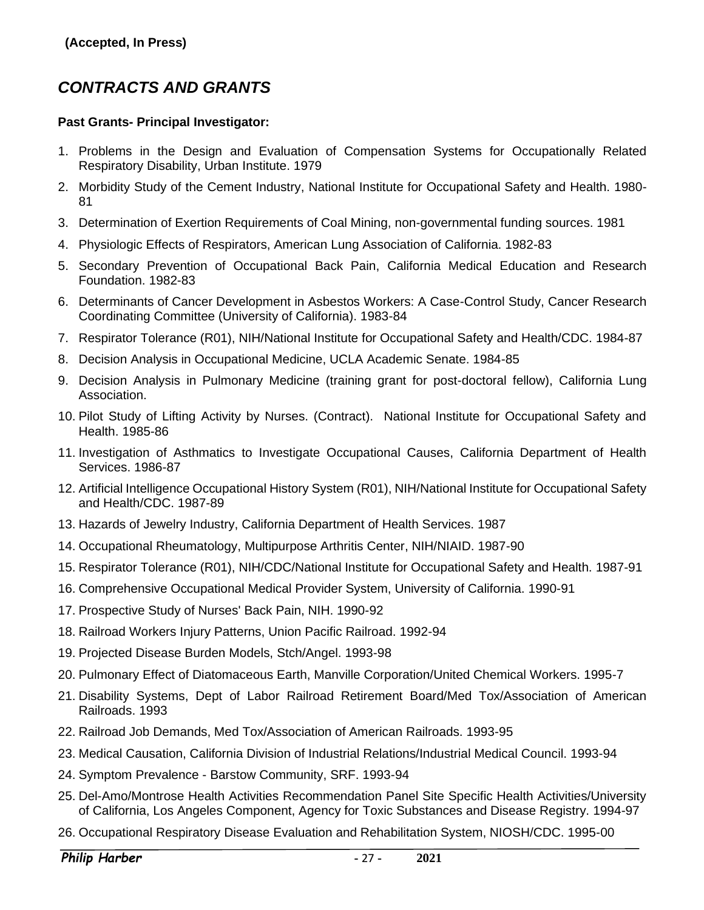# <span id="page-26-0"></span>*CONTRACTS AND GRANTS*

#### **Past Grants- Principal Investigator:**

- 1. Problems in the Design and Evaluation of Compensation Systems for Occupationally Related Respiratory Disability, Urban Institute. 1979
- 2. Morbidity Study of the Cement Industry, National Institute for Occupational Safety and Health. 1980- 81
- 3. Determination of Exertion Requirements of Coal Mining, non-governmental funding sources. 1981
- 4. Physiologic Effects of Respirators, American Lung Association of California. 1982-83
- 5. Secondary Prevention of Occupational Back Pain, California Medical Education and Research Foundation. 1982-83
- 6. Determinants of Cancer Development in Asbestos Workers: A Case-Control Study, Cancer Research Coordinating Committee (University of California). 1983-84
- 7. Respirator Tolerance (R01), NIH/National Institute for Occupational Safety and Health/CDC. 1984-87
- 8. Decision Analysis in Occupational Medicine, UCLA Academic Senate. 1984-85
- 9. Decision Analysis in Pulmonary Medicine (training grant for post-doctoral fellow), California Lung Association.
- 10. Pilot Study of Lifting Activity by Nurses. (Contract). National Institute for Occupational Safety and Health. 1985-86
- 11. Investigation of Asthmatics to Investigate Occupational Causes, California Department of Health Services. 1986-87
- 12. Artificial Intelligence Occupational History System (R01), NIH/National Institute for Occupational Safety and Health/CDC. 1987-89
- 13. Hazards of Jewelry Industry, California Department of Health Services. 1987
- 14. Occupational Rheumatology, Multipurpose Arthritis Center, NIH/NIAID. 1987-90
- 15. Respirator Tolerance (R01), NIH/CDC/National Institute for Occupational Safety and Health. 1987-91
- 16. Comprehensive Occupational Medical Provider System, University of California. 1990-91
- 17. Prospective Study of Nurses' Back Pain, NIH. 1990-92
- 18. Railroad Workers Injury Patterns, Union Pacific Railroad. 1992-94
- 19. Projected Disease Burden Models, Stch/Angel. 1993-98
- 20. Pulmonary Effect of Diatomaceous Earth, Manville Corporation/United Chemical Workers. 1995-7
- 21. Disability Systems, Dept of Labor Railroad Retirement Board/Med Tox/Association of American Railroads. 1993
- 22. Railroad Job Demands, Med Tox/Association of American Railroads. 1993-95
- 23. Medical Causation, California Division of Industrial Relations/Industrial Medical Council. 1993-94
- 24. Symptom Prevalence Barstow Community, SRF. 1993-94
- 25. Del-Amo/Montrose Health Activities Recommendation Panel Site Specific Health Activities/University of California, Los Angeles Component, Agency for Toxic Substances and Disease Registry. 1994-97
- 26. Occupational Respiratory Disease Evaluation and Rehabilitation System, NIOSH/CDC. 1995-00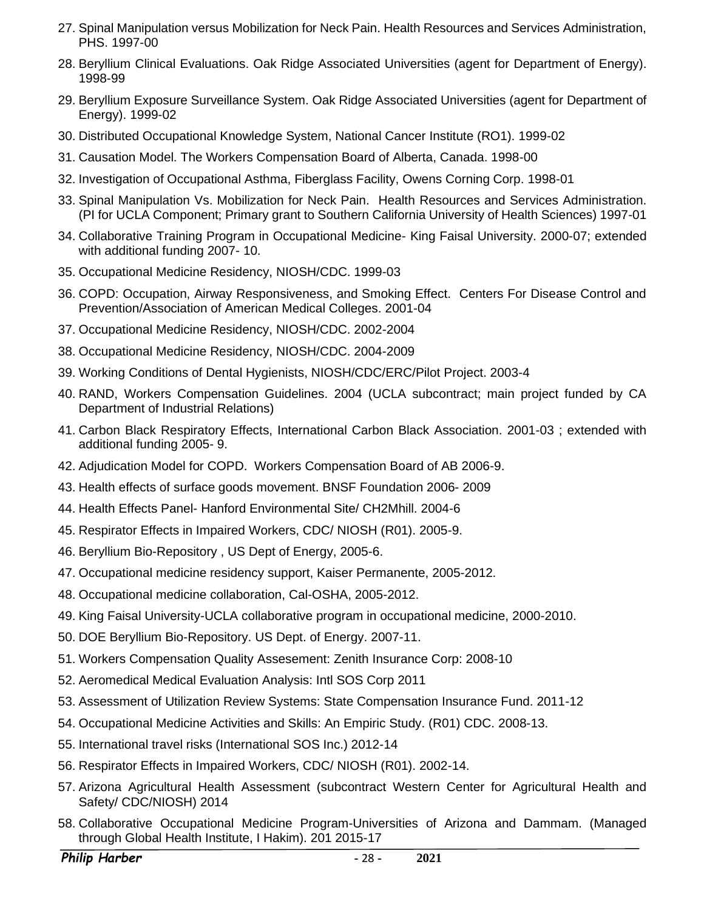- 27. Spinal Manipulation versus Mobilization for Neck Pain. Health Resources and Services Administration, PHS. 1997-00
- 28. Beryllium Clinical Evaluations. Oak Ridge Associated Universities (agent for Department of Energy). 1998-99
- 29. Beryllium Exposure Surveillance System. Oak Ridge Associated Universities (agent for Department of Energy). 1999-02
- 30. Distributed Occupational Knowledge System, National Cancer Institute (RO1). 1999-02
- 31. Causation Model. The Workers Compensation Board of Alberta, Canada. 1998-00
- 32. Investigation of Occupational Asthma, Fiberglass Facility, Owens Corning Corp. 1998-01
- 33. Spinal Manipulation Vs. Mobilization for Neck Pain. Health Resources and Services Administration. (PI for UCLA Component; Primary grant to Southern California University of Health Sciences) 1997-01
- 34. Collaborative Training Program in Occupational Medicine- King Faisal University. 2000-07; extended with additional funding 2007- 10.
- 35. Occupational Medicine Residency, NIOSH/CDC. 1999-03
- 36. COPD: Occupation, Airway Responsiveness, and Smoking Effect. Centers For Disease Control and Prevention/Association of American Medical Colleges. 2001-04
- 37. Occupational Medicine Residency, NIOSH/CDC. 2002-2004
- 38. Occupational Medicine Residency, NIOSH/CDC. 2004-2009
- 39. Working Conditions of Dental Hygienists, NIOSH/CDC/ERC/Pilot Project. 2003-4
- 40. RAND, Workers Compensation Guidelines. 2004 (UCLA subcontract; main project funded by CA Department of Industrial Relations)
- 41. Carbon Black Respiratory Effects, International Carbon Black Association. 2001-03 ; extended with additional funding 2005- 9.
- 42. Adjudication Model for COPD. Workers Compensation Board of AB 2006-9.
- 43. Health effects of surface goods movement. BNSF Foundation 2006- 2009
- 44. Health Effects Panel- Hanford Environmental Site/ CH2Mhill. 2004-6
- 45. Respirator Effects in Impaired Workers, CDC/ NIOSH (R01). 2005-9.
- 46. Beryllium Bio-Repository , US Dept of Energy, 2005-6.
- 47. Occupational medicine residency support, Kaiser Permanente, 2005-2012.
- 48. Occupational medicine collaboration, Cal-OSHA, 2005-2012.
- 49. King Faisal University-UCLA collaborative program in occupational medicine, 2000-2010.
- 50. DOE Beryllium Bio-Repository. US Dept. of Energy. 2007-11.
- 51. Workers Compensation Quality Assesement: Zenith Insurance Corp: 2008-10
- 52. Aeromedical Medical Evaluation Analysis: Intl SOS Corp 2011
- 53. Assessment of Utilization Review Systems: State Compensation Insurance Fund. 2011-12
- 54. Occupational Medicine Activities and Skills: An Empiric Study. (R01) CDC. 2008-13.
- 55. International travel risks (International SOS Inc.) 2012-14
- 56. Respirator Effects in Impaired Workers, CDC/ NIOSH (R01). 2002-14.
- 57. Arizona Agricultural Health Assessment (subcontract Western Center for Agricultural Health and Safety/ CDC/NIOSH) 2014
- 58. Collaborative Occupational Medicine Program-Universities of Arizona and Dammam. (Managed through Global Health Institute, I Hakim). 201 2015-17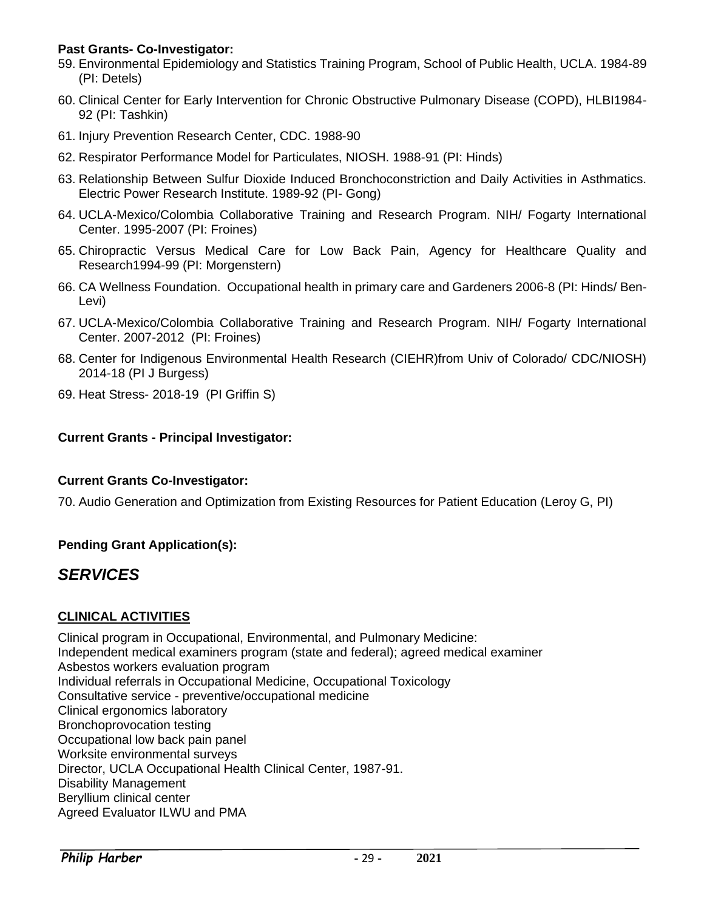#### **Past Grants- Co-Investigator:**

- 59. Environmental Epidemiology and Statistics Training Program, School of Public Health, UCLA. 1984-89 (PI: Detels)
- 60. Clinical Center for Early Intervention for Chronic Obstructive Pulmonary Disease (COPD), HLBI1984- 92 (PI: Tashkin)
- 61. Injury Prevention Research Center, CDC. 1988-90
- 62. Respirator Performance Model for Particulates, NIOSH. 1988-91 (PI: Hinds)
- 63. Relationship Between Sulfur Dioxide Induced Bronchoconstriction and Daily Activities in Asthmatics. Electric Power Research Institute. 1989-92 (PI- Gong)
- 64. UCLA-Mexico/Colombia Collaborative Training and Research Program. NIH/ Fogarty International Center. 1995-2007 (PI: Froines)
- 65. Chiropractic Versus Medical Care for Low Back Pain, Agency for Healthcare Quality and Research1994-99 (PI: Morgenstern)
- 66. CA Wellness Foundation. Occupational health in primary care and Gardeners 2006-8 (PI: Hinds/ Ben-Levi)
- 67. UCLA-Mexico/Colombia Collaborative Training and Research Program. NIH/ Fogarty International Center. 2007-2012 (PI: Froines)
- 68. Center for Indigenous Environmental Health Research (CIEHR)from Univ of Colorado/ CDC/NIOSH) 2014-18 (PI J Burgess)
- 69. Heat Stress- 2018-19 (PI Griffin S)

#### **Current Grants - Principal Investigator:**

#### **Current Grants Co-Investigator:**

70. Audio Generation and Optimization from Existing Resources for Patient Education (Leroy G, PI)

#### **Pending Grant Application(s):**

# <span id="page-28-0"></span>*SERVICES*

#### **CLINICAL ACTIVITIES**

Clinical program in Occupational, Environmental, and Pulmonary Medicine: Independent medical examiners program (state and federal); agreed medical examiner Asbestos workers evaluation program Individual referrals in Occupational Medicine, Occupational Toxicology Consultative service - preventive/occupational medicine Clinical ergonomics laboratory Bronchoprovocation testing Occupational low back pain panel Worksite environmental surveys Director, UCLA Occupational Health Clinical Center, 1987-91. Disability Management Beryllium clinical center Agreed Evaluator ILWU and PMA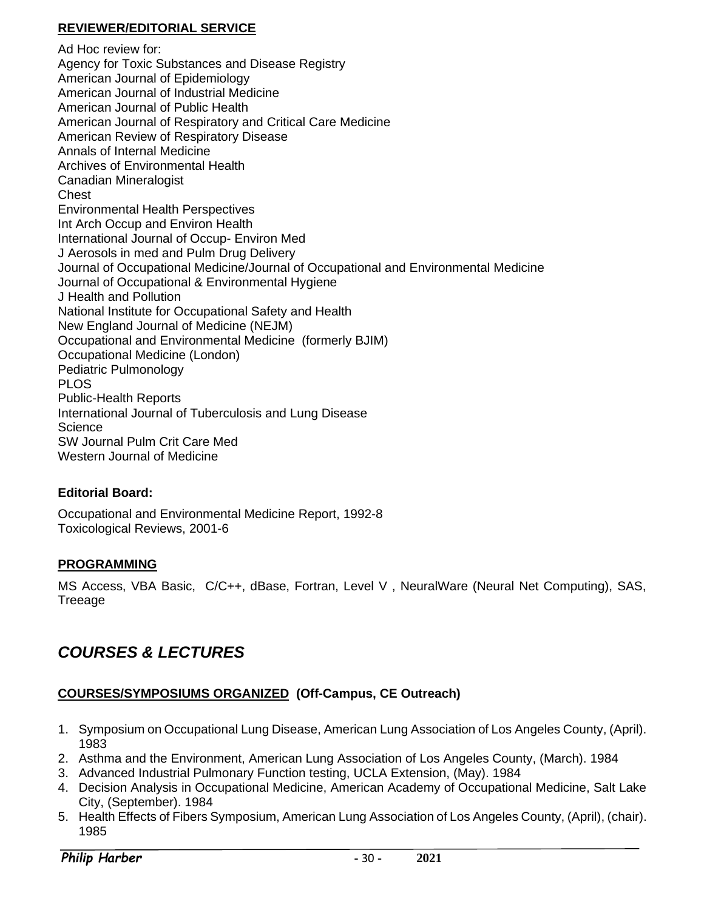#### **REVIEWER/EDITORIAL SERVICE**

Ad Hoc review for: Agency for Toxic Substances and Disease Registry American Journal of Epidemiology American Journal of Industrial Medicine American Journal of Public Health American Journal of Respiratory and Critical Care Medicine American Review of Respiratory Disease Annals of Internal Medicine Archives of Environmental Health Canadian Mineralogist **Chest** Environmental Health Perspectives Int Arch Occup and Environ Health International Journal of Occup- Environ Med J Aerosols in med and Pulm Drug Delivery Journal of Occupational Medicine/Journal of Occupational and Environmental Medicine Journal of Occupational & Environmental Hygiene J Health and Pollution National Institute for Occupational Safety and Health New England Journal of Medicine (NEJM) Occupational and Environmental Medicine (formerly BJIM) Occupational Medicine (London) Pediatric Pulmonology PLOS Public-Health Reports International Journal of Tuberculosis and Lung Disease **Science** SW Journal Pulm Crit Care Med Western Journal of Medicine

#### **Editorial Board:**

Occupational and Environmental Medicine Report, 1992-8 Toxicological Reviews, 2001-6

#### **PROGRAMMING**

MS Access, VBA Basic, C/C++, dBase, Fortran, Level V , NeuralWare (Neural Net Computing), SAS, Treeage

# <span id="page-29-0"></span>*COURSES & LECTURES*

#### **COURSES/SYMPOSIUMS ORGANIZED (Off-Campus, CE Outreach)**

- 1. Symposium on Occupational Lung Disease, American Lung Association of Los Angeles County, (April). 1983
- 2. Asthma and the Environment, American Lung Association of Los Angeles County, (March). 1984
- 3. Advanced Industrial Pulmonary Function testing, UCLA Extension, (May). 1984
- 4. Decision Analysis in Occupational Medicine, American Academy of Occupational Medicine, Salt Lake City, (September). 1984
- 5. Health Effects of Fibers Symposium, American Lung Association of Los Angeles County, (April), (chair). 1985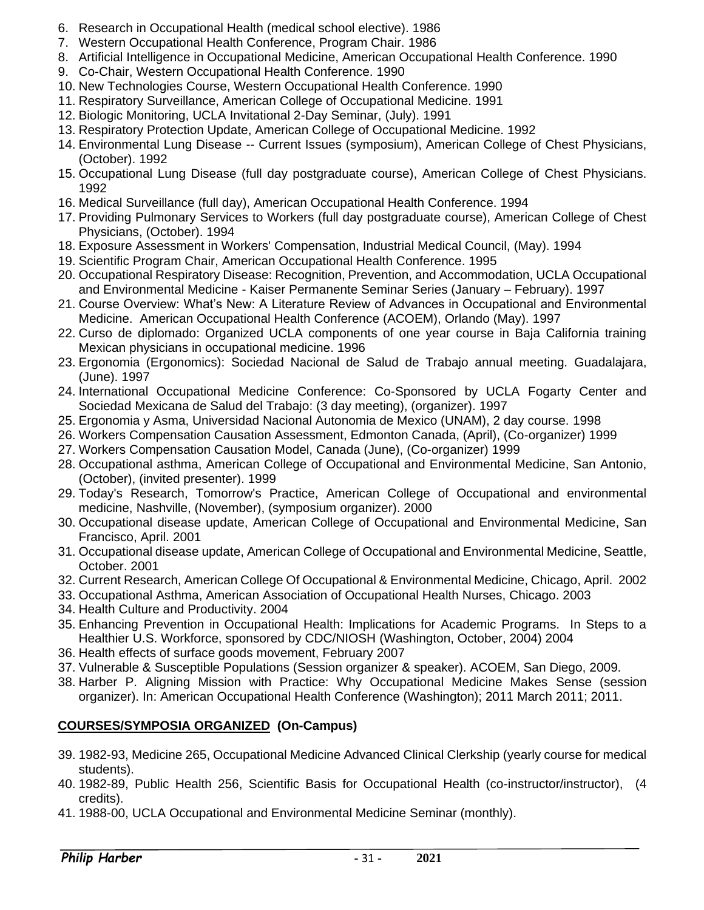- 6. Research in Occupational Health (medical school elective). 1986
- 7. Western Occupational Health Conference, Program Chair. 1986
- 8. Artificial Intelligence in Occupational Medicine, American Occupational Health Conference. 1990
- 9. Co-Chair, Western Occupational Health Conference. 1990
- 10. New Technologies Course, Western Occupational Health Conference. 1990
- 11. Respiratory Surveillance, American College of Occupational Medicine. 1991
- 12. Biologic Monitoring, UCLA Invitational 2-Day Seminar, (July). 1991
- 13. Respiratory Protection Update, American College of Occupational Medicine. 1992
- 14. Environmental Lung Disease -- Current Issues (symposium), American College of Chest Physicians, (October). 1992
- 15. Occupational Lung Disease (full day postgraduate course), American College of Chest Physicians. 1992
- 16. Medical Surveillance (full day), American Occupational Health Conference. 1994
- 17. Providing Pulmonary Services to Workers (full day postgraduate course), American College of Chest Physicians, (October). 1994
- 18. Exposure Assessment in Workers' Compensation, Industrial Medical Council, (May). 1994
- 19. Scientific Program Chair, American Occupational Health Conference. 1995
- 20. Occupational Respiratory Disease: Recognition, Prevention, and Accommodation, UCLA Occupational and Environmental Medicine - Kaiser Permanente Seminar Series (January – February). 1997
- 21. Course Overview: What's New: A Literature Review of Advances in Occupational and Environmental Medicine. American Occupational Health Conference (ACOEM), Orlando (May). 1997
- 22. Curso de diplomado: Organized UCLA components of one year course in Baja California training Mexican physicians in occupational medicine. 1996
- 23. Ergonomia (Ergonomics): Sociedad Nacional de Salud de Trabajo annual meeting. Guadalajara, (June). 1997
- 24. International Occupational Medicine Conference: Co-Sponsored by UCLA Fogarty Center and Sociedad Mexicana de Salud del Trabajo: (3 day meeting), (organizer). 1997
- 25. Ergonomia y Asma, Universidad Nacional Autonomia de Mexico (UNAM), 2 day course. 1998
- 26. Workers Compensation Causation Assessment, Edmonton Canada, (April), (Co-organizer) 1999
- 27. Workers Compensation Causation Model, Canada (June), (Co-organizer) 1999
- 28. Occupational asthma, American College of Occupational and Environmental Medicine, San Antonio, (October), (invited presenter). 1999
- 29. Today's Research, Tomorrow's Practice, American College of Occupational and environmental medicine, Nashville, (November), (symposium organizer). 2000
- 30. Occupational disease update, American College of Occupational and Environmental Medicine, San Francisco, April. 2001
- 31. Occupational disease update, American College of Occupational and Environmental Medicine, Seattle, October. 2001
- 32. Current Research, American College Of Occupational & Environmental Medicine, Chicago, April. 2002
- 33. Occupational Asthma, American Association of Occupational Health Nurses, Chicago. 2003
- 34. Health Culture and Productivity. 2004
- 35. Enhancing Prevention in Occupational Health: Implications for Academic Programs. In Steps to a Healthier U.S. Workforce, sponsored by CDC/NIOSH (Washington, October, 2004) 2004
- 36. Health effects of surface goods movement, February 2007
- 37. Vulnerable & Susceptible Populations (Session organizer & speaker). ACOEM, San Diego, 2009.
- 38. Harber P. Aligning Mission with Practice: Why Occupational Medicine Makes Sense (session organizer). In: American Occupational Health Conference (Washington); 2011 March 2011; 2011.

### **COURSES/SYMPOSIA ORGANIZED (On-Campus)**

- 39. 1982-93, Medicine 265, Occupational Medicine Advanced Clinical Clerkship (yearly course for medical students).
- 40. 1982-89, Public Health 256, Scientific Basis for Occupational Health (co-instructor/instructor), (4 credits).
- 41. 1988-00, UCLA Occupational and Environmental Medicine Seminar (monthly).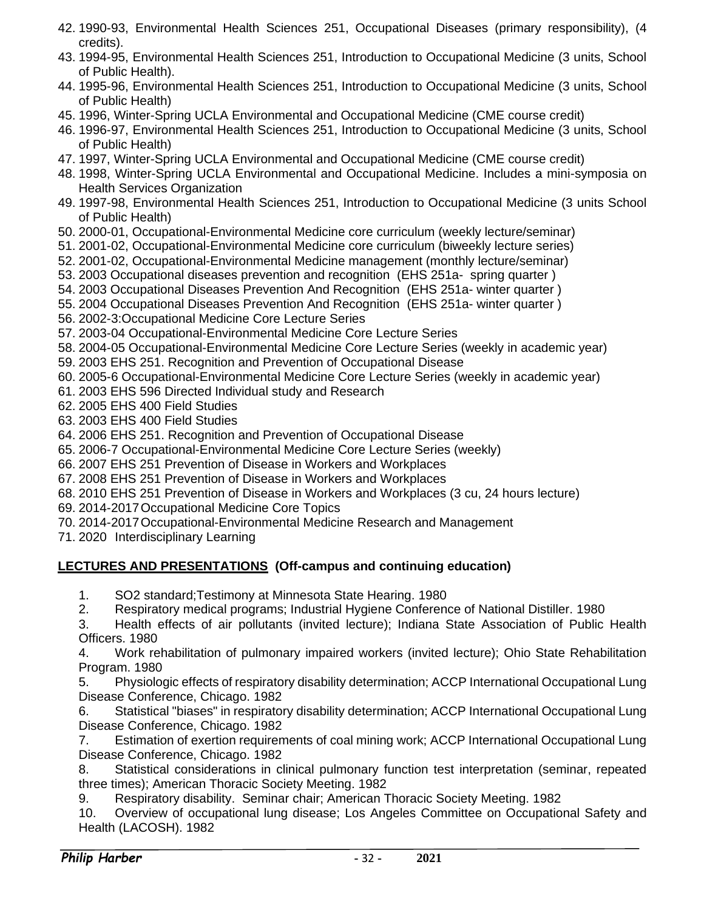- 42. 1990-93, Environmental Health Sciences 251, Occupational Diseases (primary responsibility), (4 credits).
- 43. 1994-95, Environmental Health Sciences 251, Introduction to Occupational Medicine (3 units, School of Public Health).
- 44. 1995-96, Environmental Health Sciences 251, Introduction to Occupational Medicine (3 units, School of Public Health)
- 45. 1996, Winter-Spring UCLA Environmental and Occupational Medicine (CME course credit)
- 46. 1996-97, Environmental Health Sciences 251, Introduction to Occupational Medicine (3 units, School of Public Health)
- 47. 1997, Winter-Spring UCLA Environmental and Occupational Medicine (CME course credit)
- 48. 1998, Winter-Spring UCLA Environmental and Occupational Medicine. Includes a mini-symposia on Health Services Organization
- 49. 1997-98, Environmental Health Sciences 251, Introduction to Occupational Medicine (3 units School of Public Health)
- 50. 2000-01, Occupational-Environmental Medicine core curriculum (weekly lecture/seminar)
- 51. 2001-02, Occupational-Environmental Medicine core curriculum (biweekly lecture series)
- 52. 2001-02, Occupational-Environmental Medicine management (monthly lecture/seminar)
- 53. 2003 Occupational diseases prevention and recognition (EHS 251a- spring quarter )
- 54. 2003 Occupational Diseases Prevention And Recognition (EHS 251a- winter quarter )
- 55. 2004 Occupational Diseases Prevention And Recognition (EHS 251a- winter quarter )
- 56. 2002-3:Occupational Medicine Core Lecture Series
- 57. 2003-04 Occupational-Environmental Medicine Core Lecture Series
- 58. 2004-05 Occupational-Environmental Medicine Core Lecture Series (weekly in academic year)
- 59. 2003 EHS 251. Recognition and Prevention of Occupational Disease
- 60. 2005-6 Occupational-Environmental Medicine Core Lecture Series (weekly in academic year)
- 61. 2003 EHS 596 Directed Individual study and Research
- 62. 2005 EHS 400 Field Studies
- 63. 2003 EHS 400 Field Studies
- 64. 2006 EHS 251. Recognition and Prevention of Occupational Disease
- 65. 2006-7 Occupational-Environmental Medicine Core Lecture Series (weekly)
- 66. 2007 EHS 251 Prevention of Disease in Workers and Workplaces
- 67. 2008 EHS 251 Prevention of Disease in Workers and Workplaces
- 68. 2010 EHS 251 Prevention of Disease in Workers and Workplaces (3 cu, 24 hours lecture)
- 69. 2014-2017Occupational Medicine Core Topics
- 70. 2014-2017Occupational-Environmental Medicine Research and Management
- 71. 2020 Interdisciplinary Learning

### **LECTURES AND PRESENTATIONS (Off-campus and continuing education)**

- 1. SO2 standard;Testimony at Minnesota State Hearing. 1980
- 2. Respiratory medical programs; Industrial Hygiene Conference of National Distiller. 1980

3. Health effects of air pollutants (invited lecture); Indiana State Association of Public Health Officers. 1980

4. Work rehabilitation of pulmonary impaired workers (invited lecture); Ohio State Rehabilitation Program. 1980

5. Physiologic effects of respiratory disability determination; ACCP International Occupational Lung Disease Conference, Chicago. 1982

6. Statistical "biases" in respiratory disability determination; ACCP International Occupational Lung Disease Conference, Chicago. 1982

7. Estimation of exertion requirements of coal mining work; ACCP International Occupational Lung Disease Conference, Chicago. 1982

8. Statistical considerations in clinical pulmonary function test interpretation (seminar, repeated three times); American Thoracic Society Meeting. 1982

9. Respiratory disability. Seminar chair; American Thoracic Society Meeting. 1982

10. Overview of occupational lung disease; Los Angeles Committee on Occupational Safety and Health (LACOSH). 1982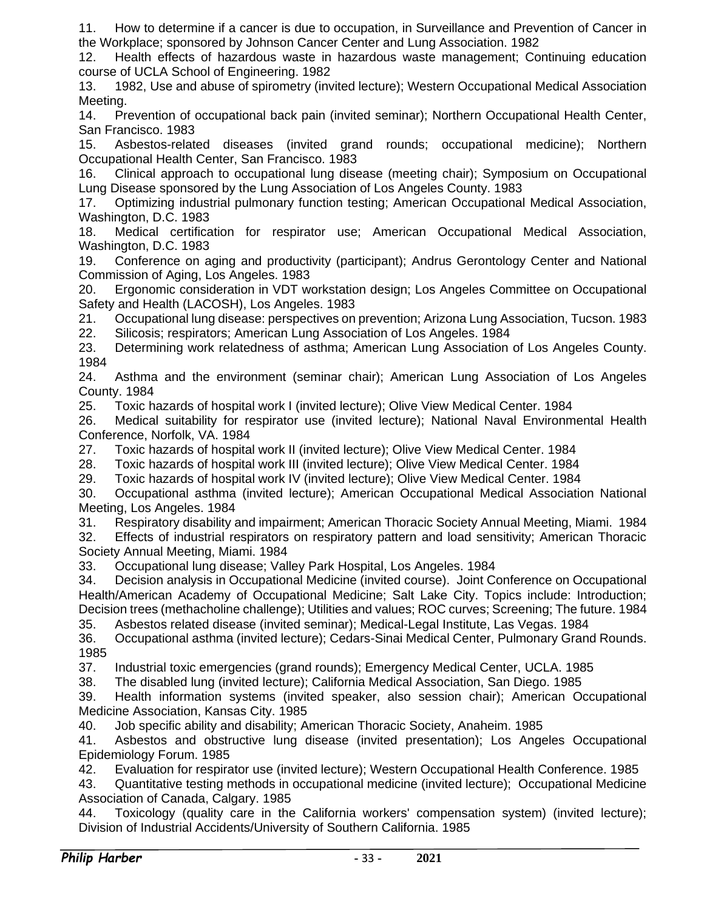11. How to determine if a cancer is due to occupation, in Surveillance and Prevention of Cancer in the Workplace; sponsored by Johnson Cancer Center and Lung Association. 1982

12. Health effects of hazardous waste in hazardous waste management; Continuing education course of UCLA School of Engineering. 1982

13. 1982, Use and abuse of spirometry (invited lecture); Western Occupational Medical Association Meeting.

14. Prevention of occupational back pain (invited seminar); Northern Occupational Health Center, San Francisco. 1983

15. Asbestos-related diseases (invited grand rounds; occupational medicine); Northern Occupational Health Center, San Francisco. 1983

16. Clinical approach to occupational lung disease (meeting chair); Symposium on Occupational Lung Disease sponsored by the Lung Association of Los Angeles County. 1983

17. Optimizing industrial pulmonary function testing; American Occupational Medical Association, Washington, D.C. 1983

18. Medical certification for respirator use; American Occupational Medical Association, Washington, D.C. 1983

19. Conference on aging and productivity (participant); Andrus Gerontology Center and National Commission of Aging, Los Angeles. 1983

20. Ergonomic consideration in VDT workstation design; Los Angeles Committee on Occupational Safety and Health (LACOSH), Los Angeles. 1983

21. Occupational lung disease: perspectives on prevention; Arizona Lung Association, Tucson. 1983

22. Silicosis; respirators; American Lung Association of Los Angeles. 1984

23. Determining work relatedness of asthma; American Lung Association of Los Angeles County. 1984

24. Asthma and the environment (seminar chair); American Lung Association of Los Angeles County. 1984

25. Toxic hazards of hospital work I (invited lecture); Olive View Medical Center. 1984

26. Medical suitability for respirator use (invited lecture); National Naval Environmental Health Conference, Norfolk, VA. 1984

27. Toxic hazards of hospital work II (invited lecture); Olive View Medical Center. 1984

28. Toxic hazards of hospital work III (invited lecture); Olive View Medical Center. 1984

29. Toxic hazards of hospital work IV (invited lecture); Olive View Medical Center. 1984

30. Occupational asthma (invited lecture); American Occupational Medical Association National Meeting, Los Angeles. 1984

31. Respiratory disability and impairment; American Thoracic Society Annual Meeting, Miami. 1984

32. Effects of industrial respirators on respiratory pattern and load sensitivity; American Thoracic Society Annual Meeting, Miami. 1984

33. Occupational lung disease; Valley Park Hospital, Los Angeles. 1984

34. Decision analysis in Occupational Medicine (invited course). Joint Conference on Occupational Health/American Academy of Occupational Medicine; Salt Lake City. Topics include: Introduction; Decision trees (methacholine challenge); Utilities and values; ROC curves; Screening; The future. 1984

35. Asbestos related disease (invited seminar); Medical-Legal Institute, Las Vegas. 1984

36. Occupational asthma (invited lecture); Cedars-Sinai Medical Center, Pulmonary Grand Rounds. 1985

37. Industrial toxic emergencies (grand rounds); Emergency Medical Center, UCLA. 1985

38. The disabled lung (invited lecture); California Medical Association, San Diego. 1985

39. Health information systems (invited speaker, also session chair); American Occupational Medicine Association, Kansas City. 1985

40. Job specific ability and disability; American Thoracic Society, Anaheim. 1985

41. Asbestos and obstructive lung disease (invited presentation); Los Angeles Occupational Epidemiology Forum. 1985

42. Evaluation for respirator use (invited lecture); Western Occupational Health Conference. 1985

43. Quantitative testing methods in occupational medicine (invited lecture); Occupational Medicine Association of Canada, Calgary. 1985

44. Toxicology (quality care in the California workers' compensation system) (invited lecture); Division of Industrial Accidents/University of Southern California. 1985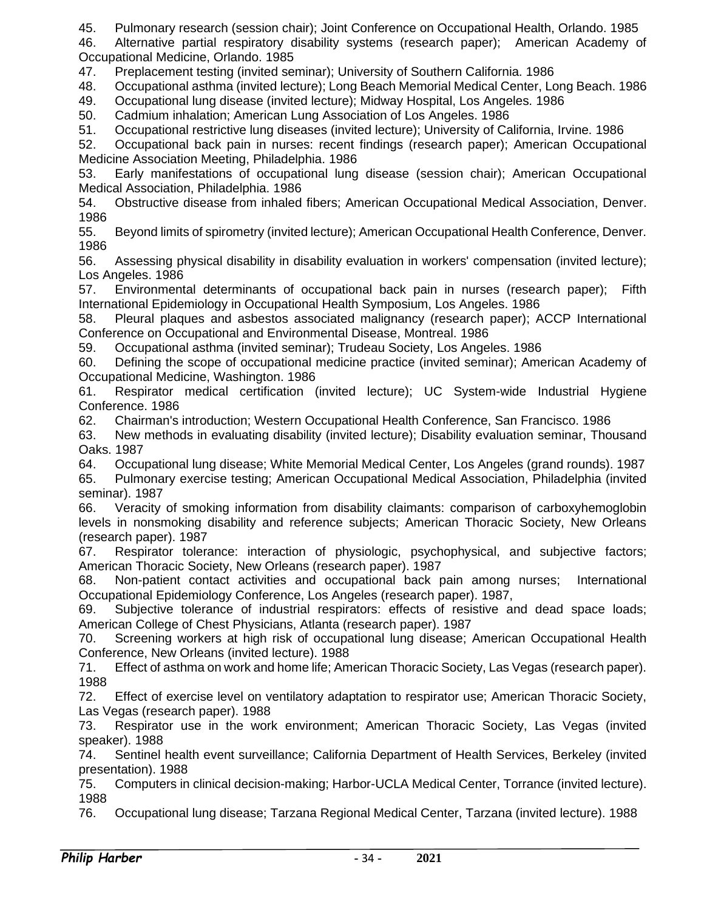45. Pulmonary research (session chair); Joint Conference on Occupational Health, Orlando. 1985

46. Alternative partial respiratory disability systems (research paper); American Academy of Occupational Medicine, Orlando. 1985

47. Preplacement testing (invited seminar); University of Southern California. 1986

48. Occupational asthma (invited lecture); Long Beach Memorial Medical Center, Long Beach. 1986

49. Occupational lung disease (invited lecture); Midway Hospital, Los Angeles. 1986

50. Cadmium inhalation; American Lung Association of Los Angeles. 1986

51. Occupational restrictive lung diseases (invited lecture); University of California, Irvine. 1986

52. Occupational back pain in nurses: recent findings (research paper); American Occupational Medicine Association Meeting, Philadelphia. 1986

53. Early manifestations of occupational lung disease (session chair); American Occupational Medical Association, Philadelphia. 1986

54. Obstructive disease from inhaled fibers; American Occupational Medical Association, Denver. 1986

55. Beyond limits of spirometry (invited lecture); American Occupational Health Conference, Denver. 1986

56. Assessing physical disability in disability evaluation in workers' compensation (invited lecture); Los Angeles. 1986

57. Environmental determinants of occupational back pain in nurses (research paper); Fifth International Epidemiology in Occupational Health Symposium, Los Angeles. 1986

58. Pleural plaques and asbestos associated malignancy (research paper); ACCP International Conference on Occupational and Environmental Disease, Montreal. 1986

59. Occupational asthma (invited seminar); Trudeau Society, Los Angeles. 1986

60. Defining the scope of occupational medicine practice (invited seminar); American Academy of Occupational Medicine, Washington. 1986

61. Respirator medical certification (invited lecture); UC System-wide Industrial Hygiene Conference. 1986

62. Chairman's introduction; Western Occupational Health Conference, San Francisco. 1986

63. New methods in evaluating disability (invited lecture); Disability evaluation seminar, Thousand Oaks. 1987

64. Occupational lung disease; White Memorial Medical Center, Los Angeles (grand rounds). 1987

65. Pulmonary exercise testing; American Occupational Medical Association, Philadelphia (invited seminar). 1987

66. Veracity of smoking information from disability claimants: comparison of carboxyhemoglobin levels in nonsmoking disability and reference subjects; American Thoracic Society, New Orleans (research paper). 1987

67. Respirator tolerance: interaction of physiologic, psychophysical, and subjective factors; American Thoracic Society, New Orleans (research paper). 1987

68. Non-patient contact activities and occupational back pain among nurses; International Occupational Epidemiology Conference, Los Angeles (research paper). 1987,

69. Subjective tolerance of industrial respirators: effects of resistive and dead space loads; American College of Chest Physicians, Atlanta (research paper). 1987

70. Screening workers at high risk of occupational lung disease; American Occupational Health Conference, New Orleans (invited lecture). 1988

71. Effect of asthma on work and home life; American Thoracic Society, Las Vegas (research paper). 1988

72. Effect of exercise level on ventilatory adaptation to respirator use; American Thoracic Society, Las Vegas (research paper). 1988

73. Respirator use in the work environment; American Thoracic Society, Las Vegas (invited speaker). 1988

74. Sentinel health event surveillance; California Department of Health Services, Berkeley (invited presentation). 1988

75. Computers in clinical decision-making; Harbor-UCLA Medical Center, Torrance (invited lecture). 1988

76. Occupational lung disease; Tarzana Regional Medical Center, Tarzana (invited lecture). 1988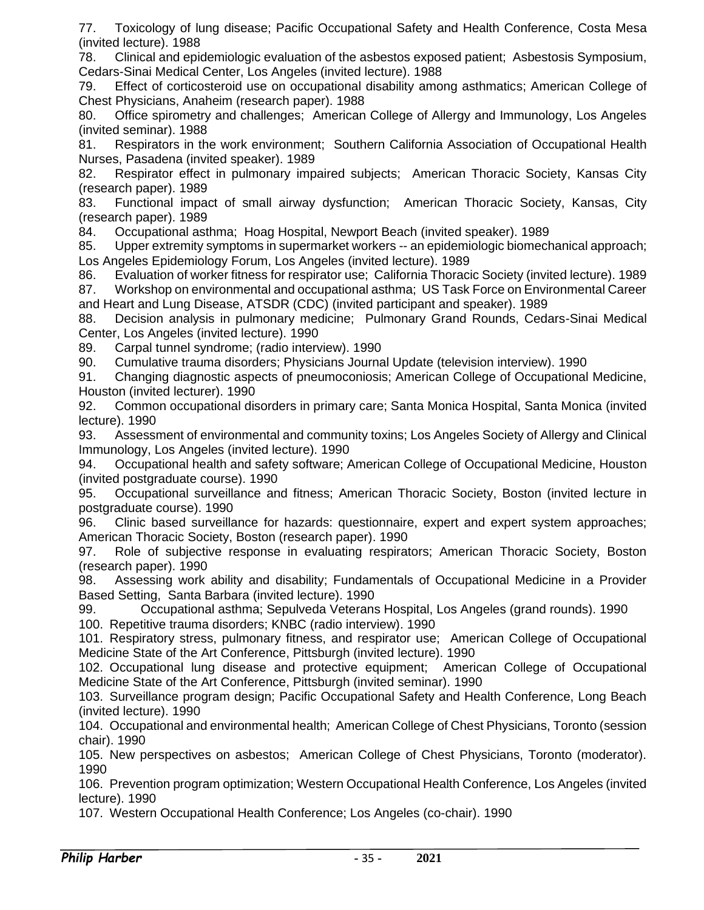77. Toxicology of lung disease; Pacific Occupational Safety and Health Conference, Costa Mesa (invited lecture). 1988

78. Clinical and epidemiologic evaluation of the asbestos exposed patient; Asbestosis Symposium, Cedars-Sinai Medical Center, Los Angeles (invited lecture). 1988

79. Effect of corticosteroid use on occupational disability among asthmatics; American College of Chest Physicians, Anaheim (research paper). 1988

80. Office spirometry and challenges; American College of Allergy and Immunology, Los Angeles (invited seminar). 1988

81. Respirators in the work environment; Southern California Association of Occupational Health Nurses, Pasadena (invited speaker). 1989

82. Respirator effect in pulmonary impaired subjects; American Thoracic Society, Kansas City (research paper). 1989

83. Functional impact of small airway dysfunction; American Thoracic Society, Kansas, City (research paper). 1989

84. Occupational asthma; Hoag Hospital, Newport Beach (invited speaker). 1989

85. Upper extremity symptoms in supermarket workers -- an epidemiologic biomechanical approach; Los Angeles Epidemiology Forum, Los Angeles (invited lecture). 1989

86. Evaluation of worker fitness for respirator use; California Thoracic Society (invited lecture). 1989 87. Workshop on environmental and occupational asthma; US Task Force on Environmental Career and Heart and Lung Disease, ATSDR (CDC) (invited participant and speaker). 1989

88. Decision analysis in pulmonary medicine; Pulmonary Grand Rounds, Cedars-Sinai Medical Center, Los Angeles (invited lecture). 1990

89. Carpal tunnel syndrome; (radio interview). 1990

90. Cumulative trauma disorders; Physicians Journal Update (television interview). 1990

91. Changing diagnostic aspects of pneumoconiosis; American College of Occupational Medicine, Houston (invited lecturer). 1990

92. Common occupational disorders in primary care; Santa Monica Hospital, Santa Monica (invited lecture). 1990

93. Assessment of environmental and community toxins; Los Angeles Society of Allergy and Clinical Immunology, Los Angeles (invited lecture). 1990

94. Occupational health and safety software; American College of Occupational Medicine, Houston (invited postgraduate course). 1990

95. Occupational surveillance and fitness; American Thoracic Society, Boston (invited lecture in postgraduate course). 1990

96. Clinic based surveillance for hazards: questionnaire, expert and expert system approaches; American Thoracic Society, Boston (research paper). 1990

97. Role of subjective response in evaluating respirators; American Thoracic Society, Boston (research paper). 1990

98. Assessing work ability and disability; Fundamentals of Occupational Medicine in a Provider Based Setting, Santa Barbara (invited lecture). 1990

99. Occupational asthma; Sepulveda Veterans Hospital, Los Angeles (grand rounds). 1990

100. Repetitive trauma disorders; KNBC (radio interview). 1990

101. Respiratory stress, pulmonary fitness, and respirator use; American College of Occupational Medicine State of the Art Conference, Pittsburgh (invited lecture). 1990

102. Occupational lung disease and protective equipment; American College of Occupational Medicine State of the Art Conference, Pittsburgh (invited seminar). 1990

103. Surveillance program design; Pacific Occupational Safety and Health Conference, Long Beach (invited lecture). 1990

104. Occupational and environmental health; American College of Chest Physicians, Toronto (session chair). 1990

105. New perspectives on asbestos; American College of Chest Physicians, Toronto (moderator). 1990

106. Prevention program optimization; Western Occupational Health Conference, Los Angeles (invited lecture). 1990

107. Western Occupational Health Conference; Los Angeles (co-chair). 1990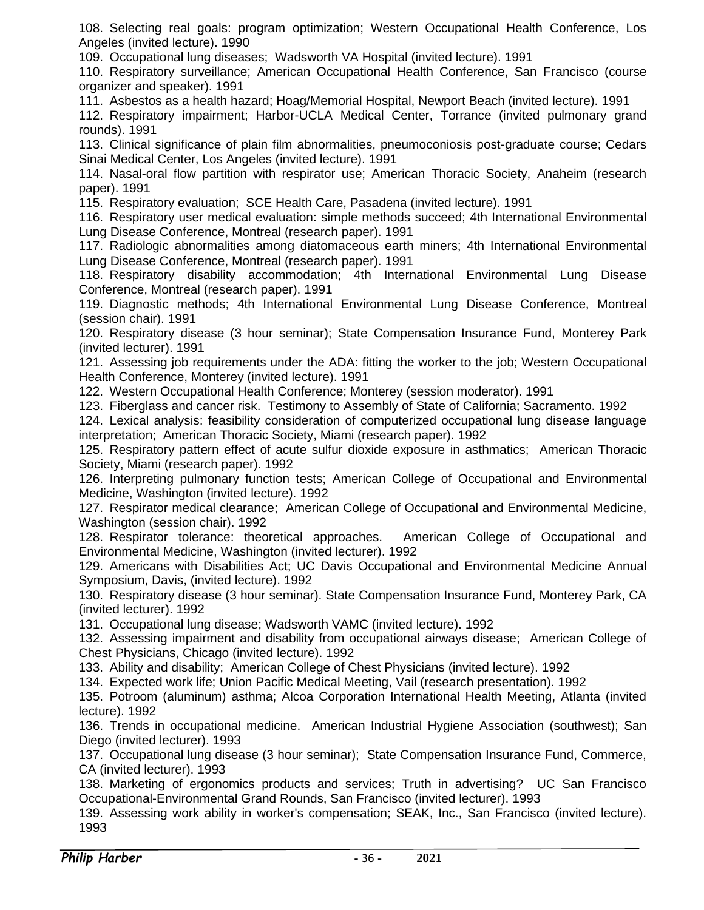108. Selecting real goals: program optimization; Western Occupational Health Conference, Los Angeles (invited lecture). 1990

109. Occupational lung diseases; Wadsworth VA Hospital (invited lecture). 1991

110. Respiratory surveillance; American Occupational Health Conference, San Francisco (course organizer and speaker). 1991

111. Asbestos as a health hazard; Hoag/Memorial Hospital, Newport Beach (invited lecture). 1991

112. Respiratory impairment; Harbor-UCLA Medical Center, Torrance (invited pulmonary grand rounds). 1991

113. Clinical significance of plain film abnormalities, pneumoconiosis post-graduate course; Cedars Sinai Medical Center, Los Angeles (invited lecture). 1991

114. Nasal-oral flow partition with respirator use; American Thoracic Society, Anaheim (research paper). 1991

115. Respiratory evaluation; SCE Health Care, Pasadena (invited lecture). 1991

116. Respiratory user medical evaluation: simple methods succeed; 4th International Environmental Lung Disease Conference, Montreal (research paper). 1991

117. Radiologic abnormalities among diatomaceous earth miners; 4th International Environmental Lung Disease Conference, Montreal (research paper). 1991

118. Respiratory disability accommodation; 4th International Environmental Lung Disease Conference, Montreal (research paper). 1991

119. Diagnostic methods; 4th International Environmental Lung Disease Conference, Montreal (session chair). 1991

120. Respiratory disease (3 hour seminar); State Compensation Insurance Fund, Monterey Park (invited lecturer). 1991

121. Assessing job requirements under the ADA: fitting the worker to the job; Western Occupational Health Conference, Monterey (invited lecture). 1991

122. Western Occupational Health Conference; Monterey (session moderator). 1991

123. Fiberglass and cancer risk. Testimony to Assembly of State of California; Sacramento. 1992

124. Lexical analysis: feasibility consideration of computerized occupational lung disease language interpretation; American Thoracic Society, Miami (research paper). 1992

125. Respiratory pattern effect of acute sulfur dioxide exposure in asthmatics; American Thoracic Society, Miami (research paper). 1992

126. Interpreting pulmonary function tests; American College of Occupational and Environmental Medicine, Washington (invited lecture). 1992

127. Respirator medical clearance; American College of Occupational and Environmental Medicine, Washington (session chair). 1992

128. Respirator tolerance: theoretical approaches. American College of Occupational and Environmental Medicine, Washington (invited lecturer). 1992

129. Americans with Disabilities Act; UC Davis Occupational and Environmental Medicine Annual Symposium, Davis, (invited lecture). 1992

130. Respiratory disease (3 hour seminar). State Compensation Insurance Fund, Monterey Park, CA (invited lecturer). 1992

131. Occupational lung disease; Wadsworth VAMC (invited lecture). 1992

132. Assessing impairment and disability from occupational airways disease; American College of Chest Physicians, Chicago (invited lecture). 1992

133. Ability and disability; American College of Chest Physicians (invited lecture). 1992

134. Expected work life; Union Pacific Medical Meeting, Vail (research presentation). 1992

135. Potroom (aluminum) asthma; Alcoa Corporation International Health Meeting, Atlanta (invited lecture). 1992

136. Trends in occupational medicine. American Industrial Hygiene Association (southwest); San Diego (invited lecturer). 1993

137. Occupational lung disease (3 hour seminar); State Compensation Insurance Fund, Commerce, CA (invited lecturer). 1993

138. Marketing of ergonomics products and services; Truth in advertising? UC San Francisco Occupational-Environmental Grand Rounds, San Francisco (invited lecturer). 1993

139. Assessing work ability in worker's compensation; SEAK, Inc., San Francisco (invited lecture). 1993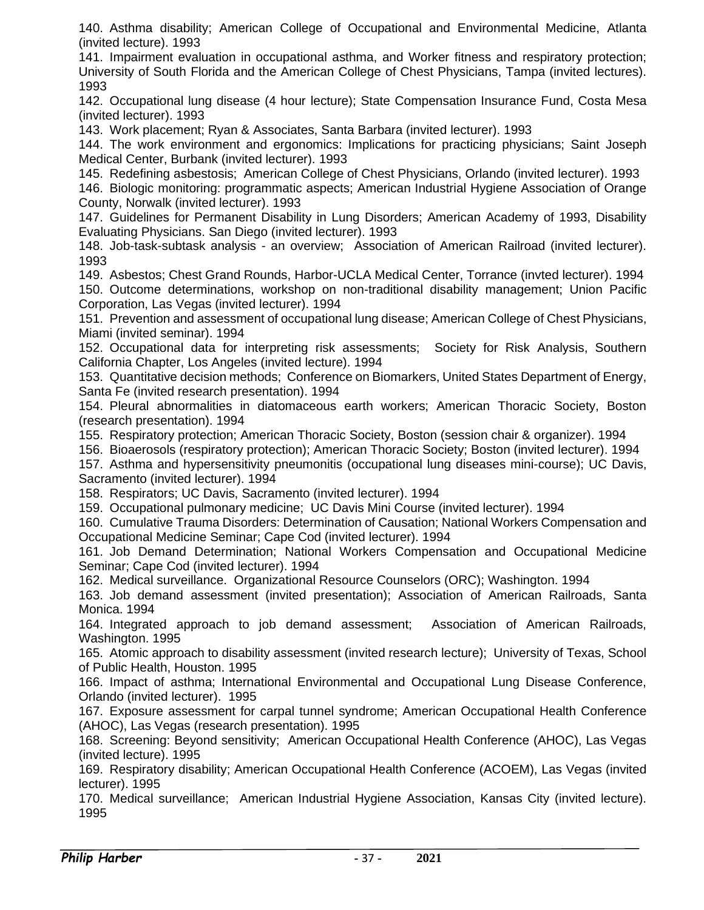140. Asthma disability; American College of Occupational and Environmental Medicine, Atlanta (invited lecture). 1993

141. Impairment evaluation in occupational asthma, and Worker fitness and respiratory protection; University of South Florida and the American College of Chest Physicians, Tampa (invited lectures). 1993

142. Occupational lung disease (4 hour lecture); State Compensation Insurance Fund, Costa Mesa (invited lecturer). 1993

143. Work placement; Ryan & Associates, Santa Barbara (invited lecturer). 1993

144. The work environment and ergonomics: Implications for practicing physicians; Saint Joseph Medical Center, Burbank (invited lecturer). 1993

145. Redefining asbestosis; American College of Chest Physicians, Orlando (invited lecturer). 1993

146. Biologic monitoring: programmatic aspects; American Industrial Hygiene Association of Orange County, Norwalk (invited lecturer). 1993

147. Guidelines for Permanent Disability in Lung Disorders; American Academy of 1993, Disability Evaluating Physicians. San Diego (invited lecturer). 1993

148. Job-task-subtask analysis - an overview; Association of American Railroad (invited lecturer). 1993

149. Asbestos; Chest Grand Rounds, Harbor-UCLA Medical Center, Torrance (invted lecturer). 1994 150. Outcome determinations, workshop on non-traditional disability management; Union Pacific Corporation, Las Vegas (invited lecturer). 1994

151. Prevention and assessment of occupational lung disease; American College of Chest Physicians, Miami (invited seminar). 1994

152. Occupational data for interpreting risk assessments; Society for Risk Analysis, Southern California Chapter, Los Angeles (invited lecture). 1994

153. Quantitative decision methods; Conference on Biomarkers, United States Department of Energy, Santa Fe (invited research presentation). 1994

154. Pleural abnormalities in diatomaceous earth workers; American Thoracic Society, Boston (research presentation). 1994

155. Respiratory protection; American Thoracic Society, Boston (session chair & organizer). 1994

156. Bioaerosols (respiratory protection); American Thoracic Society; Boston (invited lecturer). 1994

157. Asthma and hypersensitivity pneumonitis (occupational lung diseases mini-course); UC Davis, Sacramento (invited lecturer). 1994

158. Respirators; UC Davis, Sacramento (invited lecturer). 1994

159. Occupational pulmonary medicine; UC Davis Mini Course (invited lecturer). 1994

160. Cumulative Trauma Disorders: Determination of Causation; National Workers Compensation and Occupational Medicine Seminar; Cape Cod (invited lecturer). 1994

161. Job Demand Determination; National Workers Compensation and Occupational Medicine Seminar; Cape Cod (invited lecturer). 1994

162. Medical surveillance. Organizational Resource Counselors (ORC); Washington. 1994

163. Job demand assessment (invited presentation); Association of American Railroads, Santa Monica. 1994

164. Integrated approach to job demand assessment; Association of American Railroads, Washington. 1995

165. Atomic approach to disability assessment (invited research lecture); University of Texas, School of Public Health, Houston. 1995

166. Impact of asthma; International Environmental and Occupational Lung Disease Conference, Orlando (invited lecturer). 1995

167. Exposure assessment for carpal tunnel syndrome; American Occupational Health Conference (AHOC), Las Vegas (research presentation). 1995

168. Screening: Beyond sensitivity; American Occupational Health Conference (AHOC), Las Vegas (invited lecture). 1995

169. Respiratory disability; American Occupational Health Conference (ACOEM), Las Vegas (invited lecturer). 1995

170. Medical surveillance; American Industrial Hygiene Association, Kansas City (invited lecture). 1995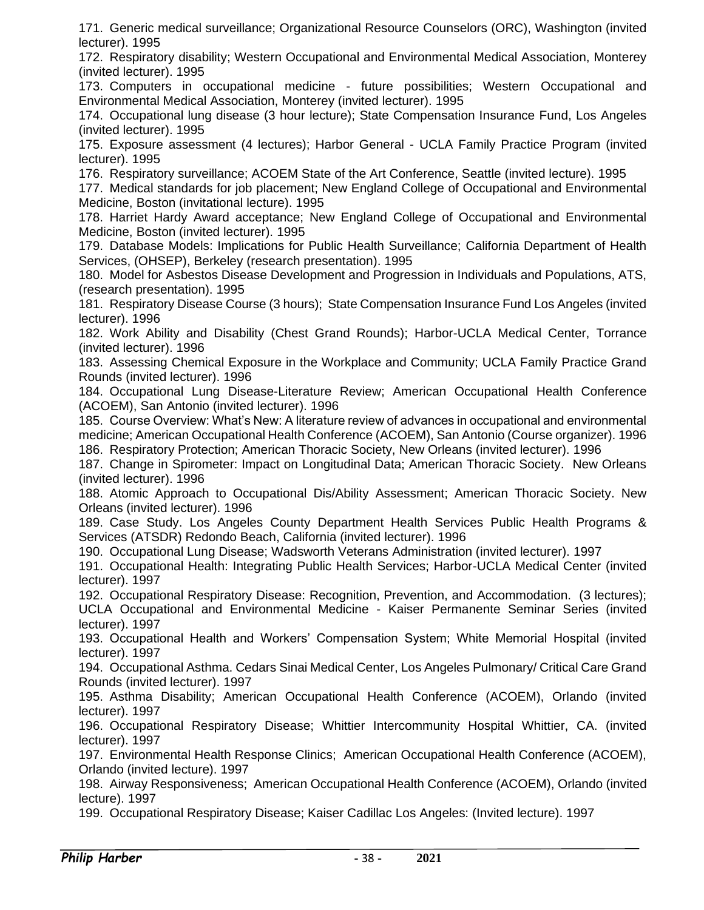171. Generic medical surveillance; Organizational Resource Counselors (ORC), Washington (invited lecturer). 1995

172. Respiratory disability; Western Occupational and Environmental Medical Association, Monterey (invited lecturer). 1995

173. Computers in occupational medicine - future possibilities; Western Occupational and Environmental Medical Association, Monterey (invited lecturer). 1995

174. Occupational lung disease (3 hour lecture); State Compensation Insurance Fund, Los Angeles (invited lecturer). 1995

175. Exposure assessment (4 lectures); Harbor General - UCLA Family Practice Program (invited lecturer). 1995

176. Respiratory surveillance; ACOEM State of the Art Conference, Seattle (invited lecture). 1995

177. Medical standards for job placement; New England College of Occupational and Environmental Medicine, Boston (invitational lecture). 1995

178. Harriet Hardy Award acceptance; New England College of Occupational and Environmental Medicine, Boston (invited lecturer). 1995

179. Database Models: Implications for Public Health Surveillance; California Department of Health Services, (OHSEP), Berkeley (research presentation). 1995

180. Model for Asbestos Disease Development and Progression in Individuals and Populations, ATS, (research presentation). 1995

181. Respiratory Disease Course (3 hours); State Compensation Insurance Fund Los Angeles (invited lecturer). 1996

182. Work Ability and Disability (Chest Grand Rounds); Harbor-UCLA Medical Center, Torrance (invited lecturer). 1996

183. Assessing Chemical Exposure in the Workplace and Community; UCLA Family Practice Grand Rounds (invited lecturer). 1996

184. Occupational Lung Disease-Literature Review; American Occupational Health Conference (ACOEM), San Antonio (invited lecturer). 1996

185. Course Overview: What's New: A literature review of advances in occupational and environmental medicine; American Occupational Health Conference (ACOEM), San Antonio (Course organizer). 1996 186. Respiratory Protection; American Thoracic Society, New Orleans (invited lecturer). 1996

187. Change in Spirometer: Impact on Longitudinal Data; American Thoracic Society. New Orleans (invited lecturer). 1996

188. Atomic Approach to Occupational Dis/Ability Assessment; American Thoracic Society. New Orleans (invited lecturer). 1996

189. Case Study. Los Angeles County Department Health Services Public Health Programs & Services (ATSDR) Redondo Beach, California (invited lecturer). 1996

190. Occupational Lung Disease; Wadsworth Veterans Administration (invited lecturer). 1997

191. Occupational Health: Integrating Public Health Services; Harbor-UCLA Medical Center (invited lecturer). 1997

192. Occupational Respiratory Disease: Recognition, Prevention, and Accommodation. (3 lectures); UCLA Occupational and Environmental Medicine - Kaiser Permanente Seminar Series (invited lecturer). 1997

193. Occupational Health and Workers' Compensation System; White Memorial Hospital (invited lecturer). 1997

194. Occupational Asthma. Cedars Sinai Medical Center, Los Angeles Pulmonary/ Critical Care Grand Rounds (invited lecturer). 1997

195. Asthma Disability; American Occupational Health Conference (ACOEM), Orlando (invited lecturer). 1997

196. Occupational Respiratory Disease; Whittier Intercommunity Hospital Whittier, CA. (invited lecturer). 1997

197. Environmental Health Response Clinics; American Occupational Health Conference (ACOEM), Orlando (invited lecture). 1997

198. Airway Responsiveness; American Occupational Health Conference (ACOEM), Orlando (invited lecture). 1997

199. Occupational Respiratory Disease; Kaiser Cadillac Los Angeles: (Invited lecture). 1997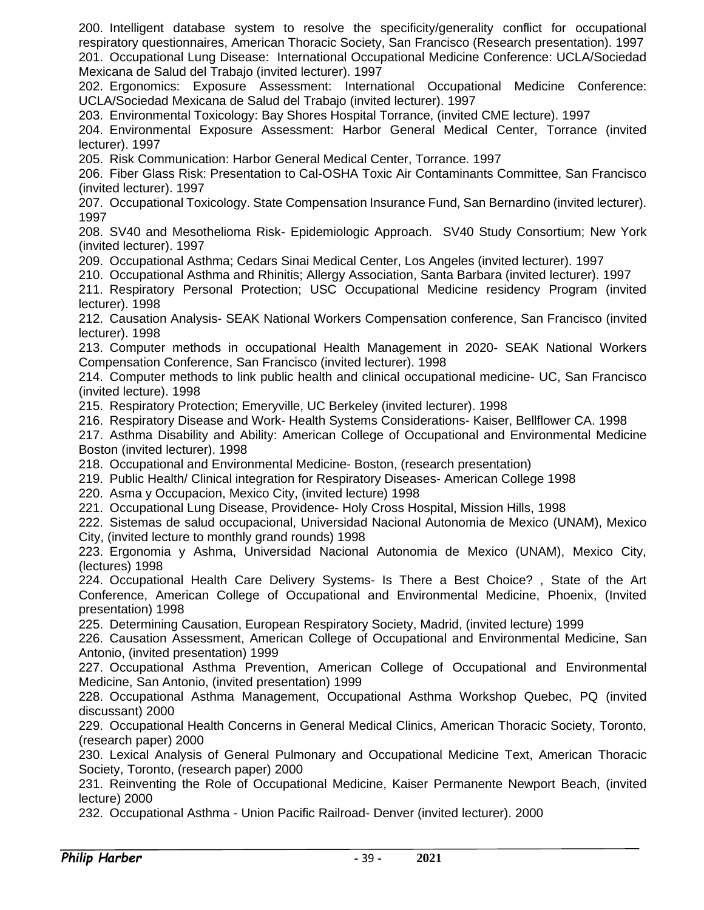200. Intelligent database system to resolve the specificity/generality conflict for occupational respiratory questionnaires, American Thoracic Society, San Francisco (Research presentation). 1997 201. Occupational Lung Disease: International Occupational Medicine Conference: UCLA/Sociedad Mexicana de Salud del Trabajo (invited lecturer). 1997

202. Ergonomics: Exposure Assessment: International Occupational Medicine Conference: UCLA/Sociedad Mexicana de Salud del Trabajo (invited lecturer). 1997

203. Environmental Toxicology: Bay Shores Hospital Torrance, (invited CME lecture). 1997

204. Environmental Exposure Assessment: Harbor General Medical Center, Torrance (invited lecturer). 1997

205. Risk Communication: Harbor General Medical Center, Torrance. 1997

206. Fiber Glass Risk: Presentation to Cal-OSHA Toxic Air Contaminants Committee, San Francisco (invited lecturer). 1997

207. Occupational Toxicology. State Compensation Insurance Fund, San Bernardino (invited lecturer). 1997

208. SV40 and Mesothelioma Risk- Epidemiologic Approach. SV40 Study Consortium; New York (invited lecturer). 1997

209. Occupational Asthma; Cedars Sinai Medical Center, Los Angeles (invited lecturer). 1997

210. Occupational Asthma and Rhinitis; Allergy Association, Santa Barbara (invited lecturer). 1997

211. Respiratory Personal Protection; USC Occupational Medicine residency Program (invited lecturer). 1998

212. Causation Analysis- SEAK National Workers Compensation conference, San Francisco (invited lecturer). 1998

213. Computer methods in occupational Health Management in 2020- SEAK National Workers Compensation Conference, San Francisco (invited lecturer). 1998

214. Computer methods to link public health and clinical occupational medicine- UC, San Francisco (invited lecture). 1998

215. Respiratory Protection; Emeryville, UC Berkeley (invited lecturer). 1998

216. Respiratory Disease and Work- Health Systems Considerations- Kaiser, Bellflower CA. 1998

217. Asthma Disability and Ability: American College of Occupational and Environmental Medicine Boston (invited lecturer). 1998

218. Occupational and Environmental Medicine- Boston, (research presentation)

219. Public Health/ Clinical integration for Respiratory Diseases- American College 1998

220. Asma y Occupacion, Mexico City, (invited lecture) 1998

221. Occupational Lung Disease, Providence- Holy Cross Hospital, Mission Hills, 1998

222. Sistemas de salud occupacional, Universidad Nacional Autonomia de Mexico (UNAM), Mexico City, (invited lecture to monthly grand rounds) 1998

223. Ergonomia y Ashma, Universidad Nacional Autonomia de Mexico (UNAM), Mexico City, (lectures) 1998

224. Occupational Health Care Delivery Systems- Is There a Best Choice? , State of the Art Conference, American College of Occupational and Environmental Medicine, Phoenix, (Invited presentation) 1998

225. Determining Causation, European Respiratory Society, Madrid, (invited lecture) 1999

226. Causation Assessment, American College of Occupational and Environmental Medicine, San Antonio, (invited presentation) 1999

227. Occupational Asthma Prevention, American College of Occupational and Environmental Medicine, San Antonio, (invited presentation) 1999

228. Occupational Asthma Management, Occupational Asthma Workshop Quebec, PQ (invited discussant) 2000

229. Occupational Health Concerns in General Medical Clinics, American Thoracic Society, Toronto, (research paper) 2000

230. Lexical Analysis of General Pulmonary and Occupational Medicine Text, American Thoracic Society, Toronto, (research paper) 2000

231. Reinventing the Role of Occupational Medicine, Kaiser Permanente Newport Beach, (invited lecture) 2000

232. Occupational Asthma - Union Pacific Railroad- Denver (invited lecturer). 2000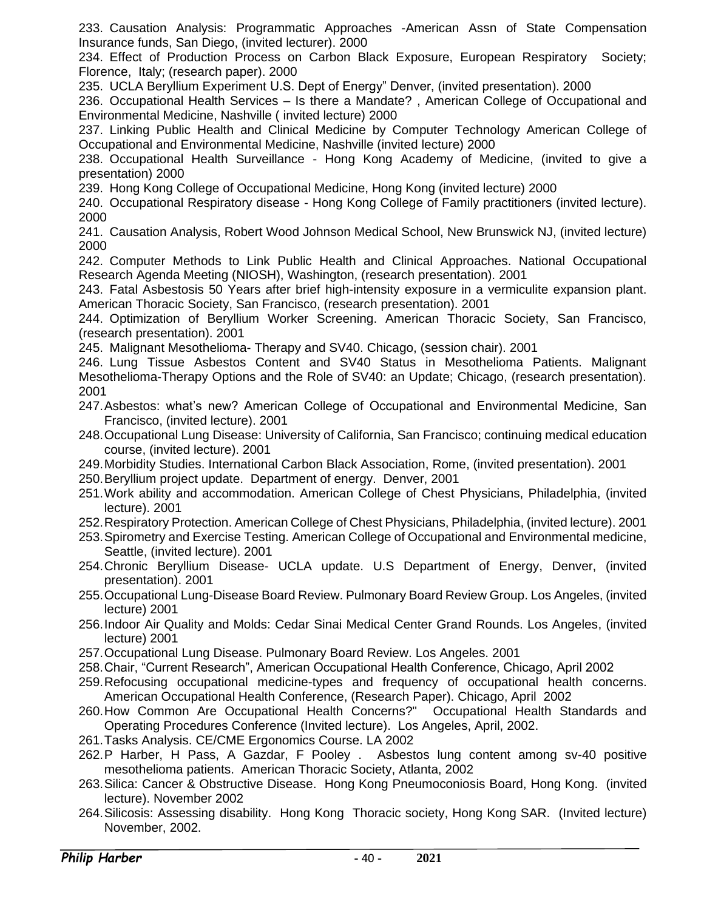233. Causation Analysis: Programmatic Approaches -American Assn of State Compensation Insurance funds, San Diego, (invited lecturer). 2000

234. Effect of Production Process on Carbon Black Exposure, European Respiratory Society; Florence, Italy; (research paper). 2000

235. UCLA Beryllium Experiment U.S. Dept of Energy" Denver, (invited presentation). 2000

236. Occupational Health Services – Is there a Mandate? , American College of Occupational and Environmental Medicine, Nashville ( invited lecture) 2000

237. Linking Public Health and Clinical Medicine by Computer Technology American College of Occupational and Environmental Medicine, Nashville (invited lecture) 2000

238. Occupational Health Surveillance - Hong Kong Academy of Medicine, (invited to give a presentation) 2000

239. Hong Kong College of Occupational Medicine, Hong Kong (invited lecture) 2000

240. Occupational Respiratory disease - Hong Kong College of Family practitioners (invited lecture). 2000

241. Causation Analysis, Robert Wood Johnson Medical School, New Brunswick NJ, (invited lecture) 2000

242. Computer Methods to Link Public Health and Clinical Approaches. National Occupational Research Agenda Meeting (NIOSH), Washington, (research presentation). 2001

243. Fatal Asbestosis 50 Years after brief high-intensity exposure in a vermiculite expansion plant. American Thoracic Society, San Francisco, (research presentation). 2001

244. Optimization of Beryllium Worker Screening. American Thoracic Society, San Francisco, (research presentation). 2001

245. Malignant Mesothelioma- Therapy and SV40. Chicago, (session chair). 2001

246. Lung Tissue Asbestos Content and SV40 Status in Mesothelioma Patients. Malignant Mesothelioma-Therapy Options and the Role of SV40: an Update; Chicago, (research presentation). 2001

- 247.Asbestos: what's new? American College of Occupational and Environmental Medicine, San Francisco, (invited lecture). 2001
- 248.Occupational Lung Disease: University of California, San Francisco; continuing medical education course, (invited lecture). 2001
- 249.Morbidity Studies. International Carbon Black Association, Rome, (invited presentation). 2001
- 250.Beryllium project update. Department of energy. Denver, 2001
- 251.Work ability and accommodation. American College of Chest Physicians, Philadelphia, (invited lecture). 2001
- 252.Respiratory Protection. American College of Chest Physicians, Philadelphia, (invited lecture). 2001
- 253.Spirometry and Exercise Testing. American College of Occupational and Environmental medicine, Seattle, (invited lecture). 2001
- 254.Chronic Beryllium Disease- UCLA update. U.S Department of Energy, Denver, (invited presentation). 2001
- 255.Occupational Lung-Disease Board Review. Pulmonary Board Review Group. Los Angeles, (invited lecture) 2001
- 256.Indoor Air Quality and Molds: Cedar Sinai Medical Center Grand Rounds. Los Angeles, (invited lecture) 2001
- 257.Occupational Lung Disease. Pulmonary Board Review. Los Angeles. 2001
- 258.Chair, "Current Research", American Occupational Health Conference, Chicago, April 2002
- 259.Refocusing occupational medicine-types and frequency of occupational health concerns. American Occupational Health Conference, (Research Paper). Chicago, April 2002
- 260.How Common Are Occupational Health Concerns?" Occupational Health Standards and Operating Procedures Conference (Invited lecture). Los Angeles, April, 2002.
- 261.Tasks Analysis. CE/CME Ergonomics Course. LA 2002
- 262.P Harber, H Pass, A Gazdar, F Pooley . Asbestos lung content among sv-40 positive mesothelioma patients. American Thoracic Society, Atlanta, 2002
- 263.Silica: Cancer & Obstructive Disease. Hong Kong Pneumoconiosis Board, Hong Kong. (invited lecture). November 2002
- 264.Silicosis: Assessing disability. Hong Kong Thoracic society, Hong Kong SAR. (Invited lecture) November, 2002.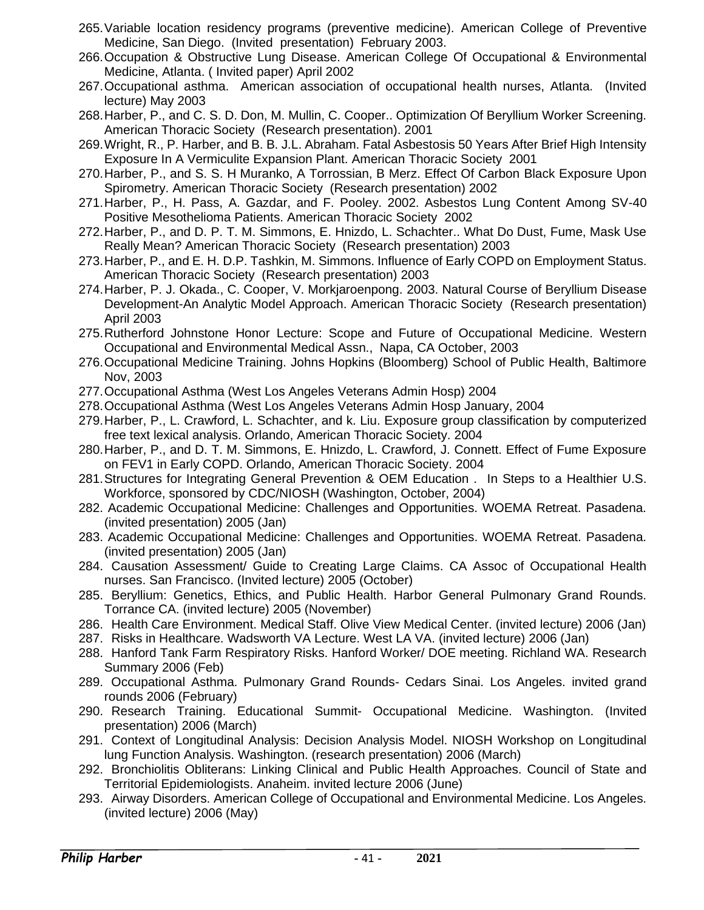- 265.Variable location residency programs (preventive medicine). American College of Preventive Medicine, San Diego. (Invited presentation) February 2003.
- 266.Occupation & Obstructive Lung Disease. American College Of Occupational & Environmental Medicine, Atlanta. ( Invited paper) April 2002
- 267.Occupational asthma. American association of occupational health nurses, Atlanta. (Invited lecture) May 2003
- 268.Harber, P., and C. S. D. Don, M. Mullin, C. Cooper.. Optimization Of Beryllium Worker Screening. American Thoracic Society (Research presentation). 2001
- 269.Wright, R., P. Harber, and B. B. J.L. Abraham. Fatal Asbestosis 50 Years After Brief High Intensity Exposure In A Vermiculite Expansion Plant. American Thoracic Society 2001
- 270.Harber, P., and S. S. H Muranko, A Torrossian, B Merz. Effect Of Carbon Black Exposure Upon Spirometry. American Thoracic Society (Research presentation) 2002
- 271.Harber, P., H. Pass, A. Gazdar, and F. Pooley. 2002. Asbestos Lung Content Among SV-40 Positive Mesothelioma Patients. American Thoracic Society 2002
- 272.Harber, P., and D. P. T. M. Simmons, E. Hnizdo, L. Schachter.. What Do Dust, Fume, Mask Use Really Mean? American Thoracic Society (Research presentation) 2003
- 273.Harber, P., and E. H. D.P. Tashkin, M. Simmons. Influence of Early COPD on Employment Status. American Thoracic Society (Research presentation) 2003
- 274.Harber, P. J. Okada., C. Cooper, V. Morkjaroenpong. 2003. Natural Course of Beryllium Disease Development-An Analytic Model Approach. American Thoracic Society (Research presentation) April 2003
- 275.Rutherford Johnstone Honor Lecture: Scope and Future of Occupational Medicine. Western Occupational and Environmental Medical Assn., Napa, CA October, 2003
- 276.Occupational Medicine Training. Johns Hopkins (Bloomberg) School of Public Health, Baltimore Nov, 2003
- 277.Occupational Asthma (West Los Angeles Veterans Admin Hosp) 2004
- 278.Occupational Asthma (West Los Angeles Veterans Admin Hosp January, 2004
- 279.Harber, P., L. Crawford, L. Schachter, and k. Liu. Exposure group classification by computerized free text lexical analysis. Orlando, American Thoracic Society. 2004
- 280.Harber, P., and D. T. M. Simmons, E. Hnizdo, L. Crawford, J. Connett. Effect of Fume Exposure on FEV1 in Early COPD. Orlando, American Thoracic Society. 2004
- 281.Structures for Integrating General Prevention & OEM Education . In Steps to a Healthier U.S. Workforce, sponsored by CDC/NIOSH (Washington, October, 2004)
- 282. Academic Occupational Medicine: Challenges and Opportunities. WOEMA Retreat. Pasadena. (invited presentation) 2005 (Jan)
- 283. Academic Occupational Medicine: Challenges and Opportunities. WOEMA Retreat. Pasadena. (invited presentation) 2005 (Jan)
- 284. Causation Assessment/ Guide to Creating Large Claims. CA Assoc of Occupational Health nurses. San Francisco. (Invited lecture) 2005 (October)
- 285. Beryllium: Genetics, Ethics, and Public Health. Harbor General Pulmonary Grand Rounds. Torrance CA. (invited lecture) 2005 (November)
- 286. Health Care Environment. Medical Staff. Olive View Medical Center. (invited lecture) 2006 (Jan)
- 287. Risks in Healthcare. Wadsworth VA Lecture. West LA VA. (invited lecture) 2006 (Jan)
- 288. Hanford Tank Farm Respiratory Risks. Hanford Worker/ DOE meeting. Richland WA. Research Summary 2006 (Feb)
- 289. Occupational Asthma. Pulmonary Grand Rounds- Cedars Sinai. Los Angeles. invited grand rounds 2006 (February)
- 290. Research Training. Educational Summit- Occupational Medicine. Washington. (Invited presentation) 2006 (March)
- 291. Context of Longitudinal Analysis: Decision Analysis Model. NIOSH Workshop on Longitudinal lung Function Analysis. Washington. (research presentation) 2006 (March)
- 292. Bronchiolitis Obliterans: Linking Clinical and Public Health Approaches. Council of State and Territorial Epidemiologists. Anaheim. invited lecture 2006 (June)
- 293. Airway Disorders. American College of Occupational and Environmental Medicine. Los Angeles. (invited lecture) 2006 (May)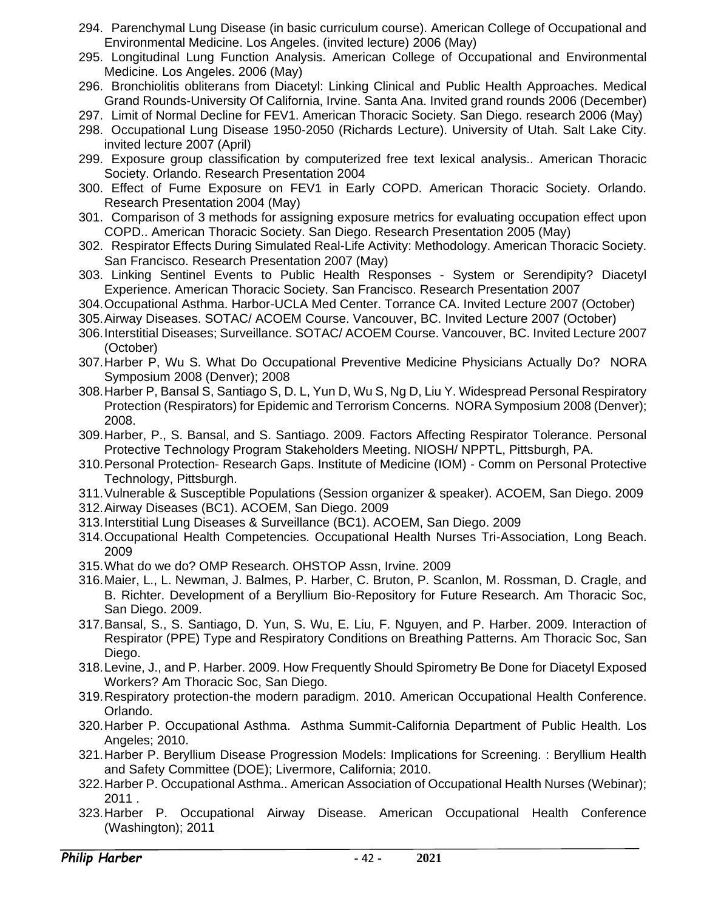- 294. Parenchymal Lung Disease (in basic curriculum course). American College of Occupational and Environmental Medicine. Los Angeles. (invited lecture) 2006 (May)
- 295. Longitudinal Lung Function Analysis. American College of Occupational and Environmental Medicine. Los Angeles. 2006 (May)
- 296. Bronchiolitis obliterans from Diacetyl: Linking Clinical and Public Health Approaches. Medical Grand Rounds-University Of California, Irvine. Santa Ana. Invited grand rounds 2006 (December)
- 297. Limit of Normal Decline for FEV1. American Thoracic Society. San Diego. research 2006 (May)
- 298. Occupational Lung Disease 1950-2050 (Richards Lecture). University of Utah. Salt Lake City. invited lecture 2007 (April)
- 299. Exposure group classification by computerized free text lexical analysis.. American Thoracic Society. Orlando. Research Presentation 2004
- 300. Effect of Fume Exposure on FEV1 in Early COPD. American Thoracic Society. Orlando. Research Presentation 2004 (May)
- 301. Comparison of 3 methods for assigning exposure metrics for evaluating occupation effect upon COPD.. American Thoracic Society. San Diego. Research Presentation 2005 (May)
- 302. Respirator Effects During Simulated Real-Life Activity: Methodology. American Thoracic Society. San Francisco. Research Presentation 2007 (May)
- 303. Linking Sentinel Events to Public Health Responses System or Serendipity? Diacetyl Experience. American Thoracic Society. San Francisco. Research Presentation 2007
- 304.Occupational Asthma. Harbor-UCLA Med Center. Torrance CA. Invited Lecture 2007 (October)
- 305.Airway Diseases. SOTAC/ ACOEM Course. Vancouver, BC. Invited Lecture 2007 (October)
- 306.Interstitial Diseases; Surveillance. SOTAC/ ACOEM Course. Vancouver, BC. Invited Lecture 2007 (October)
- 307.Harber P, Wu S. What Do Occupational Preventive Medicine Physicians Actually Do? NORA Symposium 2008 (Denver); 2008
- 308.Harber P, Bansal S, Santiago S, D. L, Yun D, Wu S, Ng D, Liu Y. Widespread Personal Respiratory Protection (Respirators) for Epidemic and Terrorism Concerns. NORA Symposium 2008 (Denver); 2008.
- 309.Harber, P., S. Bansal, and S. Santiago. 2009. Factors Affecting Respirator Tolerance. Personal Protective Technology Program Stakeholders Meeting. NIOSH/ NPPTL, Pittsburgh, PA.
- 310.Personal Protection- Research Gaps. Institute of Medicine (IOM) Comm on Personal Protective Technology, Pittsburgh.
- 311.Vulnerable & Susceptible Populations (Session organizer & speaker). ACOEM, San Diego. 2009
- 312.Airway Diseases (BC1). ACOEM, San Diego. 2009
- 313.Interstitial Lung Diseases & Surveillance (BC1). ACOEM, San Diego. 2009
- 314.Occupational Health Competencies. Occupational Health Nurses Tri-Association, Long Beach. 2009
- 315.What do we do? OMP Research. OHSTOP Assn, Irvine. 2009
- 316.Maier, L., L. Newman, J. Balmes, P. Harber, C. Bruton, P. Scanlon, M. Rossman, D. Cragle, and B. Richter. Development of a Beryllium Bio-Repository for Future Research. Am Thoracic Soc, San Diego. 2009.
- 317.Bansal, S., S. Santiago, D. Yun, S. Wu, E. Liu, F. Nguyen, and P. Harber. 2009. Interaction of Respirator (PPE) Type and Respiratory Conditions on Breathing Patterns. Am Thoracic Soc, San Diego.
- 318.Levine, J., and P. Harber. 2009. How Frequently Should Spirometry Be Done for Diacetyl Exposed Workers? Am Thoracic Soc, San Diego.
- 319.Respiratory protection-the modern paradigm. 2010. American Occupational Health Conference. Orlando.
- 320.Harber P. Occupational Asthma. Asthma Summit-California Department of Public Health. Los Angeles; 2010.
- 321.Harber P. Beryllium Disease Progression Models: Implications for Screening. : Beryllium Health and Safety Committee (DOE); Livermore, California; 2010.
- 322.Harber P. Occupational Asthma.. American Association of Occupational Health Nurses (Webinar); 2011 .
- 323.Harber P. Occupational Airway Disease. American Occupational Health Conference (Washington); 2011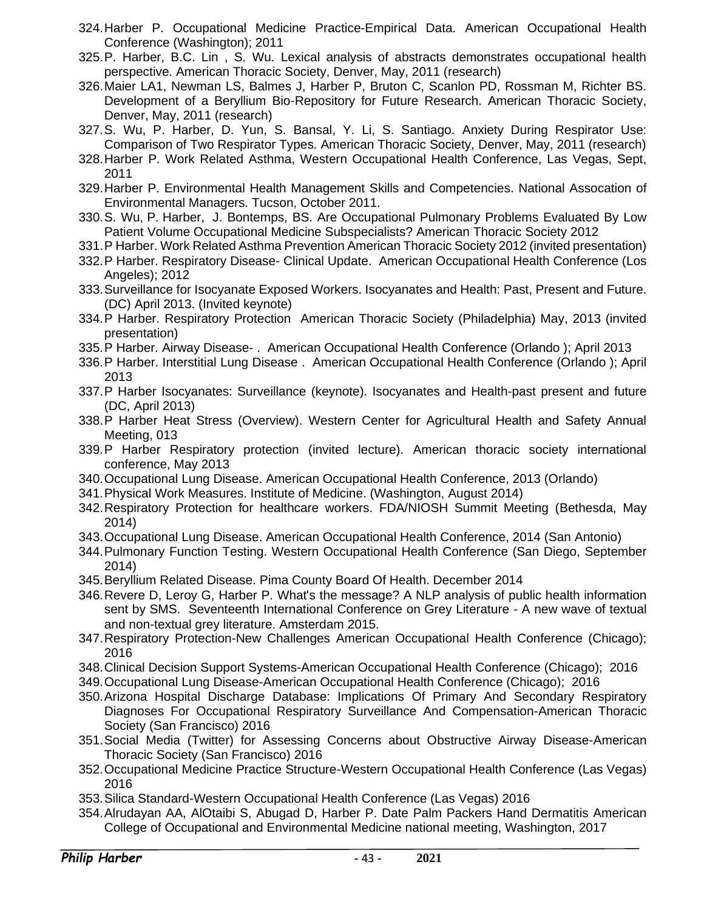- 324.Harber P. Occupational Medicine Practice-Empirical Data. American Occupational Health Conference (Washington); 2011
- 325.P. Harber, B.C. Lin , S. Wu. Lexical analysis of abstracts demonstrates occupational health perspective. American Thoracic Society, Denver, May, 2011 (research)
- 326.Maier LA1, Newman LS, Balmes J, Harber P, Bruton C, Scanlon PD, Rossman M, Richter BS. Development of a Beryllium Bio-Repository for Future Research. American Thoracic Society, Denver, May, 2011 (research)
- 327.S. Wu, P. Harber, D. Yun, S. Bansal, Y. Li, S. Santiago. Anxiety During Respirator Use: Comparison of Two Respirator Types. American Thoracic Society, Denver, May, 2011 (research)
- 328.Harber P. Work Related Asthma, Western Occupational Health Conference, Las Vegas, Sept, 2011
- 329.Harber P. Environmental Health Management Skills and Competencies. National Assocation of Environmental Managers. Tucson, October 2011.
- 330.S. Wu, P. Harber, J. Bontemps, BS. Are Occupational Pulmonary Problems Evaluated By Low Patient Volume Occupational Medicine Subspecialists? American Thoracic Society 2012
- 331.P Harber. Work Related Asthma Prevention American Thoracic Society 2012 (invited presentation)
- 332.P Harber. Respiratory Disease- Clinical Update. American Occupational Health Conference (Los Angeles); 2012
- 333.Surveillance for Isocyanate Exposed Workers. Isocyanates and Health: Past, Present and Future. (DC) April 2013. (Invited keynote)
- 334.P Harber. Respiratory Protection American Thoracic Society (Philadelphia) May, 2013 (invited presentation)
- 335.P Harber. Airway Disease- . American Occupational Health Conference (Orlando ); April 2013
- 336.P Harber. Interstitial Lung Disease . American Occupational Health Conference (Orlando ); April 2013
- 337.P Harber Isocyanates: Surveillance (keynote). Isocyanates and Health-past present and future (DC, April 2013)
- 338.P Harber Heat Stress (Overview). Western Center for Agricultural Health and Safety Annual Meeting, 013
- 339.P Harber Respiratory protection (invited lecture). American thoracic society international conference, May 2013
- 340.Occupational Lung Disease. American Occupational Health Conference, 2013 (Orlando)
- 341.Physical Work Measures. Institute of Medicine. (Washington, August 2014)
- 342.Respiratory Protection for healthcare workers. FDA/NIOSH Summit Meeting (Bethesda, May 2014)
- 343.Occupational Lung Disease. American Occupational Health Conference, 2014 (San Antonio)
- 344.Pulmonary Function Testing. Western Occupational Health Conference (San Diego, September 2014)
- 345.Beryllium Related Disease. Pima County Board Of Health. December 2014
- 346.Revere D, Leroy G, Harber P. What's the message? A NLP analysis of public health information sent by SMS. Seventeenth International Conference on Grey Literature - A new wave of textual and non-textual grey literature. Amsterdam 2015.
- 347.Respiratory Protection-New Challenges American Occupational Health Conference (Chicago); 2016
- 348.Clinical Decision Support Systems-American Occupational Health Conference (Chicago); 2016
- 349.Occupational Lung Disease-American Occupational Health Conference (Chicago); 2016
- 350.Arizona Hospital Discharge Database: Implications Of Primary And Secondary Respiratory Diagnoses For Occupational Respiratory Surveillance And Compensation-American Thoracic Society (San Francisco) 2016
- 351.Social Media (Twitter) for Assessing Concerns about Obstructive Airway Disease-American Thoracic Society (San Francisco) 2016
- 352.Occupational Medicine Practice Structure-Western Occupational Health Conference (Las Vegas) 2016
- 353.Silica Standard-Western Occupational Health Conference (Las Vegas) 2016
- 354.Alrudayan AA, AlOtaibi S, Abugad D, Harber P. Date Palm Packers Hand Dermatitis American College of Occupational and Environmental Medicine national meeting, Washington, 2017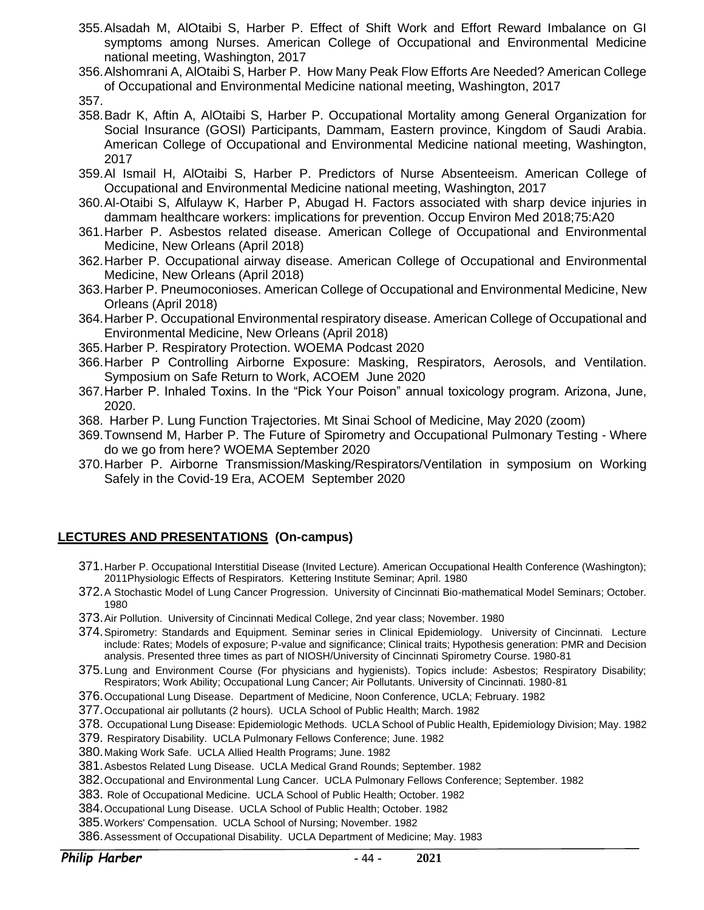- 355.Alsadah M, AlOtaibi S, Harber P. Effect of Shift Work and Effort Reward Imbalance on GI symptoms among Nurses. American College of Occupational and Environmental Medicine national meeting, Washington, 2017
- 356.Alshomrani A, AlOtaibi S, Harber P. How Many Peak Flow Efforts Are Needed? American College of Occupational and Environmental Medicine national meeting, Washington, 2017

357.

- 358.Badr K, Aftin A, AlOtaibi S, Harber P. Occupational Mortality among General Organization for Social Insurance (GOSI) Participants, Dammam, Eastern province, Kingdom of Saudi Arabia. American College of Occupational and Environmental Medicine national meeting, Washington, 2017
- 359.Al Ismail H, AlOtaibi S, Harber P. Predictors of Nurse Absenteeism. American College of Occupational and Environmental Medicine national meeting, Washington, 2017
- 360.Al-Otaibi S, Alfulayw K, Harber P, Abugad H. Factors associated with sharp device injuries in dammam healthcare workers: implications for prevention. Occup Environ Med 2018;75:A20
- 361.Harber P. Asbestos related disease. American College of Occupational and Environmental Medicine, New Orleans (April 2018)
- 362.Harber P. Occupational airway disease. American College of Occupational and Environmental Medicine, New Orleans (April 2018)
- 363.Harber P. Pneumoconioses. American College of Occupational and Environmental Medicine, New Orleans (April 2018)
- 364.Harber P. Occupational Environmental respiratory disease. American College of Occupational and Environmental Medicine, New Orleans (April 2018)
- 365.Harber P. Respiratory Protection. WOEMA Podcast 2020
- 366.Harber P Controlling Airborne Exposure: Masking, Respirators, Aerosols, and Ventilation. Symposium on Safe Return to Work, ACOEM June 2020
- 367.Harber P. Inhaled Toxins. In the "Pick Your Poison" annual toxicology program. Arizona, June, 2020.
- 368. Harber P. Lung Function Trajectories. Mt Sinai School of Medicine, May 2020 (zoom)
- 369.Townsend M, Harber P. The Future of Spirometry and Occupational Pulmonary Testing Where do we go from here? WOEMA September 2020
- 370.Harber P. Airborne Transmission/Masking/Respirators/Ventilation in symposium on Working Safely in the Covid-19 Era, ACOEM September 2020

### **LECTURES AND PRESENTATIONS (On-campus)**

- 371.Harber P. Occupational Interstitial Disease (Invited Lecture). American Occupational Health Conference (Washington); 2011Physiologic Effects of Respirators. Kettering Institute Seminar; April. 1980
- 372.A Stochastic Model of Lung Cancer Progression. University of Cincinnati Bio-mathematical Model Seminars; October. 1980
- 373.Air Pollution. University of Cincinnati Medical College, 2nd year class; November. 1980
- 374.Spirometry: Standards and Equipment. Seminar series in Clinical Epidemiology. University of Cincinnati. Lecture include: Rates; Models of exposure; P-value and significance; Clinical traits; Hypothesis generation: PMR and Decision analysis. Presented three times as part of NIOSH/University of Cincinnati Spirometry Course. 1980-81
- 375.Lung and Environment Course (For physicians and hygienists). Topics include: Asbestos; Respiratory Disability; Respirators; Work Ability; Occupational Lung Cancer; Air Pollutants. University of Cincinnati. 1980-81
- 376.Occupational Lung Disease. Department of Medicine, Noon Conference, UCLA; February. 1982
- 377.Occupational air pollutants (2 hours). UCLA School of Public Health; March. 1982
- 378. Occupational Lung Disease: Epidemiologic Methods. UCLA School of Public Health, Epidemiology Division; May. 1982
- 379. Respiratory Disability. UCLA Pulmonary Fellows Conference; June. 1982
- 380.Making Work Safe. UCLA Allied Health Programs; June. 1982
- 381.Asbestos Related Lung Disease. UCLA Medical Grand Rounds; September. 1982
- 382.Occupational and Environmental Lung Cancer. UCLA Pulmonary Fellows Conference; September. 1982
- 383. Role of Occupational Medicine. UCLA School of Public Health; October. 1982
- 384.Occupational Lung Disease. UCLA School of Public Health; October. 1982
- 385.Workers' Compensation. UCLA School of Nursing; November. 1982
- 386.Assessment of Occupational Disability. UCLA Department of Medicine; May. 1983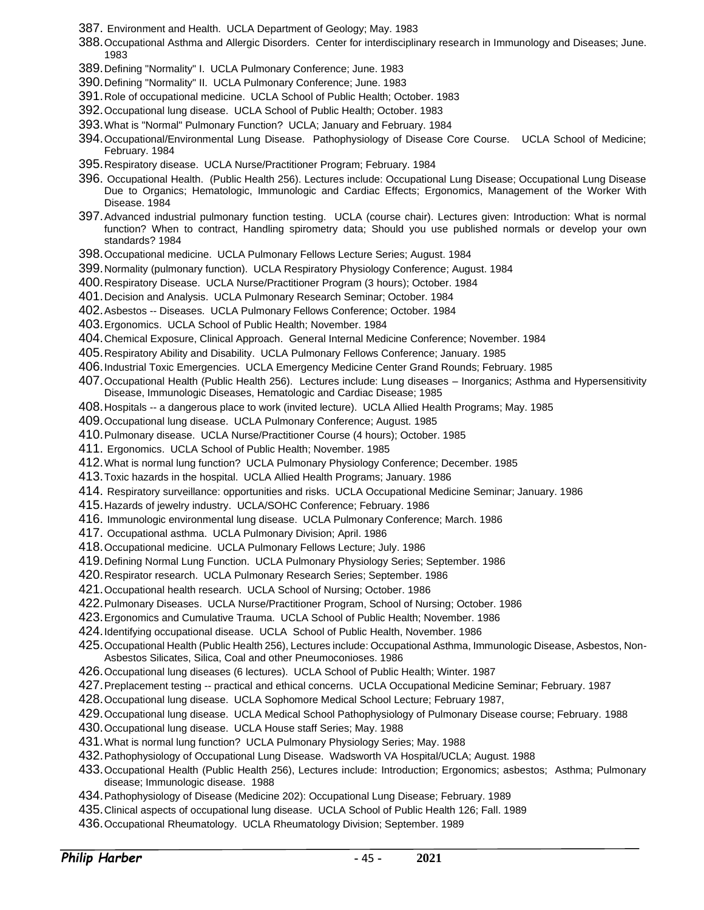- 387. Environment and Health. UCLA Department of Geology; May. 1983
- 388.Occupational Asthma and Allergic Disorders. Center for interdisciplinary research in Immunology and Diseases; June. 1983
- 389.Defining "Normality" I. UCLA Pulmonary Conference; June. 1983
- 390.Defining "Normality" II. UCLA Pulmonary Conference; June. 1983
- 391.Role of occupational medicine. UCLA School of Public Health; October. 1983
- 392.Occupational lung disease. UCLA School of Public Health; October. 1983
- 393.What is "Normal" Pulmonary Function? UCLA; January and February. 1984
- 394.Occupational/Environmental Lung Disease. Pathophysiology of Disease Core Course. UCLA School of Medicine; February. 1984
- 395.Respiratory disease. UCLA Nurse/Practitioner Program; February. 1984
- 396. Occupational Health. (Public Health 256). Lectures include: Occupational Lung Disease; Occupational Lung Disease Due to Organics; Hematologic, Immunologic and Cardiac Effects; Ergonomics, Management of the Worker With Disease. 1984
- 397.Advanced industrial pulmonary function testing. UCLA (course chair). Lectures given: Introduction: What is normal function? When to contract, Handling spirometry data; Should you use published normals or develop your own standards? 1984
- 398.Occupational medicine. UCLA Pulmonary Fellows Lecture Series; August. 1984
- 399.Normality (pulmonary function). UCLA Respiratory Physiology Conference; August. 1984
- 400.Respiratory Disease. UCLA Nurse/Practitioner Program (3 hours); October. 1984
- 401.Decision and Analysis. UCLA Pulmonary Research Seminar; October. 1984
- 402.Asbestos -- Diseases. UCLA Pulmonary Fellows Conference; October. 1984
- 403.Ergonomics. UCLA School of Public Health; November. 1984
- 404.Chemical Exposure, Clinical Approach. General Internal Medicine Conference; November. 1984
- 405.Respiratory Ability and Disability. UCLA Pulmonary Fellows Conference; January. 1985
- 406.Industrial Toxic Emergencies. UCLA Emergency Medicine Center Grand Rounds; February. 1985
- 407.Occupational Health (Public Health 256). Lectures include: Lung diseases Inorganics; Asthma and Hypersensitivity Disease, Immunologic Diseases, Hematologic and Cardiac Disease; 1985
- 408.Hospitals -- a dangerous place to work (invited lecture). UCLA Allied Health Programs; May. 1985
- 409.Occupational lung disease. UCLA Pulmonary Conference; August. 1985
- 410.Pulmonary disease. UCLA Nurse/Practitioner Course (4 hours); October. 1985
- 411. Ergonomics. UCLA School of Public Health; November. 1985
- 412.What is normal lung function? UCLA Pulmonary Physiology Conference; December. 1985
- 413.Toxic hazards in the hospital. UCLA Allied Health Programs; January. 1986
- 414. Respiratory surveillance: opportunities and risks. UCLA Occupational Medicine Seminar; January. 1986
- 415.Hazards of jewelry industry. UCLA/SOHC Conference; February. 1986
- 416. Immunologic environmental lung disease. UCLA Pulmonary Conference; March. 1986
- 417. Occupational asthma. UCLA Pulmonary Division; April. 1986
- 418.Occupational medicine. UCLA Pulmonary Fellows Lecture; July. 1986
- 419.Defining Normal Lung Function. UCLA Pulmonary Physiology Series; September. 1986
- 420.Respirator research. UCLA Pulmonary Research Series; September. 1986
- 421.Occupational health research. UCLA School of Nursing; October. 1986
- 422.Pulmonary Diseases. UCLA Nurse/Practitioner Program, School of Nursing; October. 1986
- 423.Ergonomics and Cumulative Trauma. UCLA School of Public Health; November. 1986
- 424.Identifying occupational disease. UCLA School of Public Health, November. 1986
- 425.Occupational Health (Public Health 256), Lectures include: Occupational Asthma, Immunologic Disease, Asbestos, Non-Asbestos Silicates, Silica, Coal and other Pneumoconioses. 1986
- 426.Occupational lung diseases (6 lectures). UCLA School of Public Health; Winter. 1987
- 427.Preplacement testing -- practical and ethical concerns. UCLA Occupational Medicine Seminar; February. 1987
- 428.Occupational lung disease. UCLA Sophomore Medical School Lecture; February 1987,
- 429.Occupational lung disease. UCLA Medical School Pathophysiology of Pulmonary Disease course; February. 1988
- 430.Occupational lung disease. UCLA House staff Series; May. 1988
- 431.What is normal lung function? UCLA Pulmonary Physiology Series; May. 1988
- 432.Pathophysiology of Occupational Lung Disease. Wadsworth VA Hospital/UCLA; August. 1988
- 433.Occupational Health (Public Health 256), Lectures include: Introduction; Ergonomics; asbestos; Asthma; Pulmonary disease; Immunologic disease. 1988
- 434.Pathophysiology of Disease (Medicine 202): Occupational Lung Disease; February. 1989
- 435.Clinical aspects of occupational lung disease. UCLA School of Public Health 126; Fall. 1989
- 436.Occupational Rheumatology. UCLA Rheumatology Division; September. 1989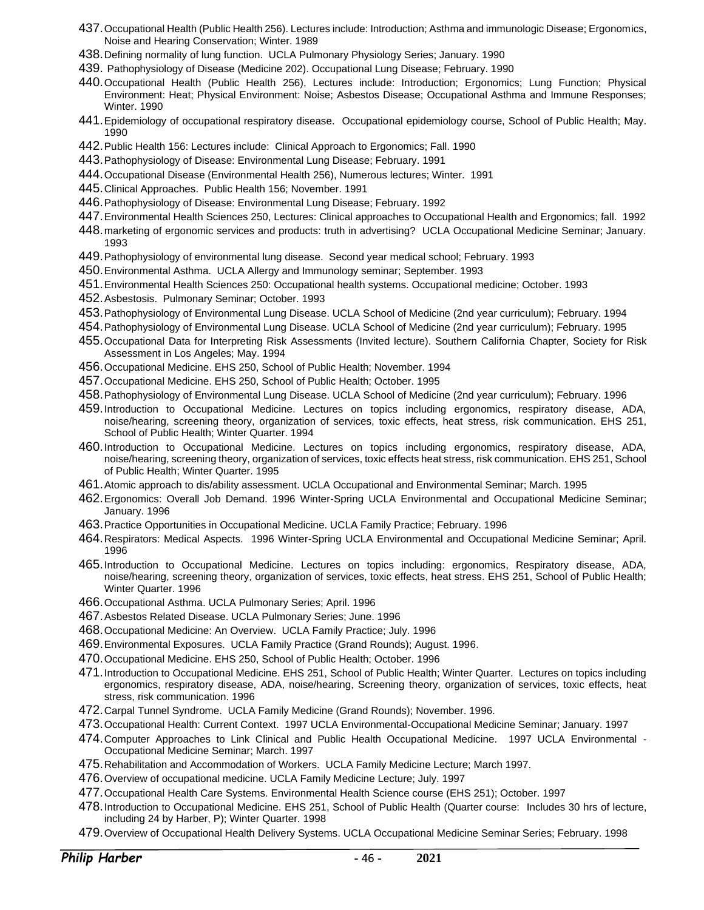- 437.Occupational Health (Public Health 256). Lectures include: Introduction; Asthma and immunologic Disease; Ergonomics, Noise and Hearing Conservation; Winter. 1989
- 438.Defining normality of lung function. UCLA Pulmonary Physiology Series; January. 1990
- 439. Pathophysiology of Disease (Medicine 202). Occupational Lung Disease; February. 1990
- 440.Occupational Health (Public Health 256), Lectures include: Introduction; Ergonomics; Lung Function; Physical Environment: Heat; Physical Environment: Noise; Asbestos Disease; Occupational Asthma and Immune Responses; Winter. 1990
- 441.Epidemiology of occupational respiratory disease. Occupational epidemiology course, School of Public Health; May. 1990
- 442.Public Health 156: Lectures include: Clinical Approach to Ergonomics; Fall. 1990
- 443.Pathophysiology of Disease: Environmental Lung Disease; February. 1991
- 444.Occupational Disease (Environmental Health 256), Numerous lectures; Winter. 1991
- 445.Clinical Approaches. Public Health 156; November. 1991
- 446.Pathophysiology of Disease: Environmental Lung Disease; February. 1992
- 447.Environmental Health Sciences 250, Lectures: Clinical approaches to Occupational Health and Ergonomics; fall. 1992
- 448.marketing of ergonomic services and products: truth in advertising? UCLA Occupational Medicine Seminar; January. 1993
- 449.Pathophysiology of environmental lung disease. Second year medical school; February. 1993
- 450.Environmental Asthma. UCLA Allergy and Immunology seminar; September. 1993
- 451.Environmental Health Sciences 250: Occupational health systems. Occupational medicine; October. 1993
- 452.Asbestosis. Pulmonary Seminar; October. 1993
- 453.Pathophysiology of Environmental Lung Disease. UCLA School of Medicine (2nd year curriculum); February. 1994
- 454.Pathophysiology of Environmental Lung Disease. UCLA School of Medicine (2nd year curriculum); February. 1995
- 455.Occupational Data for Interpreting Risk Assessments (Invited lecture). Southern California Chapter, Society for Risk Assessment in Los Angeles; May. 1994
- 456.Occupational Medicine. EHS 250, School of Public Health; November. 1994
- 457.Occupational Medicine. EHS 250, School of Public Health; October. 1995
- 458.Pathophysiology of Environmental Lung Disease. UCLA School of Medicine (2nd year curriculum); February. 1996
- 459.Introduction to Occupational Medicine. Lectures on topics including ergonomics, respiratory disease, ADA, noise/hearing, screening theory, organization of services, toxic effects, heat stress, risk communication. EHS 251, School of Public Health; Winter Quarter. 1994
- 460.Introduction to Occupational Medicine. Lectures on topics including ergonomics, respiratory disease, ADA, noise/hearing, screening theory, organization of services, toxic effects heat stress, risk communication. EHS 251, School of Public Health; Winter Quarter. 1995
- 461.Atomic approach to dis/ability assessment. UCLA Occupational and Environmental Seminar; March. 1995
- 462.Ergonomics: Overall Job Demand. 1996 Winter-Spring UCLA Environmental and Occupational Medicine Seminar; January. 1996
- 463.Practice Opportunities in Occupational Medicine. UCLA Family Practice; February. 1996
- 464.Respirators: Medical Aspects. 1996 Winter-Spring UCLA Environmental and Occupational Medicine Seminar; April. 1996
- 465.Introduction to Occupational Medicine. Lectures on topics including: ergonomics, Respiratory disease, ADA, noise/hearing, screening theory, organization of services, toxic effects, heat stress. EHS 251, School of Public Health; Winter Quarter. 1996
- 466.Occupational Asthma. UCLA Pulmonary Series; April. 1996
- 467.Asbestos Related Disease. UCLA Pulmonary Series; June. 1996
- 468.Occupational Medicine: An Overview. UCLA Family Practice; July. 1996
- 469.Environmental Exposures. UCLA Family Practice (Grand Rounds); August. 1996.
- 470.Occupational Medicine. EHS 250, School of Public Health; October. 1996
- 471.Introduction to Occupational Medicine. EHS 251, School of Public Health; Winter Quarter. Lectures on topics including ergonomics, respiratory disease, ADA, noise/hearing, Screening theory, organization of services, toxic effects, heat stress, risk communication. 1996
- 472.Carpal Tunnel Syndrome. UCLA Family Medicine (Grand Rounds); November. 1996.
- 473.Occupational Health: Current Context. 1997 UCLA Environmental-Occupational Medicine Seminar; January. 1997
- 474.Computer Approaches to Link Clinical and Public Health Occupational Medicine. 1997 UCLA Environmental Occupational Medicine Seminar; March. 1997
- 475.Rehabilitation and Accommodation of Workers. UCLA Family Medicine Lecture; March 1997.
- 476.Overview of occupational medicine. UCLA Family Medicine Lecture; July. 1997
- 477.Occupational Health Care Systems. Environmental Health Science course (EHS 251); October. 1997
- 478.Introduction to Occupational Medicine. EHS 251, School of Public Health (Quarter course: Includes 30 hrs of lecture, including 24 by Harber, P); Winter Quarter. 1998
- 479.Overview of Occupational Health Delivery Systems. UCLA Occupational Medicine Seminar Series; February. 1998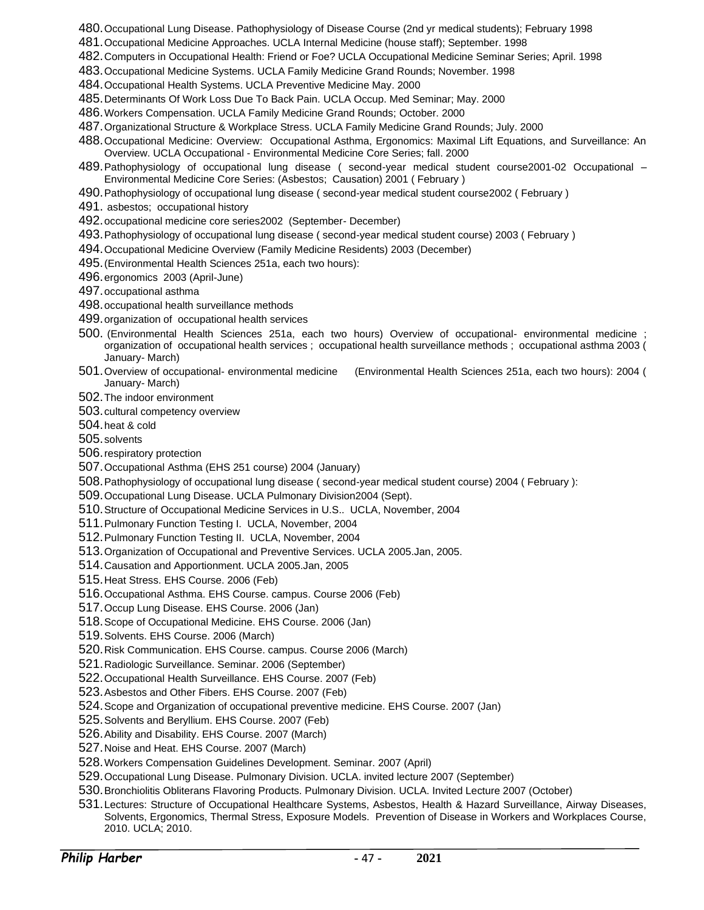- 480.Occupational Lung Disease. Pathophysiology of Disease Course (2nd yr medical students); February 1998
- 481.Occupational Medicine Approaches. UCLA Internal Medicine (house staff); September. 1998
- 482.Computers in Occupational Health: Friend or Foe? UCLA Occupational Medicine Seminar Series; April. 1998
- 483.Occupational Medicine Systems. UCLA Family Medicine Grand Rounds; November. 1998
- 484.Occupational Health Systems. UCLA Preventive Medicine May. 2000
- 485.Determinants Of Work Loss Due To Back Pain. UCLA Occup. Med Seminar; May. 2000
- 486.Workers Compensation. UCLA Family Medicine Grand Rounds; October. 2000
- 487.Organizational Structure & Workplace Stress. UCLA Family Medicine Grand Rounds; July. 2000
- 488.Occupational Medicine: Overview: Occupational Asthma, Ergonomics: Maximal Lift Equations, and Surveillance: An Overview. UCLA Occupational - Environmental Medicine Core Series; fall. 2000
- 489.Pathophysiology of occupational lung disease ( second-year medical student course2001-02 Occupational Environmental Medicine Core Series: (Asbestos; Causation) 2001 ( February )
- 490.Pathophysiology of occupational lung disease ( second-year medical student course2002 ( February )
- 491. asbestos; occupational history
- 492.occupational medicine core series2002 (September- December)
- 493.Pathophysiology of occupational lung disease ( second-year medical student course) 2003 ( February )
- 494.Occupational Medicine Overview (Family Medicine Residents) 2003 (December)
- 495.(Environmental Health Sciences 251a, each two hours):
- 496.ergonomics 2003 (April-June)
- 497.occupational asthma
- 498.occupational health surveillance methods
- 499.organization of occupational health services
- 500. (Environmental Health Sciences 251a, each two hours) Overview of occupational- environmental medicine ; organization of occupational health services ; occupational health surveillance methods ; occupational asthma 2003 ( January- March)
- 501.Overview of occupational- environmental medicine (Environmental Health Sciences 251a, each two hours): 2004 ( January- March)
- 502.The indoor environment
- 503.cultural competency overview
- 504.heat & cold
- 505.solvents
- 506.respiratory protection
- 507.Occupational Asthma (EHS 251 course) 2004 (January)
- 508.Pathophysiology of occupational lung disease ( second-year medical student course) 2004 ( February ):
- 509.Occupational Lung Disease. UCLA Pulmonary Division2004 (Sept).
- 510.Structure of Occupational Medicine Services in U.S.. UCLA, November, 2004
- 511.Pulmonary Function Testing I. UCLA, November, 2004
- 512.Pulmonary Function Testing II. UCLA, November, 2004
- 513.Organization of Occupational and Preventive Services. UCLA 2005.Jan, 2005.
- 514.Causation and Apportionment. UCLA 2005.Jan, 2005
- 515.Heat Stress. EHS Course. 2006 (Feb)
- 516.Occupational Asthma. EHS Course. campus. Course 2006 (Feb)
- 517.Occup Lung Disease. EHS Course. 2006 (Jan)
- 518.Scope of Occupational Medicine. EHS Course. 2006 (Jan)
- 519.Solvents. EHS Course. 2006 (March)
- 520.Risk Communication. EHS Course. campus. Course 2006 (March)
- 521.Radiologic Surveillance. Seminar. 2006 (September)
- 522.Occupational Health Surveillance. EHS Course. 2007 (Feb)
- 523.Asbestos and Other Fibers. EHS Course. 2007 (Feb)
- 524.Scope and Organization of occupational preventive medicine. EHS Course. 2007 (Jan)
- 525.Solvents and Beryllium. EHS Course. 2007 (Feb)
- 526.Ability and Disability. EHS Course. 2007 (March)
- 527.Noise and Heat. EHS Course. 2007 (March)
- 528.Workers Compensation Guidelines Development. Seminar. 2007 (April)
- 529.Occupational Lung Disease. Pulmonary Division. UCLA. invited lecture 2007 (September)
- 530.Bronchiolitis Obliterans Flavoring Products. Pulmonary Division. UCLA. Invited Lecture 2007 (October)
- 531.Lectures: Structure of Occupational Healthcare Systems, Asbestos, Health & Hazard Surveillance, Airway Diseases, Solvents, Ergonomics, Thermal Stress, Exposure Models. Prevention of Disease in Workers and Workplaces Course, 2010. UCLA; 2010.